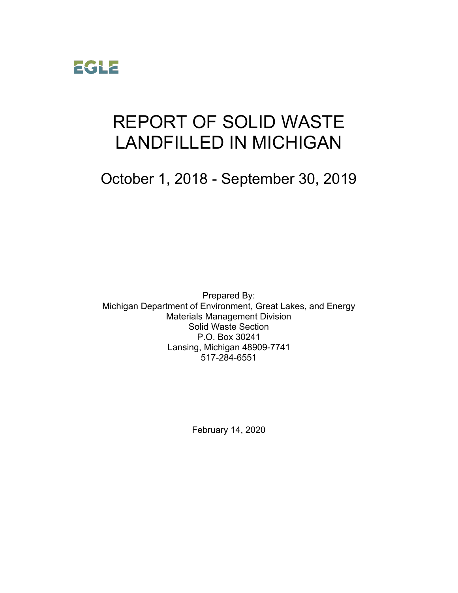

# REPORT OF SOLID WASTE LANDFILLED IN MICHIGAN

October 1, 2018 - September 30, 2019

Prepared By: Michigan Department of Environment, Great Lakes, and Energy Materials Management Division Solid Waste Section P.O. Box 30241 Lansing, Michigan 48909-7741 517-284-6551

February 14, 2020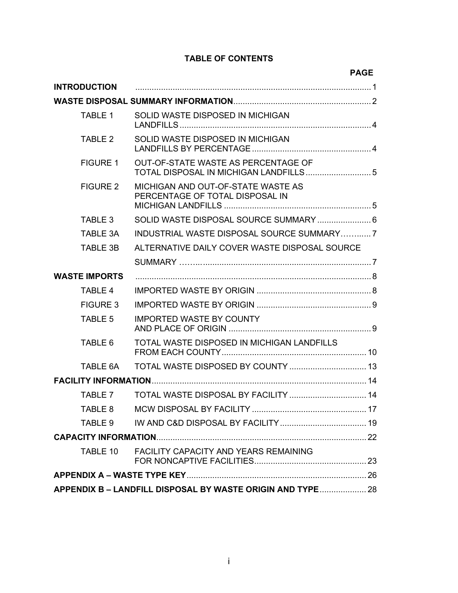#### **TABLE OF CONTENTS**

|                      |                                                                               | <b>PAGE</b> |  |  |
|----------------------|-------------------------------------------------------------------------------|-------------|--|--|
| <b>INTRODUCTION</b>  |                                                                               |             |  |  |
|                      |                                                                               |             |  |  |
| TABLE 1              | SOLID WASTE DISPOSED IN MICHIGAN                                              |             |  |  |
| TABLE 2              | SOLID WASTE DISPOSED IN MICHIGAN                                              |             |  |  |
| <b>FIGURE 1</b>      | OUT-OF-STATE WASTE AS PERCENTAGE OF<br>TOTAL DISPOSAL IN MICHIGAN LANDFILLS 5 |             |  |  |
| <b>FIGURE 2</b>      | MICHIGAN AND OUT-OF-STATE WASTE AS<br>PERCENTAGE OF TOTAL DISPOSAL IN         |             |  |  |
| TABLE 3              | SOLID WASTE DISPOSAL SOURCE SUMMARY  6                                        |             |  |  |
| TABLE 3A             | INDUSTRIAL WASTE DISPOSAL SOURCE SUMMARY7                                     |             |  |  |
| TABLE 3B             | ALTERNATIVE DAILY COVER WASTE DISPOSAL SOURCE                                 |             |  |  |
|                      |                                                                               |             |  |  |
| <b>WASTE IMPORTS</b> |                                                                               |             |  |  |
| <b>TABLE 4</b>       |                                                                               |             |  |  |
| <b>FIGURE 3</b>      |                                                                               |             |  |  |
| <b>TABLE 5</b>       | <b>IMPORTED WASTE BY COUNTY</b>                                               |             |  |  |
| TABLE 6              | TOTAL WASTE DISPOSED IN MICHIGAN LANDFILLS                                    |             |  |  |
| TABLE 6A             |                                                                               |             |  |  |
|                      |                                                                               |             |  |  |
| <b>TABLE 7</b>       | TOTAL WASTE DISPOSAL BY FACILITY  14                                          |             |  |  |
| TABLE 8              |                                                                               |             |  |  |
| TABLE 9              |                                                                               |             |  |  |
|                      |                                                                               |             |  |  |
| TABLE 10             | <b>FACILITY CAPACITY AND YEARS REMAINING</b>                                  |             |  |  |
|                      |                                                                               |             |  |  |
|                      | APPENDIX B - LANDFILL DISPOSAL BY WASTE ORIGIN AND TYPE  28                   |             |  |  |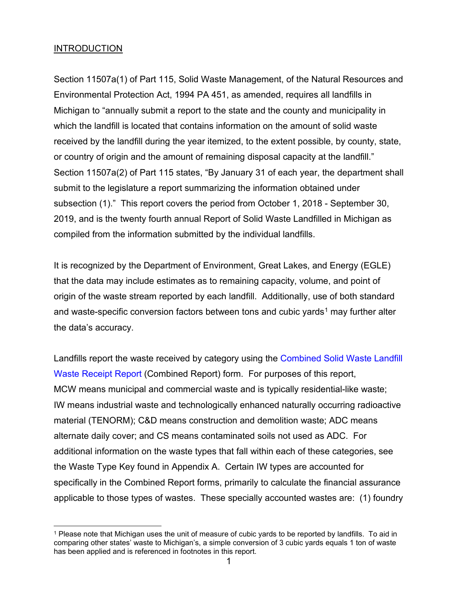#### **INTRODUCTION**

Section 11507a(1) of Part 115, Solid Waste Management, of the Natural Resources and Environmental Protection Act, 1994 PA 451, as amended, requires all landfills in Michigan to "annually submit a report to the state and the county and municipality in which the landfill is located that contains information on the amount of solid waste received by the landfill during the year itemized, to the extent possible, by county, state, or country of origin and the amount of remaining disposal capacity at the landfill." Section 11507a(2) of Part 115 states, "By January 31 of each year, the department shall submit to the legislature a report summarizing the information obtained under subsection (1)." This report covers the period from October 1, 2018 - September 30, 2019, and is the twenty fourth annual Report of Solid Waste Landfilled in Michigan as compiled from the information submitted by the individual landfills.

It is recognized by the Department of Environment, Great Lakes, and Energy (EGLE) that the data may include estimates as to remaining capacity, volume, and point of origin of the waste stream reported by each landfill. Additionally, use of both standard and waste-specific conversion factors between tons and cubic yards<sup>[1](#page-2-0)</sup> may further alter the data's accuracy.

Landfills report the waste received by category using the [Combined Solid Waste Landfill](http://www.michigan.gov/documents/deq/deq-whmd-swp-SolidWasteLandfillWasteReceiptReportEQP5500_300601_7.xls)  [Waste Receipt Report](http://www.michigan.gov/documents/deq/deq-whmd-swp-SolidWasteLandfillWasteReceiptReportEQP5500_300601_7.xls) (Combined Report) form. For purposes of this report, MCW means municipal and commercial waste and is typically residential-like waste; IW means industrial waste and technologically enhanced naturally occurring radioactive material (TENORM); C&D means construction and demolition waste; ADC means alternate daily cover; and CS means contaminated soils not used as ADC. For additional information on the waste types that fall within each of these categories, see the Waste Type Key found in Appendix A. Certain IW types are accounted for specifically in the Combined Report forms, primarily to calculate the financial assurance applicable to those types of wastes. These specially accounted wastes are: (1) foundry

<span id="page-2-0"></span><sup>1</sup> Please note that Michigan uses the unit of measure of cubic yards to be reported by landfills. To aid in comparing other states' waste to Michigan's, a simple conversion of 3 cubic yards equals 1 ton of waste has been applied and is referenced in footnotes in this report.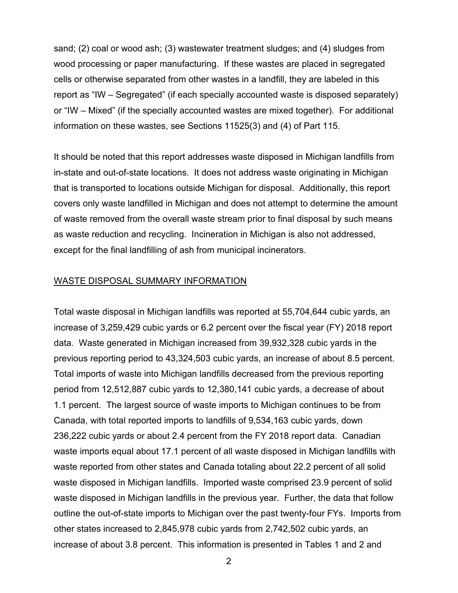sand; (2) coal or wood ash; (3) wastewater treatment sludges; and (4) sludges from wood processing or paper manufacturing. If these wastes are placed in segregated cells or otherwise separated from other wastes in a landfill, they are labeled in this report as "IW – Segregated" (if each specially accounted waste is disposed separately) or "IW – Mixed" (if the specially accounted wastes are mixed together). For additional information on these wastes, see Sections 11525(3) and (4) of Part 115.

It should be noted that this report addresses waste disposed in Michigan landfills from in-state and out-of-state locations. It does not address waste originating in Michigan that is transported to locations outside Michigan for disposal. Additionally, this report covers only waste landfilled in Michigan and does not attempt to determine the amount of waste removed from the overall waste stream prior to final disposal by such means as waste reduction and recycling. Incineration in Michigan is also not addressed, except for the final landfilling of ash from municipal incinerators.

#### WASTE DISPOSAL SUMMARY INFORMATION

Total waste disposal in Michigan landfills was reported at 55,704,644 cubic yards, an increase of 3,259,429 cubic yards or 6.2 percent over the fiscal year (FY) 2018 report data. Waste generated in Michigan increased from 39,932,328 cubic yards in the previous reporting period to 43,324,503 cubic yards, an increase of about 8.5 percent. Total imports of waste into Michigan landfills decreased from the previous reporting period from 12,512,887 cubic yards to 12,380,141 cubic yards, a decrease of about 1.1 percent. The largest source of waste imports to Michigan continues to be from Canada, with total reported imports to landfills of 9,534,163 cubic yards, down 236,222 cubic yards or about 2.4 percent from the FY 2018 report data. Canadian waste imports equal about 17.1 percent of all waste disposed in Michigan landfills with waste reported from other states and Canada totaling about 22.2 percent of all solid waste disposed in Michigan landfills. Imported waste comprised 23.9 percent of solid waste disposed in Michigan landfills in the previous year. Further, the data that follow outline the out-of-state imports to Michigan over the past twenty-four FYs. Imports from other states increased to 2,845,978 cubic yards from 2,742,502 cubic yards, an increase of about 3.8 percent. This information is presented in Tables 1 and 2 and

2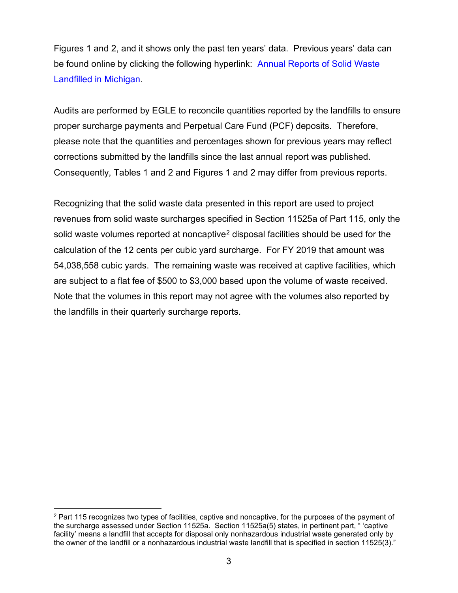Figures 1 and 2, and it shows only the past ten years' data. Previous years' data can be found online by clicking the following hyperlink: [Annual Reports of Solid Waste](http://www.michigan.gov/deq/0,1607,7-135-3312_4123-47581--,00.html)  [Landfilled in Michigan.](http://www.michigan.gov/deq/0,1607,7-135-3312_4123-47581--,00.html)

Audits are performed by EGLE to reconcile quantities reported by the landfills to ensure proper surcharge payments and Perpetual Care Fund (PCF) deposits. Therefore, please note that the quantities and percentages shown for previous years may reflect corrections submitted by the landfills since the last annual report was published. Consequently, Tables 1 and 2 and Figures 1 and 2 may differ from previous reports.

Recognizing that the solid waste data presented in this report are used to project revenues from solid waste surcharges specified in Section 11525a of Part 115, only the solid waste volumes reported at noncaptive<sup>[2](#page-4-0)</sup> disposal facilities should be used for the calculation of the 12 cents per cubic yard surcharge. For FY 2019 that amount was 54,038,558 cubic yards. The remaining waste was received at captive facilities, which are subject to a flat fee of \$500 to \$3,000 based upon the volume of waste received. Note that the volumes in this report may not agree with the volumes also reported by the landfills in their quarterly surcharge reports.

<span id="page-4-0"></span><sup>&</sup>lt;sup>2</sup> Part 115 recognizes two types of facilities, captive and noncaptive, for the purposes of the payment of the surcharge assessed under Section 11525a. Section 11525a(5) states, in pertinent part, " 'captive facility' means a landfill that accepts for disposal only nonhazardous industrial waste generated only by the owner of the landfill or a nonhazardous industrial waste landfill that is specified in section 11525(3)."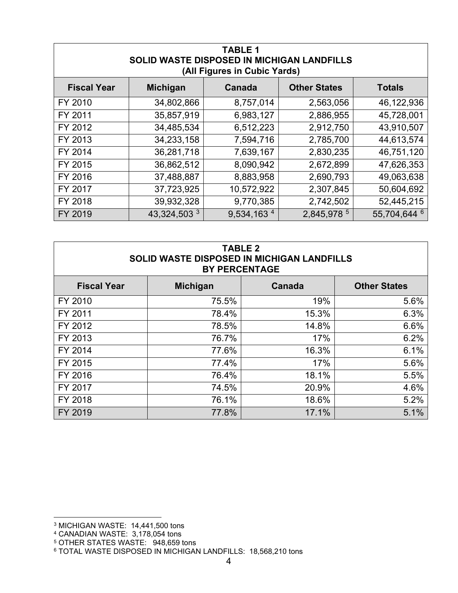| <b>TABLE 1</b><br>SOLID WASTE DISPOSED IN MICHIGAN LANDFILLS<br>(All Figures in Cubic Yards) |                 |                        |                     |               |
|----------------------------------------------------------------------------------------------|-----------------|------------------------|---------------------|---------------|
| <b>Fiscal Year</b>                                                                           | <b>Michigan</b> | Canada                 | <b>Other States</b> | <b>Totals</b> |
| FY 2010                                                                                      | 34,802,866      | 8,757,014              | 2,563,056           | 46,122,936    |
| FY 2011                                                                                      | 35,857,919      | 6,983,127              | 2,886,955           | 45,728,001    |
| FY 2012                                                                                      | 34,485,534      | 6,512,223              | 2,912,750           | 43,910,507    |
| FY 2013                                                                                      | 34,233,158      | 7,594,716              | 2,785,700           | 44,613,574    |
| FY 2014                                                                                      | 36,281,718      | 7,639,167              | 2,830,235           | 46,751,120    |
| FY 2015                                                                                      | 36,862,512      | 8,090,942              | 2,672,899           | 47,626,353    |
| FY 2016                                                                                      | 37,488,887      | 8,883,958              | 2,690,793           | 49,063,638    |
| FY 2017                                                                                      | 37,723,925      | 10,572,922             | 2,307,845           | 50,604,692    |
| FY 2018                                                                                      | 39,932,328      | 9,770,385              | 2,742,502           | 52,445,215    |
| FY 2019                                                                                      | 43,324,503 3    | 9,534,163 <sup>4</sup> | 2,845,978 5         | 55,704,644 6  |

| <b>TABLE 2</b><br>SOLID WASTE DISPOSED IN MICHIGAN LANDFILLS<br><b>BY PERCENTAGE</b> |       |       |      |  |
|--------------------------------------------------------------------------------------|-------|-------|------|--|
| <b>Other States</b><br><b>Fiscal Year</b><br><b>Michigan</b><br>Canada               |       |       |      |  |
| FY 2010                                                                              | 75.5% | 19%   | 5.6% |  |
| FY 2011                                                                              | 78.4% | 15.3% | 6.3% |  |
| FY 2012                                                                              | 78.5% | 14.8% | 6.6% |  |
| FY 2013                                                                              | 76.7% | 17%   | 6.2% |  |
| FY 2014                                                                              | 77.6% | 16.3% | 6.1% |  |
| FY 2015                                                                              | 77.4% | 17%   | 5.6% |  |
| FY 2016                                                                              | 76.4% | 18.1% | 5.5% |  |
| FY 2017                                                                              | 74.5% | 20.9% | 4.6% |  |
| FY 2018                                                                              | 76.1% | 18.6% | 5.2% |  |
| FY 2019                                                                              | 77.8% | 17.1% | 5.1% |  |

<span id="page-5-0"></span><sup>3</sup> MICHIGAN WASTE: 14,441,500 tons

<sup>4</sup> CANADIAN WASTE: 3,178,054 tons

<span id="page-5-2"></span><span id="page-5-1"></span><sup>5</sup> OTHER STATES WASTE: 948,659 tons

<span id="page-5-3"></span><sup>6</sup> TOTAL WASTE DISPOSED IN MICHIGAN LANDFILLS: 18,568,210 tons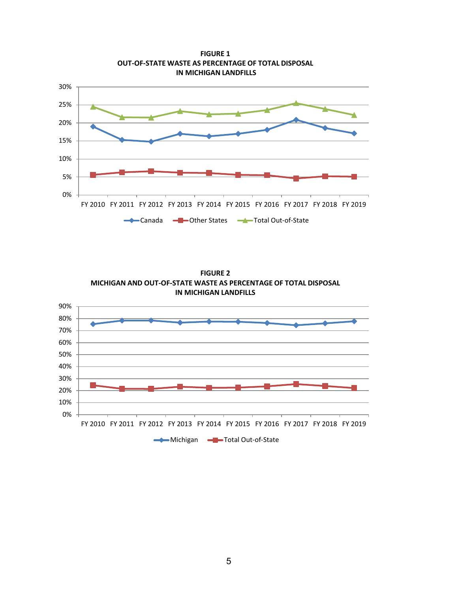

**FIGURE 1 OUT-OF-STATE WASTE AS PERCENTAGE OF TOTAL DISPOSAL IN MICHIGAN LANDFILLS**

**FIGURE 2 MICHIGAN AND OUT-OF-STATE WASTE AS PERCENTAGE OF TOTAL DISPOSAL IN MICHIGAN LANDFILLS**

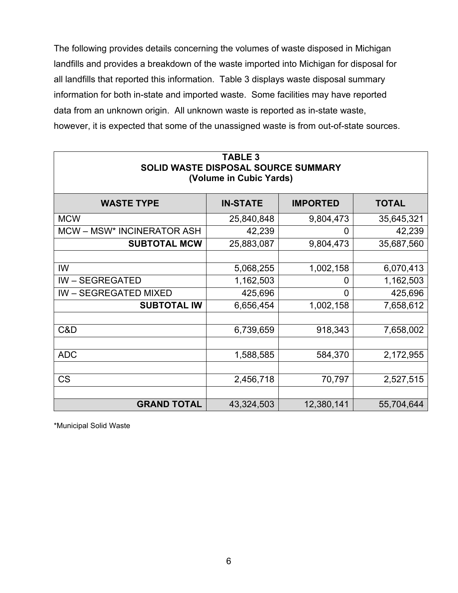The following provides details concerning the volumes of waste disposed in Michigan landfills and provides a breakdown of the waste imported into Michigan for disposal for all landfills that reported this information. Table 3 displays waste disposal summary information for both in-state and imported waste. Some facilities may have reported data from an unknown origin. All unknown waste is reported as in-state waste, however, it is expected that some of the unassigned waste is from out-of-state sources.

| <b>TABLE 3</b><br>SOLID WASTE DISPOSAL SOURCE SUMMARY<br>(Volume in Cubic Yards) |            |                |            |  |
|----------------------------------------------------------------------------------|------------|----------------|------------|--|
| <b>WASTE TYPE</b><br><b>TOTAL</b><br><b>IN-STATE</b><br><b>IMPORTED</b>          |            |                |            |  |
| <b>MCW</b>                                                                       | 25,840,848 | 9,804,473      | 35,645,321 |  |
| MCW – MSW* INCINERATOR ASH                                                       | 42,239     | 0              | 42,239     |  |
| <b>SUBTOTAL MCW</b>                                                              | 25,883,087 | 9,804,473      | 35,687,560 |  |
|                                                                                  |            |                |            |  |
| IW                                                                               | 5,068,255  | 1,002,158      | 6,070,413  |  |
| <b>IW-SEGREGATED</b>                                                             | 1,162,503  | 0              | 1,162,503  |  |
| <b>IW-SEGREGATED MIXED</b>                                                       | 425,696    | $\overline{0}$ | 425,696    |  |
| <b>SUBTOTAL IW</b>                                                               | 6,656,454  | 1,002,158      | 7,658,612  |  |
|                                                                                  |            |                |            |  |
| C&D                                                                              | 6,739,659  | 918,343        | 7,658,002  |  |
|                                                                                  |            |                |            |  |
| <b>ADC</b>                                                                       | 1,588,585  | 584,370        | 2,172,955  |  |
|                                                                                  |            |                |            |  |
| <b>CS</b>                                                                        | 2,456,718  | 70,797         | 2,527,515  |  |
|                                                                                  |            |                |            |  |
| <b>GRAND TOTAL</b><br>43,324,503<br>12,380,141<br>55,704,644                     |            |                |            |  |

\*Municipal Solid Waste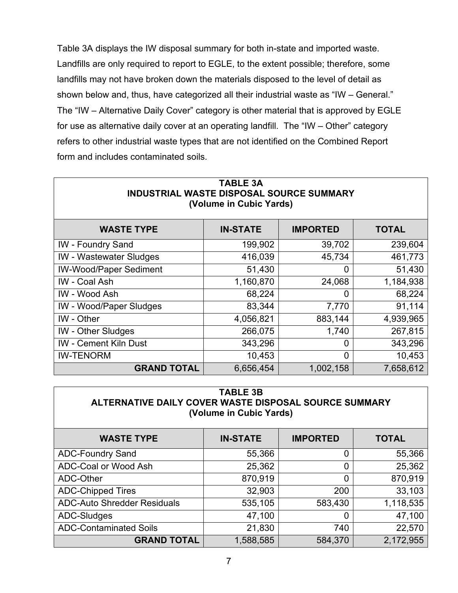Table 3A displays the IW disposal summary for both in-state and imported waste. Landfills are only required to report to EGLE, to the extent possible; therefore, some landfills may not have broken down the materials disposed to the level of detail as shown below and, thus, have categorized all their industrial waste as "IW – General." The "IW – Alternative Daily Cover" category is other material that is approved by EGLE for use as alternative daily cover at an operating landfill. The "IW – Other" category refers to other industrial waste types that are not identified on the Combined Report form and includes contaminated soils.

| <b>TABLE 3A</b><br><b>INDUSTRIAL WASTE DISPOSAL SOURCE SUMMARY</b><br>(Volume in Cubic Yards) |           |                |           |  |
|-----------------------------------------------------------------------------------------------|-----------|----------------|-----------|--|
| <b>IMPORTED</b><br><b>WASTE TYPE</b><br><b>IN-STATE</b><br><b>TOTAL</b>                       |           |                |           |  |
| <b>IW</b> - Foundry Sand                                                                      | 199,902   | 39,702         | 239,604   |  |
| <b>IW</b> - Wastewater Sludges                                                                | 416,039   | 45,734         | 461,773   |  |
| <b>IW-Wood/Paper Sediment</b>                                                                 | 51,430    | $\overline{0}$ | 51,430    |  |
| IW - Coal Ash                                                                                 | 1,160,870 | 24,068         | 1,184,938 |  |
| <b>IW</b> - Wood Ash                                                                          | 68,224    | 0              | 68,224    |  |
| <b>IW</b> - Wood/Paper Sludges                                                                | 83,344    | 7,770          | 91,114    |  |
| IW - Other                                                                                    | 4,056,821 | 883,144        | 4,939,965 |  |
| <b>IW</b> - Other Sludges                                                                     | 266,075   | 1,740          | 267,815   |  |
| <b>IW</b> - Cement Kiln Dust                                                                  | 343,296   | $\overline{0}$ | 343,296   |  |
| <b>IW-TENORM</b><br>10,453<br>$\overline{0}$<br>10,453                                        |           |                |           |  |
| <b>GRAND TOTAL</b><br>6,656,454<br>1,002,158<br>7,658,612                                     |           |                |           |  |

| <b>TABLE 3B</b>                                       |
|-------------------------------------------------------|
| ALTERNATIVE DAILY COVER WASTE DISPOSAL SOURCE SUMMARY |
| (Volume in Cubic Yards)                               |

| <b>WASTE TYPE</b>                  | <b>IN-STATE</b> | <b>IMPORTED</b> | <b>TOTAL</b> |
|------------------------------------|-----------------|-----------------|--------------|
| <b>ADC-Foundry Sand</b>            | 55,366          |                 | 55,366       |
| ADC-Coal or Wood Ash               | 25,362          | O               | 25,362       |
| ADC-Other                          | 870,919         | O               | 870,919      |
| <b>ADC-Chipped Tires</b>           | 32,903          | 200             | 33,103       |
| <b>ADC-Auto Shredder Residuals</b> | 535,105         | 583,430         | 1,118,535    |
| ADC-Sludges                        | 47,100          | O               | 47,100       |
| <b>ADC-Contaminated Soils</b>      | 21,830          | 740             | 22,570       |
| <b>GRAND TOTAL</b>                 | 1,588,585       | 584,370         | 2,172,955    |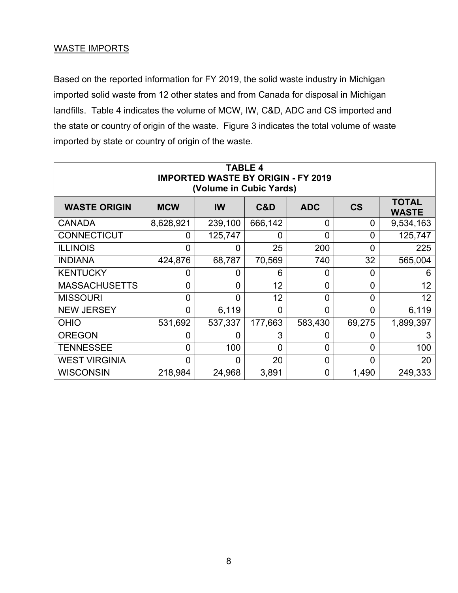#### WASTE IMPORTS

Based on the reported information for FY 2019, the solid waste industry in Michigan imported solid waste from 12 other states and from Canada for disposal in Michigan landfills. Table 4 indicates the volume of MCW, IW, C&D, ADC and CS imported and the state or country of origin of the waste. Figure 3 indicates the total volume of waste imported by state or country of origin of the waste.

| <b>TABLE 4</b><br><b>IMPORTED WASTE BY ORIGIN - FY 2019</b><br>(Volume in Cubic Yards) |                |                |                |                |                          |                              |
|----------------------------------------------------------------------------------------|----------------|----------------|----------------|----------------|--------------------------|------------------------------|
| <b>WASTE ORIGIN</b>                                                                    | <b>MCW</b>     | IW             | C&D            | <b>ADC</b>     | $\mathsf{CS}\phantom{0}$ | <b>TOTAL</b><br><b>WASTE</b> |
| <b>CANADA</b>                                                                          | 8,628,921      | 239,100        | 666,142        | 0              | 0                        | 9,534,163                    |
| <b>CONNECTICUT</b>                                                                     | 0              | 125,747        | $\overline{0}$ | $\overline{0}$ | $\overline{0}$           | 125,747                      |
| <b>ILLINOIS</b>                                                                        | $\overline{0}$ | 0              | 25             | 200            | $\overline{0}$           | 225                          |
| <b>INDIANA</b>                                                                         | 424,876        | 68,787         | 70,569         | 740            | 32                       | 565,004                      |
| <b>KENTUCKY</b>                                                                        | 0              | 0              | 6              | $\overline{0}$ | 0                        | 6                            |
| <b>MASSACHUSETTS</b>                                                                   | $\overline{0}$ | 0              | 12             | 0              | 0                        | 12 <sub>2</sub>              |
| <b>MISSOURI</b>                                                                        | $\overline{0}$ | $\overline{0}$ | 12             | $\overline{0}$ | 0                        | 12                           |
| <b>NEW JERSEY</b>                                                                      | $\overline{0}$ | 6,119          | $\overline{0}$ | $\overline{0}$ | $\overline{0}$           | 6,119                        |
| <b>OHIO</b>                                                                            | 531,692        | 537,337        | 177,663        | 583,430        | 69,275                   | 1,899,397                    |
| <b>OREGON</b>                                                                          | 0              | 0              | 3              | 0              | 0                        | 3                            |
| <b>TENNESSEE</b>                                                                       | $\overline{0}$ | 100            | $\overline{0}$ | $\overline{0}$ | $\overline{0}$           | 100                          |
| <b>WEST VIRGINIA</b>                                                                   | $\overline{0}$ | $\Omega$       | 20             | $\overline{0}$ | $\overline{0}$           | 20                           |
| <b>WISCONSIN</b>                                                                       | 218,984        | 24,968         | 3,891          | $\overline{0}$ | 1,490                    | 249,333                      |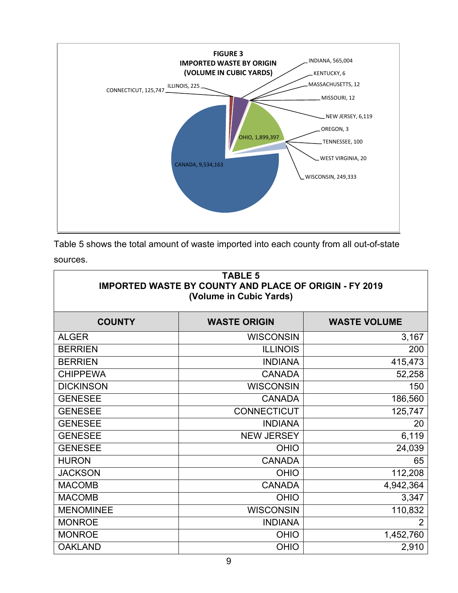

| Table 5 shows the total amount of waste imported into each county from all out-of-state |  |  |  |
|-----------------------------------------------------------------------------------------|--|--|--|
| sources.                                                                                |  |  |  |

| <b>TABLE 5</b><br><b>IMPORTED WASTE BY COUNTY AND PLACE OF ORIGIN - FY 2019</b><br>(Volume in Cubic Yards) |                     |                     |  |
|------------------------------------------------------------------------------------------------------------|---------------------|---------------------|--|
| <b>COUNTY</b>                                                                                              | <b>WASTE ORIGIN</b> | <b>WASTE VOLUME</b> |  |
| <b>ALGER</b>                                                                                               | <b>WISCONSIN</b>    | 3,167               |  |
| <b>BERRIEN</b>                                                                                             | <b>ILLINOIS</b>     | 200                 |  |
| <b>BERRIEN</b>                                                                                             | <b>INDIANA</b>      | 415,473             |  |
| <b>CHIPPEWA</b>                                                                                            | <b>CANADA</b>       | 52,258              |  |
| <b>DICKINSON</b>                                                                                           | <b>WISCONSIN</b>    | 150                 |  |
| <b>GENESEE</b>                                                                                             | <b>CANADA</b>       | 186,560             |  |
| <b>GENESEE</b>                                                                                             | <b>CONNECTICUT</b>  | 125,747             |  |
| <b>GENESEE</b>                                                                                             | <b>INDIANA</b>      | 20                  |  |
| <b>GENESEE</b>                                                                                             | <b>NEW JERSEY</b>   | 6,119               |  |
| <b>GENESEE</b>                                                                                             | <b>OHIO</b>         | 24,039              |  |
| <b>HURON</b>                                                                                               | <b>CANADA</b>       | 65                  |  |
| <b>JACKSON</b>                                                                                             | <b>OHIO</b>         | 112,208             |  |
| <b>MACOMB</b>                                                                                              | <b>CANADA</b>       | 4,942,364           |  |
| <b>MACOMB</b>                                                                                              | <b>OHIO</b>         | 3,347               |  |
| <b>MENOMINEE</b>                                                                                           | <b>WISCONSIN</b>    | 110,832             |  |
| <b>MONROE</b>                                                                                              | <b>INDIANA</b>      | $\overline{2}$      |  |
| <b>MONROE</b>                                                                                              | <b>OHIO</b>         | 1,452,760           |  |
| <b>OAKLAND</b>                                                                                             | <b>OHIO</b>         | 2,910               |  |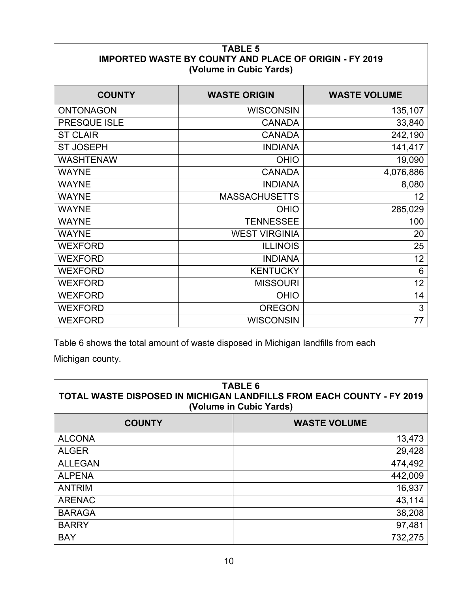| <b>TABLE 5</b><br><b>IMPORTED WASTE BY COUNTY AND PLACE OF ORIGIN - FY 2019</b><br>(Volume in Cubic Yards) |                      |                     |  |
|------------------------------------------------------------------------------------------------------------|----------------------|---------------------|--|
| <b>COUNTY</b>                                                                                              | <b>WASTE ORIGIN</b>  | <b>WASTE VOLUME</b> |  |
| <b>ONTONAGON</b>                                                                                           | <b>WISCONSIN</b>     | 135,107             |  |
| PRESQUE ISLE                                                                                               | <b>CANADA</b>        | 33,840              |  |
| <b>ST CLAIR</b>                                                                                            | <b>CANADA</b>        | 242,190             |  |
| <b>ST JOSEPH</b>                                                                                           | <b>INDIANA</b>       | 141,417             |  |
| <b>WASHTENAW</b>                                                                                           | <b>OHIO</b>          | 19,090              |  |
| <b>WAYNE</b>                                                                                               | <b>CANADA</b>        | 4,076,886           |  |
| <b>WAYNE</b>                                                                                               | <b>INDIANA</b>       | 8,080               |  |
| <b>WAYNE</b>                                                                                               | <b>MASSACHUSETTS</b> | 12                  |  |
| <b>WAYNE</b>                                                                                               | <b>OHIO</b>          | 285,029             |  |
| <b>WAYNE</b>                                                                                               | <b>TENNESSEE</b>     | 100                 |  |
| <b>WAYNE</b>                                                                                               | <b>WEST VIRGINIA</b> | 20                  |  |
| <b>WEXFORD</b>                                                                                             | <b>ILLINOIS</b>      | 25                  |  |
| <b>WEXFORD</b>                                                                                             | <b>INDIANA</b>       | 12                  |  |
| <b>WEXFORD</b>                                                                                             | <b>KENTUCKY</b>      | 6                   |  |
| <b>WEXFORD</b>                                                                                             | <b>MISSOURI</b>      | 12                  |  |
| <b>WEXFORD</b>                                                                                             | <b>OHIO</b>          | 14                  |  |
| <b>WEXFORD</b>                                                                                             | <b>OREGON</b>        | 3                   |  |
| <b>WEXFORD</b>                                                                                             | <b>WISCONSIN</b>     | 77                  |  |

Table 6 shows the total amount of waste disposed in Michigan landfills from each

Michigan county.

| <b>TABLE 6</b><br>TOTAL WASTE DISPOSED IN MICHIGAN LANDFILLS FROM EACH COUNTY - FY 2019<br>(Volume in Cubic Yards) |                     |  |
|--------------------------------------------------------------------------------------------------------------------|---------------------|--|
| <b>COUNTY</b>                                                                                                      | <b>WASTE VOLUME</b> |  |
| <b>ALCONA</b>                                                                                                      | 13,473              |  |
| <b>ALGER</b>                                                                                                       | 29,428              |  |
| <b>ALLEGAN</b>                                                                                                     | 474,492             |  |
| <b>ALPENA</b>                                                                                                      | 442,009             |  |
| <b>ANTRIM</b>                                                                                                      | 16,937              |  |
| <b>ARENAC</b>                                                                                                      | 43,114              |  |
| <b>BARAGA</b>                                                                                                      | 38,208              |  |
| <b>BARRY</b>                                                                                                       | 97,481              |  |
| <b>BAY</b>                                                                                                         | 732,275             |  |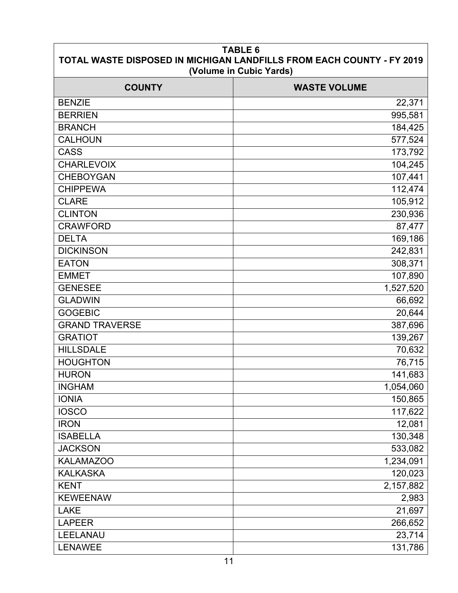| <b>TABLE 6</b><br>TOTAL WASTE DISPOSED IN MICHIGAN LANDFILLS FROM EACH COUNTY - FY 2019<br>(Volume in Cubic Yards) |                     |  |  |
|--------------------------------------------------------------------------------------------------------------------|---------------------|--|--|
| <b>COUNTY</b>                                                                                                      | <b>WASTE VOLUME</b> |  |  |
| <b>BENZIE</b>                                                                                                      | 22,371              |  |  |
| <b>BERRIEN</b>                                                                                                     | 995,581             |  |  |
| <b>BRANCH</b>                                                                                                      | 184,425             |  |  |
| <b>CALHOUN</b>                                                                                                     | 577,524             |  |  |
| <b>CASS</b>                                                                                                        | 173,792             |  |  |
| <b>CHARLEVOIX</b>                                                                                                  | 104,245             |  |  |
| <b>CHEBOYGAN</b>                                                                                                   | 107,441             |  |  |
| <b>CHIPPEWA</b>                                                                                                    | 112,474             |  |  |
| <b>CLARE</b>                                                                                                       | 105,912             |  |  |
| <b>CLINTON</b>                                                                                                     | 230,936             |  |  |
| <b>CRAWFORD</b>                                                                                                    | 87,477              |  |  |
| <b>DELTA</b>                                                                                                       | 169,186             |  |  |
| <b>DICKINSON</b>                                                                                                   | 242,831             |  |  |
| <b>EATON</b>                                                                                                       | 308,371             |  |  |
| <b>EMMET</b>                                                                                                       | 107,890             |  |  |
| <b>GENESEE</b>                                                                                                     | 1,527,520           |  |  |
| <b>GLADWIN</b>                                                                                                     | 66,692              |  |  |
| <b>GOGEBIC</b>                                                                                                     | 20,644              |  |  |
| <b>GRAND TRAVERSE</b>                                                                                              | 387,696             |  |  |
| <b>GRATIOT</b>                                                                                                     | 139,267             |  |  |
| <b>HILLSDALE</b>                                                                                                   | 70,632              |  |  |
| <b>HOUGHTON</b>                                                                                                    | 76,715              |  |  |
| <b>HURON</b>                                                                                                       | 141,683             |  |  |
| <b>INGHAM</b>                                                                                                      | 1,054,060           |  |  |
| <b>IONIA</b>                                                                                                       | 150,865             |  |  |
| <b>IOSCO</b>                                                                                                       | 117,622             |  |  |
| <b>IRON</b>                                                                                                        | 12,081              |  |  |
| <b>ISABELLA</b>                                                                                                    | 130,348             |  |  |
| <b>JACKSON</b>                                                                                                     | 533,082             |  |  |
| <b>KALAMAZOO</b>                                                                                                   | 1,234,091           |  |  |
| <b>KALKASKA</b>                                                                                                    | 120,023             |  |  |
| <b>KENT</b>                                                                                                        | 2,157,882           |  |  |
| <b>KEWEENAW</b>                                                                                                    | 2,983               |  |  |
| <b>LAKE</b>                                                                                                        | 21,697              |  |  |
| <b>LAPEER</b>                                                                                                      | 266,652             |  |  |
| LEELANAU                                                                                                           | 23,714              |  |  |
| <b>LENAWEE</b>                                                                                                     | 131,786             |  |  |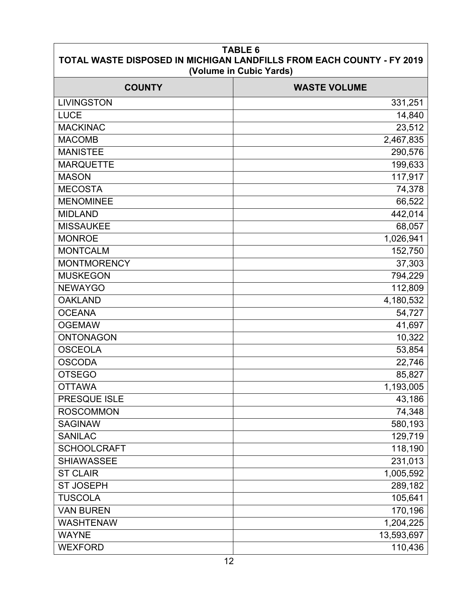| <b>TABLE 6</b><br>TOTAL WASTE DISPOSED IN MICHIGAN LANDFILLS FROM EACH COUNTY - FY 2019<br>(Volume in Cubic Yards) |                     |  |  |
|--------------------------------------------------------------------------------------------------------------------|---------------------|--|--|
| <b>COUNTY</b>                                                                                                      | <b>WASTE VOLUME</b> |  |  |
| <b>LIVINGSTON</b>                                                                                                  | 331,251             |  |  |
| <b>LUCE</b>                                                                                                        | 14,840              |  |  |
| <b>MACKINAC</b>                                                                                                    | 23,512              |  |  |
| <b>MACOMB</b>                                                                                                      | 2,467,835           |  |  |
| <b>MANISTEE</b>                                                                                                    | 290,576             |  |  |
| <b>MARQUETTE</b>                                                                                                   | 199,633             |  |  |
| <b>MASON</b>                                                                                                       | 117,917             |  |  |
| <b>MECOSTA</b>                                                                                                     | 74,378              |  |  |
| <b>MENOMINEE</b>                                                                                                   | 66,522              |  |  |
| <b>MIDLAND</b>                                                                                                     | 442,014             |  |  |
| <b>MISSAUKEE</b>                                                                                                   | 68,057              |  |  |
| <b>MONROE</b>                                                                                                      | 1,026,941           |  |  |
| <b>MONTCALM</b>                                                                                                    | 152,750             |  |  |
| <b>MONTMORENCY</b>                                                                                                 | 37,303              |  |  |
| <b>MUSKEGON</b>                                                                                                    | 794,229             |  |  |
| <b>NEWAYGO</b>                                                                                                     | 112,809             |  |  |
| <b>OAKLAND</b>                                                                                                     | 4,180,532           |  |  |
| <b>OCEANA</b>                                                                                                      | 54,727              |  |  |
| <b>OGEMAW</b>                                                                                                      | 41,697              |  |  |
| <b>ONTONAGON</b>                                                                                                   | 10,322              |  |  |
| <b>OSCEOLA</b>                                                                                                     | 53,854              |  |  |
| <b>OSCODA</b>                                                                                                      | 22,746              |  |  |
| <b>OTSEGO</b>                                                                                                      | 85,827              |  |  |
| <b>OTTAWA</b>                                                                                                      | 1,193,005           |  |  |
| PRESQUE ISLE                                                                                                       | 43,186              |  |  |
| <b>ROSCOMMON</b>                                                                                                   | 74,348              |  |  |
| <b>SAGINAW</b>                                                                                                     | 580,193             |  |  |
| <b>SANILAC</b>                                                                                                     | 129,719             |  |  |
| <b>SCHOOLCRAFT</b>                                                                                                 | 118,190             |  |  |
| <b>SHIAWASSEE</b>                                                                                                  | 231,013             |  |  |
| <b>ST CLAIR</b>                                                                                                    | 1,005,592           |  |  |
| <b>ST JOSEPH</b>                                                                                                   | 289,182             |  |  |
| <b>TUSCOLA</b>                                                                                                     | 105,641             |  |  |
| <b>VAN BUREN</b>                                                                                                   | 170,196             |  |  |
| <b>WASHTENAW</b>                                                                                                   | 1,204,225           |  |  |
| <b>WAYNE</b>                                                                                                       | 13,593,697          |  |  |
| <b>WEXFORD</b>                                                                                                     | 110,436             |  |  |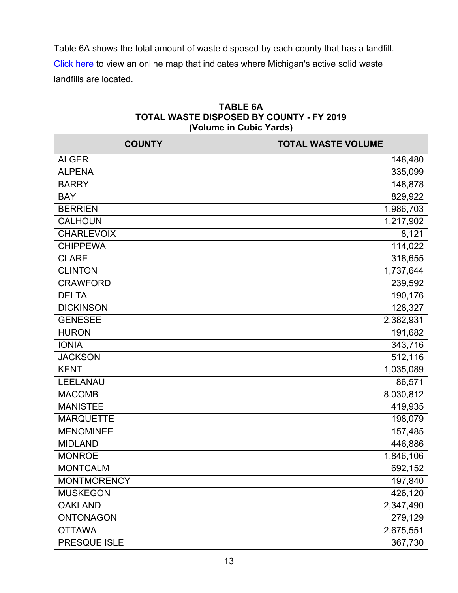Table 6A shows the total amount of waste disposed by each county that has a landfill. [Click here](http://www.michigan.gov/documents/deq/deq-whmd-swp-Landfill-map_247566_7.pdf) to view an online map that indicates where Michigan's active solid waste landfills are located.

| <b>TABLE 6A</b><br>TOTAL WASTE DISPOSED BY COUNTY - FY 2019<br>(Volume in Cubic Yards) |                           |  |  |
|----------------------------------------------------------------------------------------|---------------------------|--|--|
| <b>COUNTY</b>                                                                          | <b>TOTAL WASTE VOLUME</b> |  |  |
| <b>ALGER</b>                                                                           | 148,480                   |  |  |
| <b>ALPENA</b>                                                                          | 335,099                   |  |  |
| <b>BARRY</b>                                                                           | 148,878                   |  |  |
| <b>BAY</b>                                                                             | 829,922                   |  |  |
| <b>BERRIEN</b>                                                                         | 1,986,703                 |  |  |
| <b>CALHOUN</b>                                                                         | 1,217,902                 |  |  |
| <b>CHARLEVOIX</b>                                                                      | 8,121                     |  |  |
| <b>CHIPPEWA</b>                                                                        | 114,022                   |  |  |
| <b>CLARE</b>                                                                           | 318,655                   |  |  |
| <b>CLINTON</b>                                                                         | 1,737,644                 |  |  |
| <b>CRAWFORD</b>                                                                        | 239,592                   |  |  |
| <b>DELTA</b>                                                                           | 190,176                   |  |  |
| <b>DICKINSON</b>                                                                       | 128,327                   |  |  |
| <b>GENESEE</b>                                                                         | 2,382,931                 |  |  |
| <b>HURON</b>                                                                           | 191,682                   |  |  |
| <b>IONIA</b>                                                                           | 343,716                   |  |  |
| <b>JACKSON</b>                                                                         | 512,116                   |  |  |
| <b>KENT</b>                                                                            | 1,035,089                 |  |  |
| LEELANAU                                                                               | 86,571                    |  |  |
| <b>MACOMB</b>                                                                          | 8,030,812                 |  |  |
| <b>MANISTEE</b>                                                                        | 419,935                   |  |  |
| <b>MARQUETTE</b>                                                                       | 198,079                   |  |  |
| <b>MENOMINEE</b>                                                                       | 157,485                   |  |  |
| <b>MIDLAND</b>                                                                         | 446,886                   |  |  |
| <b>MONROE</b>                                                                          | 1,846,106                 |  |  |
| <b>MONTCALM</b>                                                                        | 692,152                   |  |  |
| <b>MONTMORENCY</b>                                                                     | 197,840                   |  |  |
| <b>MUSKEGON</b>                                                                        | 426,120                   |  |  |
| <b>OAKLAND</b>                                                                         | 2,347,490                 |  |  |
| <b>ONTONAGON</b>                                                                       | 279,129                   |  |  |
| <b>OTTAWA</b>                                                                          | 2,675,551                 |  |  |
| PRESQUE ISLE                                                                           | 367,730                   |  |  |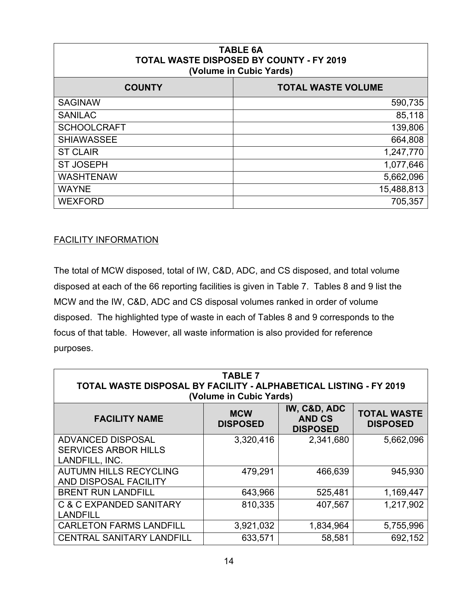| <b>TABLE 6A</b><br>TOTAL WASTE DISPOSED BY COUNTY - FY 2019<br>(Volume in Cubic Yards) |                           |  |  |
|----------------------------------------------------------------------------------------|---------------------------|--|--|
| <b>COUNTY</b>                                                                          | <b>TOTAL WASTE VOLUME</b> |  |  |
| <b>SAGINAW</b>                                                                         | 590,735                   |  |  |
| <b>SANILAC</b>                                                                         | 85,118                    |  |  |
| <b>SCHOOLCRAFT</b>                                                                     | 139,806                   |  |  |
| <b>SHIAWASSEE</b>                                                                      | 664,808                   |  |  |
| <b>ST CLAIR</b>                                                                        | 1,247,770                 |  |  |
| <b>ST JOSEPH</b>                                                                       | 1,077,646                 |  |  |
| <b>WASHTENAW</b>                                                                       | 5,662,096                 |  |  |
| <b>WAYNE</b>                                                                           | 15,488,813                |  |  |
| <b>WEXFORD</b>                                                                         | 705,357                   |  |  |

#### FACILITY INFORMATION

The total of MCW disposed, total of IW, C&D, ADC, and CS disposed, and total volume disposed at each of the 66 reporting facilities is given in Table 7. Tables 8 and 9 list the MCW and the IW, C&D, ADC and CS disposal volumes ranked in order of volume disposed. The highlighted type of waste in each of Tables 8 and 9 corresponds to the focus of that table. However, all waste information is also provided for reference purposes.

| <b>TABLE 7</b><br>TOTAL WASTE DISPOSAL BY FACILITY - ALPHABETICAL LISTING - FY 2019<br>(Volume in Cubic Yards) |                               |                                                  |                                       |
|----------------------------------------------------------------------------------------------------------------|-------------------------------|--------------------------------------------------|---------------------------------------|
| <b>FACILITY NAME</b>                                                                                           | <b>MCW</b><br><b>DISPOSED</b> | IW, C&D, ADC<br><b>AND CS</b><br><b>DISPOSED</b> | <b>TOTAL WASTE</b><br><b>DISPOSED</b> |
| <b>ADVANCED DISPOSAL</b><br><b>SERVICES ARBOR HILLS</b><br>LANDFILL, INC.                                      | 3,320,416                     | 2,341,680                                        | 5,662,096                             |
| <b>AUTUMN HILLS RECYCLING</b><br>AND DISPOSAL FACILITY                                                         | 479,291                       | 466,639                                          | 945,930                               |
| <b>BRENT RUN LANDFILL</b>                                                                                      | 643,966                       | 525,481                                          | 1,169,447                             |
| C & C EXPANDED SANITARY<br><b>LANDFILL</b>                                                                     | 810,335                       | 407,567                                          | 1,217,902                             |
| <b>CARLETON FARMS LANDFILL</b>                                                                                 | 3,921,032                     | 1,834,964                                        | 5,755,996                             |
| <b>CENTRAL SANITARY LANDFILL</b>                                                                               | 633,571                       | 58,581                                           | 692,152                               |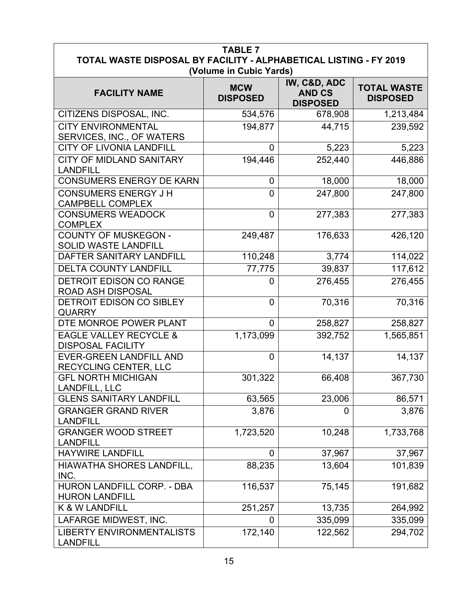| <b>TABLE 7</b><br>TOTAL WASTE DISPOSAL BY FACILITY - ALPHABETICAL LISTING - FY 2019<br>(Volume in Cubic Yards) |                               |                                                  |                                       |  |
|----------------------------------------------------------------------------------------------------------------|-------------------------------|--------------------------------------------------|---------------------------------------|--|
| <b>FACILITY NAME</b>                                                                                           | <b>MCW</b><br><b>DISPOSED</b> | IW, C&D, ADC<br><b>AND CS</b><br><b>DISPOSED</b> | <b>TOTAL WASTE</b><br><b>DISPOSED</b> |  |
| CITIZENS DISPOSAL, INC.                                                                                        | 534,576                       | 678,908                                          | 1,213,484                             |  |
| <b>CITY ENVIRONMENTAL</b><br>SERVICES, INC., OF WATERS                                                         | 194,877                       | 44,715                                           | 239,592                               |  |
| <b>CITY OF LIVONIA LANDFILL</b>                                                                                | $\overline{0}$                | 5,223                                            | 5,223                                 |  |
| CITY OF MIDLAND SANITARY<br><b>LANDFILL</b>                                                                    | 194,446                       | 252,440                                          | 446,886                               |  |
| <b>CONSUMERS ENERGY DE KARN</b>                                                                                | 0                             | 18,000                                           | 18,000                                |  |
| <b>CONSUMERS ENERGY J H</b><br><b>CAMPBELL COMPLEX</b>                                                         | $\overline{0}$                | 247,800                                          | 247,800                               |  |
| <b>CONSUMERS WEADOCK</b><br><b>COMPLEX</b>                                                                     | $\overline{0}$                | 277,383                                          | 277,383                               |  |
| <b>COUNTY OF MUSKEGON -</b><br><b>SOLID WASTE LANDFILL</b>                                                     | 249,487                       | 176,633                                          | 426,120                               |  |
| DAFTER SANITARY LANDFILL                                                                                       | 110,248                       | 3,774                                            | 114,022                               |  |
| <b>DELTA COUNTY LANDFILL</b>                                                                                   | 77,775                        | 39,837                                           | 117,612                               |  |
| <b>DETROIT EDISON CO RANGE</b><br><b>ROAD ASH DISPOSAL</b>                                                     | $\overline{0}$                | 276,455                                          | 276,455                               |  |
| DETROIT EDISON CO SIBLEY<br><b>QUARRY</b>                                                                      | $\mathbf 0$                   | 70,316                                           | 70,316                                |  |
| DTE MONROE POWER PLANT                                                                                         | $\overline{0}$                | 258,827                                          | 258,827                               |  |
| <b>EAGLE VALLEY RECYCLE &amp;</b><br><b>DISPOSAL FACILITY</b>                                                  | 1,173,099                     | 392,752                                          | 1,565,851                             |  |
| <b>EVER-GREEN LANDFILL AND</b><br>RECYCLING CENTER, LLC                                                        | $\overline{0}$                | 14,137                                           | 14,137                                |  |
| <b>GFL NORTH MICHIGAN</b><br>LANDFILL, LLC                                                                     | 301,322                       | 66,408                                           | 367,730                               |  |
| <b>GLENS SANITARY LANDFILL</b>                                                                                 | 63,565                        | 23,006                                           | 86,571                                |  |
| <b>GRANGER GRAND RIVER</b><br><b>LANDFILL</b>                                                                  | 3,876                         | $\overline{0}$                                   | 3,876                                 |  |
| <b>GRANGER WOOD STREET</b><br><b>LANDFILL</b>                                                                  | 1,723,520                     | 10,248                                           | 1,733,768                             |  |
| <b>HAYWIRE LANDFILL</b>                                                                                        | $\overline{0}$                | 37,967                                           | 37,967                                |  |
| HIAWATHA SHORES LANDFILL,<br>INC.                                                                              | 88,235                        | 13,604                                           | 101,839                               |  |
| HURON LANDFILL CORP. - DBA<br><b>HURON LANDFILL</b>                                                            | 116,537                       | 75,145                                           | 191,682                               |  |
| K & W LANDFILL                                                                                                 | 251,257                       | 13,735                                           | 264,992                               |  |
| LAFARGE MIDWEST, INC.                                                                                          | $\mathbf 0$                   | 335,099                                          | 335,099                               |  |
| <b>LIBERTY ENVIRONMENTALISTS</b><br><b>LANDFILL</b>                                                            | 172,140                       | 122,562                                          | 294,702                               |  |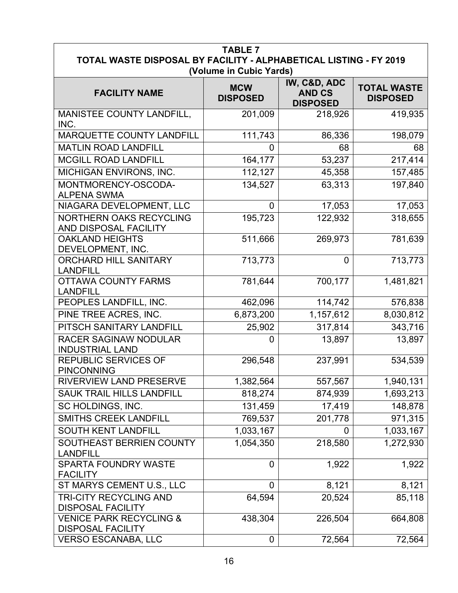| <b>TABLE 7</b><br>TOTAL WASTE DISPOSAL BY FACILITY - ALPHABETICAL LISTING - FY 2019<br>(Volume in Cubic Yards) |                               |                                                  |                                       |  |
|----------------------------------------------------------------------------------------------------------------|-------------------------------|--------------------------------------------------|---------------------------------------|--|
| <b>FACILITY NAME</b>                                                                                           | <b>MCW</b><br><b>DISPOSED</b> | IW, C&D, ADC<br><b>AND CS</b><br><b>DISPOSED</b> | <b>TOTAL WASTE</b><br><b>DISPOSED</b> |  |
| MANISTEE COUNTY LANDFILL,<br>INC.                                                                              | 201,009                       | 218,926                                          | 419,935                               |  |
| MARQUETTE COUNTY LANDFILL                                                                                      | 111,743                       | 86,336                                           | 198,079                               |  |
| <b>MATLIN ROAD LANDFILL</b>                                                                                    | 0                             | 68                                               | 68                                    |  |
| <b>MCGILL ROAD LANDFILL</b>                                                                                    | 164,177                       | 53,237                                           | 217,414                               |  |
| MICHIGAN ENVIRONS, INC.                                                                                        | 112,127                       | 45,358                                           | 157,485                               |  |
| MONTMORENCY-OSCODA-<br><b>ALPENA SWMA</b>                                                                      | 134,527                       | 63,313                                           | 197,840                               |  |
| NIAGARA DEVELOPMENT, LLC                                                                                       | $\overline{0}$                | 17,053                                           | 17,053                                |  |
| <b>NORTHERN OAKS RECYCLING</b><br>AND DISPOSAL FACILITY                                                        | 195,723                       | 122,932                                          | 318,655                               |  |
| <b>OAKLAND HEIGHTS</b><br>DEVELOPMENT, INC.                                                                    | 511,666                       | 269,973                                          | 781,639                               |  |
| <b>ORCHARD HILL SANITARY</b><br><b>LANDFILL</b>                                                                | 713,773                       | $\overline{0}$                                   | 713,773                               |  |
| <b>OTTAWA COUNTY FARMS</b><br><b>LANDFILL</b>                                                                  | 781,644                       | 700,177                                          | 1,481,821                             |  |
| PEOPLES LANDFILL, INC.                                                                                         | 462,096                       | 114,742                                          | 576,838                               |  |
| PINE TREE ACRES, INC.                                                                                          | 6,873,200                     | 1,157,612                                        | 8,030,812                             |  |
| PITSCH SANITARY LANDFILL                                                                                       | 25,902                        | 317,814                                          | 343,716                               |  |
| <b>RACER SAGINAW NODULAR</b><br><b>INDUSTRIAL LAND</b>                                                         | $\overline{0}$                | 13,897                                           | 13,897                                |  |
| <b>REPUBLIC SERVICES OF</b><br><b>PINCONNING</b>                                                               | 296,548                       | 237,991                                          | 534,539                               |  |
| RIVERVIEW LAND PRESERVE                                                                                        | 1,382,564                     | 557,567                                          | 1,940,131                             |  |
| <b>SAUK TRAIL HILLS LANDFILL</b>                                                                               | 818,274                       | 874,939                                          | 1,693,213                             |  |
| SC HOLDINGS, INC.                                                                                              | 131,459                       | 17,419                                           | 148,878                               |  |
| <b>SMITHS CREEK LANDFILL</b>                                                                                   | 769,537                       | 201,778                                          | 971,315                               |  |
| <b>SOUTH KENT LANDFILL</b>                                                                                     | 1,033,167                     | $\mathbf 0$                                      | 1,033,167                             |  |
| SOUTHEAST BERRIEN COUNTY<br><b>LANDFILL</b>                                                                    | $\overline{1,}054,350$        | 218,580                                          | 1,272,930                             |  |
| <b>SPARTA FOUNDRY WASTE</b><br><b>FACILITY</b>                                                                 | $\mathbf 0$                   | 1,922                                            | 1,922                                 |  |
| ST MARYS CEMENT U.S., LLC                                                                                      | $\overline{0}$                | 8,121                                            | 8,121                                 |  |
| <b>TRI-CITY RECYCLING AND</b><br><b>DISPOSAL FACILITY</b>                                                      | 64,594                        | 20,524                                           | 85,118                                |  |
| <b>VENICE PARK RECYCLING &amp;</b><br><b>DISPOSAL FACILITY</b>                                                 | 438,304                       | 226,504                                          | 664,808                               |  |
| <b>VERSO ESCANABA, LLC</b>                                                                                     | 0                             | 72,564                                           | 72,564                                |  |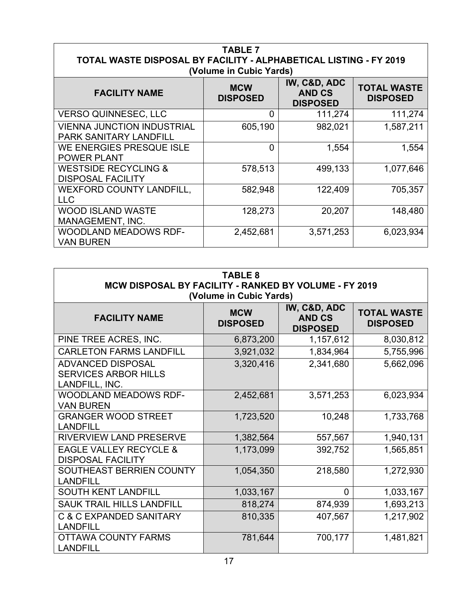| <b>TABLE 7</b><br>TOTAL WASTE DISPOSAL BY FACILITY - ALPHABETICAL LISTING - FY 2019<br>(Volume in Cubic Yards) |                               |                                                  |                                       |
|----------------------------------------------------------------------------------------------------------------|-------------------------------|--------------------------------------------------|---------------------------------------|
| <b>FACILITY NAME</b>                                                                                           | <b>MCW</b><br><b>DISPOSED</b> | IW, C&D, ADC<br><b>AND CS</b><br><b>DISPOSED</b> | <b>TOTAL WASTE</b><br><b>DISPOSED</b> |
| <b>VERSO QUINNESEC, LLC</b>                                                                                    | 0                             | 111,274                                          | 111,274                               |
| <b>VIENNA JUNCTION INDUSTRIAL</b><br><b>PARK SANITARY LANDFILL</b>                                             | 605,190                       | 982,021                                          | 1,587,211                             |
| WE ENERGIES PRESQUE ISLE<br><b>POWER PLANT</b>                                                                 | 0                             | 1,554                                            | 1,554                                 |
| <b>WESTSIDE RECYCLING &amp;</b><br><b>DISPOSAL FACILITY</b>                                                    | 578,513                       | 499,133                                          | 1,077,646                             |
| <b>WEXFORD COUNTY LANDFILL,</b><br><b>LLC</b>                                                                  | 582,948                       | 122,409                                          | 705,357                               |
| WOOD ISLAND WASTE<br>MANAGEMENT, INC.                                                                          | 128,273                       | 20,207                                           | 148,480                               |
| <b>WOODLAND MEADOWS RDF-</b><br><b>VAN BUREN</b>                                                               | 2,452,681                     | 3,571,253                                        | 6,023,934                             |

| <b>TABLE 8</b><br>MCW DISPOSAL BY FACILITY - RANKED BY VOLUME - FY 2019<br>(Volume in Cubic Yards) |                               |                                                  |                                       |
|----------------------------------------------------------------------------------------------------|-------------------------------|--------------------------------------------------|---------------------------------------|
| <b>FACILITY NAME</b>                                                                               | <b>MCW</b><br><b>DISPOSED</b> | IW, C&D, ADC<br><b>AND CS</b><br><b>DISPOSED</b> | <b>TOTAL WASTE</b><br><b>DISPOSED</b> |
| PINE TREE ACRES, INC.                                                                              | 6,873,200                     | 1,157,612                                        | 8,030,812                             |
| <b>CARLETON FARMS LANDFILL</b>                                                                     | 3,921,032                     | 1,834,964                                        | 5,755,996                             |
| <b>ADVANCED DISPOSAL</b><br><b>SERVICES ARBOR HILLS</b><br>LANDFILL, INC.                          | 3,320,416                     | 2,341,680                                        | 5,662,096                             |
| WOODLAND MEADOWS RDF-<br><b>VAN BUREN</b>                                                          | 2,452,681                     | 3,571,253                                        | 6,023,934                             |
| <b>GRANGER WOOD STREET</b><br><b>LANDFILL</b>                                                      | 1,723,520                     | 10,248                                           | 1,733,768                             |
| RIVERVIEW LAND PRESERVE                                                                            | 1,382,564                     | 557,567                                          | 1,940,131                             |
| <b>EAGLE VALLEY RECYCLE &amp;</b><br><b>DISPOSAL FACILITY</b>                                      | 1,173,099                     | 392,752                                          | 1,565,851                             |
| <b>SOUTHEAST BERRIEN COUNTY</b><br><b>LANDFILL</b>                                                 | 1,054,350                     | 218,580                                          | 1,272,930                             |
| <b>SOUTH KENT LANDFILL</b>                                                                         | 1,033,167                     | 0                                                | 1,033,167                             |
| <b>SAUK TRAIL HILLS LANDFILL</b>                                                                   | 818,274                       | 874,939                                          | 1,693,213                             |
| <b>C &amp; C EXPANDED SANITARY</b><br><b>LANDFILL</b>                                              | 810,335                       | 407,567                                          | 1,217,902                             |
| <b>OTTAWA COUNTY FARMS</b><br><b>LANDFILL</b>                                                      | 781,644                       | 700,177                                          | 1,481,821                             |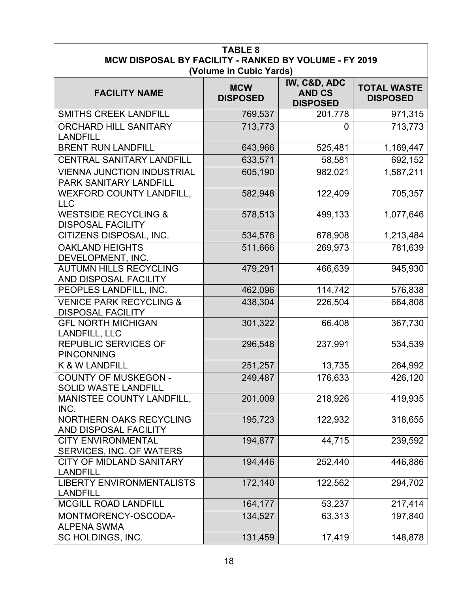| <b>TABLE 8</b><br>MCW DISPOSAL BY FACILITY - RANKED BY VOLUME - FY 2019 |                               |                                                  |                                       |
|-------------------------------------------------------------------------|-------------------------------|--------------------------------------------------|---------------------------------------|
|                                                                         | (Volume in Cubic Yards)       |                                                  |                                       |
| <b>FACILITY NAME</b>                                                    | <b>MCW</b><br><b>DISPOSED</b> | IW, C&D, ADC<br><b>AND CS</b><br><b>DISPOSED</b> | <b>TOTAL WASTE</b><br><b>DISPOSED</b> |
| <b>SMITHS CREEK LANDFILL</b>                                            | 769,537                       | 201,778                                          | 971,315                               |
| <b>ORCHARD HILL SANITARY</b><br><b>LANDFILL</b>                         | 713,773                       | $\overline{0}$                                   | 713,773                               |
| <b>BRENT RUN LANDFILL</b>                                               | 643,966                       | 525,481                                          | 1,169,447                             |
| CENTRAL SANITARY LANDFILL                                               | 633,571                       | 58,581                                           | 692,152                               |
| <b>VIENNA JUNCTION INDUSTRIAL</b><br>PARK SANITARY LANDFILL             | 605,190                       | 982,021                                          | 1,587,211                             |
| <b>WEXFORD COUNTY LANDFILL,</b><br><b>LLC</b>                           | 582,948                       | 122,409                                          | 705,357                               |
| <b>WESTSIDE RECYCLING &amp;</b><br><b>DISPOSAL FACILITY</b>             | 578,513                       | 499,133                                          | 1,077,646                             |
| CITIZENS DISPOSAL, INC.                                                 | 534,576                       | 678,908                                          | 1,213,484                             |
| <b>OAKLAND HEIGHTS</b><br>DEVELOPMENT, INC.                             | 511,666                       | 269,973                                          | 781,639                               |
| <b>AUTUMN HILLS RECYCLING</b><br>AND DISPOSAL FACILITY                  | 479,291                       | 466,639                                          | 945,930                               |
| PEOPLES LANDFILL, INC.                                                  | 462,096                       | 114,742                                          | 576,838                               |
| <b>VENICE PARK RECYCLING &amp;</b><br><b>DISPOSAL FACILITY</b>          | 438,304                       | 226,504                                          | 664,808                               |
| <b>GFL NORTH MICHIGAN</b><br>LANDFILL, LLC                              | 301,322                       | 66,408                                           | 367,730                               |
| <b>REPUBLIC SERVICES OF</b><br><b>PINCONNING</b>                        | 296,548                       | 237,991                                          | 534,539                               |
| K & W LANDFILL                                                          | 251,257                       | 13,735                                           | 264,992                               |
| <b>COUNTY OF MUSKEGON -</b><br><b>SOLID WASTE LANDFILL</b>              | 249,487                       | 176,633                                          | 426,120                               |
| MANISTEE COUNTY LANDFILL,<br>INC.                                       | 201,009                       | 218,926                                          | 419,935                               |
| NORTHERN OAKS RECYCLING<br>AND DISPOSAL FACILITY                        | 195,723                       | 122,932                                          | 318,655                               |
| <b>CITY ENVIRONMENTAL</b><br>SERVICES, INC. OF WATERS                   | 194,877                       | 44,715                                           | 239,592                               |
| <b>CITY OF MIDLAND SANITARY</b><br><b>LANDFILL</b>                      | 194,446                       | 252,440                                          | 446,886                               |
| <b>LIBERTY ENVIRONMENTALISTS</b><br><b>LANDFILL</b>                     | 172,140                       | 122,562                                          | 294,702                               |
| <b>MCGILL ROAD LANDFILL</b>                                             | 164,177                       | 53,237                                           | 217,414                               |
| MONTMORENCY-OSCODA-<br><b>ALPENA SWMA</b>                               | 134,527                       | 63,313                                           | 197,840                               |
| SC HOLDINGS, INC.                                                       | 131,459                       | 17,419                                           | 148,878                               |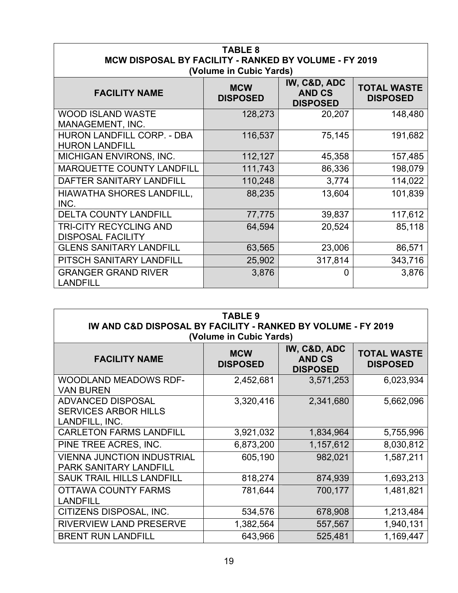| <b>TABLE 8</b><br>MCW DISPOSAL BY FACILITY - RANKED BY VOLUME - FY 2019<br>(Volume in Cubic Yards) |                               |                                                  |                                       |
|----------------------------------------------------------------------------------------------------|-------------------------------|--------------------------------------------------|---------------------------------------|
| <b>FACILITY NAME</b>                                                                               | <b>MCW</b><br><b>DISPOSED</b> | IW, C&D, ADC<br><b>AND CS</b><br><b>DISPOSED</b> | <b>TOTAL WASTE</b><br><b>DISPOSED</b> |
| <b>WOOD ISLAND WASTE</b><br>MANAGEMENT, INC.                                                       | 128,273                       | 20,207                                           | 148,480                               |
| <b>HURON LANDFILL CORP. - DBA</b><br><b>HURON LANDFILL</b>                                         | 116,537                       | 75,145                                           | 191,682                               |
| <b>MICHIGAN ENVIRONS, INC.</b>                                                                     | 112,127                       | 45,358                                           | 157,485                               |
| <b>MARQUETTE COUNTY LANDFILL</b>                                                                   | 111,743                       | 86,336                                           | 198,079                               |
| DAFTER SANITARY LANDFILL                                                                           | 110,248                       | 3,774                                            | 114,022                               |
| <b>HIAWATHA SHORES LANDFILL,</b><br>INC.                                                           | 88,235                        | 13,604                                           | 101,839                               |
| <b>DELTA COUNTY LANDFILL</b>                                                                       | 77,775                        | 39,837                                           | 117,612                               |
| <b>TRI-CITY RECYCLING AND</b><br><b>DISPOSAL FACILITY</b>                                          | 64,594                        | 20,524                                           | 85,118                                |
| <b>GLENS SANITARY LANDFILL</b>                                                                     | 63,565                        | 23,006                                           | 86,571                                |
| PITSCH SANITARY LANDFILL                                                                           | 25,902                        | 317,814                                          | 343,716                               |
| <b>GRANGER GRAND RIVER</b><br><b>LANDFILL</b>                                                      | 3,876                         | 0                                                | 3,876                                 |

| <b>TABLE 9</b><br>IW AND C&D DISPOSAL BY FACILITY - RANKED BY VOLUME - FY 2019<br>(Volume in Cubic Yards) |                               |                                                  |                                       |
|-----------------------------------------------------------------------------------------------------------|-------------------------------|--------------------------------------------------|---------------------------------------|
| <b>FACILITY NAME</b>                                                                                      | <b>MCW</b><br><b>DISPOSED</b> | IW, C&D, ADC<br><b>AND CS</b><br><b>DISPOSED</b> | <b>TOTAL WASTE</b><br><b>DISPOSED</b> |
| <b>WOODLAND MEADOWS RDF-</b><br><b>VAN BUREN</b>                                                          | 2,452,681                     | 3,571,253                                        | 6,023,934                             |
| <b>ADVANCED DISPOSAL</b><br><b>SERVICES ARBOR HILLS</b><br>LANDFILL, INC.                                 | 3,320,416                     | 2,341,680                                        | 5,662,096                             |
| <b>CARLETON FARMS LANDFILL</b>                                                                            | 3,921,032                     | 1,834,964                                        | 5,755,996                             |
| PINE TREE ACRES, INC.                                                                                     | 6,873,200                     | 1,157,612                                        | 8,030,812                             |
| <b>VIENNA JUNCTION INDUSTRIAL</b><br><b>PARK SANITARY LANDFILL</b>                                        | 605,190                       | 982,021                                          | 1,587,211                             |
| <b>SAUK TRAIL HILLS LANDFILL</b>                                                                          | 818,274                       | 874,939                                          | 1,693,213                             |
| <b>OTTAWA COUNTY FARMS</b><br><b>LANDFILL</b>                                                             | 781,644                       | 700,177                                          | 1,481,821                             |
| CITIZENS DISPOSAL, INC.                                                                                   | 534,576                       | 678,908                                          | 1,213,484                             |
| <b>RIVERVIEW LAND PRESERVE</b>                                                                            | 1,382,564                     | 557,567                                          | 1,940,131                             |
| <b>BRENT RUN LANDFILL</b>                                                                                 | 643,966                       | 525,481                                          | 1,169,447                             |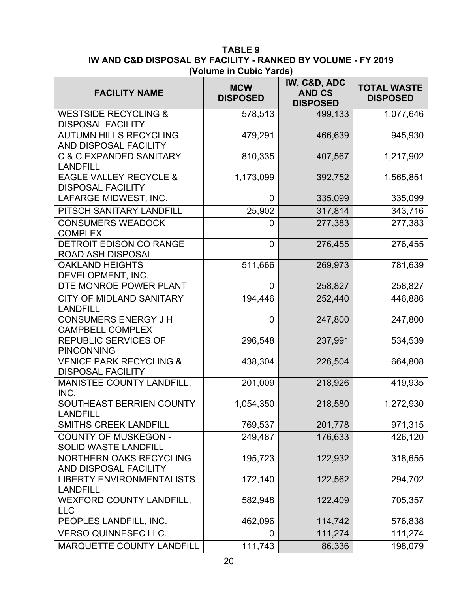| <b>TABLE 9</b><br>IW AND C&D DISPOSAL BY FACILITY - RANKED BY VOLUME - FY 2019 |                                                          |                                                  |                                       |  |  |  |
|--------------------------------------------------------------------------------|----------------------------------------------------------|--------------------------------------------------|---------------------------------------|--|--|--|
| <b>FACILITY NAME</b>                                                           | (Volume in Cubic Yards)<br><b>MCW</b><br><b>DISPOSED</b> | IW, C&D, ADC<br><b>AND CS</b><br><b>DISPOSED</b> | <b>TOTAL WASTE</b><br><b>DISPOSED</b> |  |  |  |
| <b>WESTSIDE RECYCLING &amp;</b><br><b>DISPOSAL FACILITY</b>                    | 578,513                                                  | 499,133                                          | 1,077,646                             |  |  |  |
| <b>AUTUMN HILLS RECYCLING</b><br>AND DISPOSAL FACILITY                         | 479,291                                                  | 466,639                                          | 945,930                               |  |  |  |
| <b>C &amp; C EXPANDED SANITARY</b><br><b>LANDFILL</b>                          | 810,335                                                  | 407,567                                          | 1,217,902                             |  |  |  |
| <b>EAGLE VALLEY RECYCLE &amp;</b><br><b>DISPOSAL FACILITY</b>                  | 1,173,099                                                | 392,752                                          | 1,565,851                             |  |  |  |
| LAFARGE MIDWEST, INC.                                                          | 0                                                        | 335,099                                          | 335,099                               |  |  |  |
| PITSCH SANITARY LANDFILL                                                       | 25,902                                                   | 317,814                                          | 343,716                               |  |  |  |
| <b>CONSUMERS WEADOCK</b><br><b>COMPLEX</b>                                     | 0                                                        | 277,383                                          | 277,383                               |  |  |  |
| <b>DETROIT EDISON CO RANGE</b><br><b>ROAD ASH DISPOSAL</b>                     | $\mathbf 0$                                              | 276,455                                          | 276,455                               |  |  |  |
| <b>OAKLAND HEIGHTS</b><br>DEVELOPMENT, INC.                                    | 511,666                                                  | 269,973                                          | 781,639                               |  |  |  |
| DTE MONROE POWER PLANT                                                         | $\Omega$                                                 | 258,827                                          | 258,827                               |  |  |  |
| CITY OF MIDLAND SANITARY<br><b>LANDFILL</b>                                    | 194,446                                                  | 252,440                                          | 446,886                               |  |  |  |
| <b>CONSUMERS ENERGY J H</b><br><b>CAMPBELL COMPLEX</b>                         | $\overline{0}$                                           | 247,800                                          | 247,800                               |  |  |  |
| <b>REPUBLIC SERVICES OF</b><br><b>PINCONNING</b>                               | 296,548                                                  | 237,991                                          | 534,539                               |  |  |  |
| <b>VENICE PARK RECYCLING &amp;</b><br><b>DISPOSAL FACILITY</b>                 | 438,304                                                  | 226,504                                          | 664,808                               |  |  |  |
| <b>MANISTEE COUNTY LANDFILL,</b><br>INC.                                       | 201,009                                                  | 218,926                                          | 419,935                               |  |  |  |
| SOUTHEAST BERRIEN COUNTY<br><b>LANDFILL</b>                                    | 1,054,350                                                | 218,580                                          | 1,272,930                             |  |  |  |
| <b>SMITHS CREEK LANDFILL</b>                                                   | 769,537                                                  | 201,778                                          | 971,315                               |  |  |  |
| <b>COUNTY OF MUSKEGON -</b><br><b>SOLID WASTE LANDFILL</b>                     | 249,487                                                  | 176,633                                          | 426,120                               |  |  |  |
| <b>NORTHERN OAKS RECYCLING</b><br>AND DISPOSAL FACILITY                        | 195,723                                                  | 122,932                                          | 318,655                               |  |  |  |
| <b>LIBERTY ENVIRONMENTALISTS</b><br><b>LANDFILL</b>                            | 172,140                                                  | 122,562                                          | 294,702                               |  |  |  |
| <b>WEXFORD COUNTY LANDFILL,</b><br><b>LLC</b>                                  | 582,948                                                  | 122,409                                          | 705,357                               |  |  |  |
| PEOPLES LANDFILL, INC.                                                         | 462,096                                                  | 114,742                                          | 576,838                               |  |  |  |
| <b>VERSO QUINNESEC LLC.</b>                                                    | 0                                                        | 111,274                                          | 111,274                               |  |  |  |
| MARQUETTE COUNTY LANDFILL                                                      | 111,743                                                  | 86,336                                           | 198,079                               |  |  |  |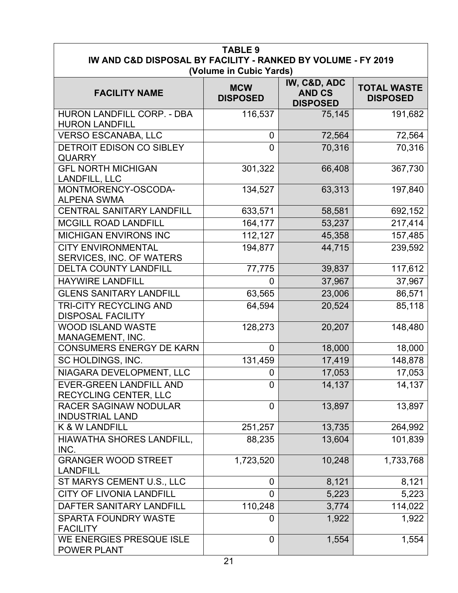| <b>TABLE 9</b><br>IW AND C&D DISPOSAL BY FACILITY - RANKED BY VOLUME - FY 2019<br>(Volume in Cubic Yards) |                               |                                                  |                                       |  |  |  |
|-----------------------------------------------------------------------------------------------------------|-------------------------------|--------------------------------------------------|---------------------------------------|--|--|--|
| <b>FACILITY NAME</b>                                                                                      | <b>MCW</b><br><b>DISPOSED</b> | IW, C&D, ADC<br><b>AND CS</b><br><b>DISPOSED</b> | <b>TOTAL WASTE</b><br><b>DISPOSED</b> |  |  |  |
| HURON LANDFILL CORP. - DBA<br><b>HURON LANDFILL</b>                                                       | 116,537                       | 75,145                                           | 191,682                               |  |  |  |
| <b>VERSO ESCANABA, LLC</b>                                                                                | 0                             | 72,564                                           | 72,564                                |  |  |  |
| DETROIT EDISON CO SIBLEY<br><b>QUARRY</b>                                                                 | $\overline{0}$                | 70,316                                           | 70,316                                |  |  |  |
| <b>GFL NORTH MICHIGAN</b><br>LANDFILL, LLC                                                                | 301,322                       | 66,408                                           | 367,730                               |  |  |  |
| MONTMORENCY-OSCODA-<br><b>ALPENA SWMA</b>                                                                 | 134,527                       | 63,313                                           | 197,840                               |  |  |  |
| <b>CENTRAL SANITARY LANDFILL</b>                                                                          | 633,571                       | 58,581                                           | 692,152                               |  |  |  |
| <b>MCGILL ROAD LANDFILL</b>                                                                               | 164,177                       | 53,237                                           | 217,414                               |  |  |  |
| <b>MICHIGAN ENVIRONS INC</b>                                                                              | 112,127                       | 45,358                                           | 157,485                               |  |  |  |
| <b>CITY ENVIRONMENTAL</b><br>SERVICES, INC. OF WATERS                                                     | 194,877                       | 44,715                                           | 239,592                               |  |  |  |
| <b>DELTA COUNTY LANDFILL</b>                                                                              | 77,775                        | 39,837                                           | 117,612                               |  |  |  |
| <b>HAYWIRE LANDFILL</b>                                                                                   | $\overline{0}$                | 37,967                                           | 37,967                                |  |  |  |
| <b>GLENS SANITARY LANDFILL</b>                                                                            | 63,565                        | 23,006                                           | 86,571                                |  |  |  |
| <b>TRI-CITY RECYCLING AND</b><br><b>DISPOSAL FACILITY</b>                                                 | 64,594                        | 20,524                                           | 85,118                                |  |  |  |
| <b>WOOD ISLAND WASTE</b><br>MANAGEMENT, INC.                                                              | 128,273                       | 20,207                                           | 148,480                               |  |  |  |
| <b>CONSUMERS ENERGY DE KARN</b>                                                                           | $\overline{0}$                | 18,000                                           | 18,000                                |  |  |  |
| SC HOLDINGS, INC.                                                                                         | 131,459                       | 17,419                                           | 148,878                               |  |  |  |
| NIAGARA DEVELOPMENT, LLC                                                                                  | 0                             | 17,053                                           | 17,053                                |  |  |  |
| <b>EVER-GREEN LANDFILL AND</b><br>RECYCLING CENTER, LLC                                                   | 0                             | 14,137                                           | 14,137                                |  |  |  |
| <b>RACER SAGINAW NODULAR</b><br><b>INDUSTRIAL LAND</b>                                                    | $\overline{0}$                | 13,897                                           | 13,897                                |  |  |  |
| <b>K &amp; W LANDFILL</b>                                                                                 | 251,257                       | 13,735                                           | 264,992                               |  |  |  |
| <b>HIAWATHA SHORES LANDFILL,</b><br>INC.                                                                  | 88,235                        | 13,604                                           | 101,839                               |  |  |  |
| <b>GRANGER WOOD STREET</b><br><b>LANDFILL</b>                                                             | 1,723,520                     | 10,248                                           | 1,733,768                             |  |  |  |
| ST MARYS CEMENT U.S., LLC                                                                                 | 0                             | 8,121                                            | 8,121                                 |  |  |  |
| <b>CITY OF LIVONIA LANDFILL</b>                                                                           | 0                             | 5,223                                            | 5,223                                 |  |  |  |
| DAFTER SANITARY LANDFILL                                                                                  | 110,248                       | 3,774                                            | 114,022                               |  |  |  |
| <b>SPARTA FOUNDRY WASTE</b><br><b>FACILITY</b>                                                            | 0                             | 1,922                                            | 1,922                                 |  |  |  |
| WE ENERGIES PRESQUE ISLE<br>POWER PLANT                                                                   | $\overline{0}$                | 1,554                                            | 1,554                                 |  |  |  |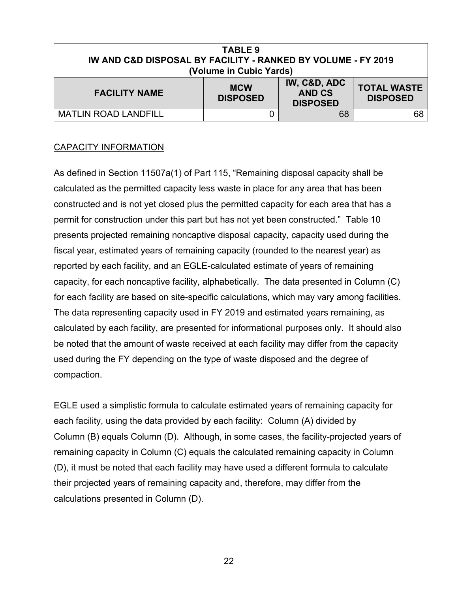| TABLE 9<br><b>IW AND C&amp;D DISPOSAL BY FACILITY - RANKED BY VOLUME - FY 2019</b><br>(Volume in Cubic Yards)                                      |  |    |    |  |  |  |
|----------------------------------------------------------------------------------------------------------------------------------------------------|--|----|----|--|--|--|
| IW, C&D, ADC<br><b>TOTAL WASTE</b><br><b>MCW</b><br><b>AND CS</b><br><b>FACILITY NAME</b><br><b>DISPOSED</b><br><b>DISPOSED</b><br><b>DISPOSED</b> |  |    |    |  |  |  |
| <b>MATLIN ROAD LANDFILL</b>                                                                                                                        |  | 68 | 68 |  |  |  |

#### CAPACITY INFORMATION

As defined in Section 11507a(1) of Part 115, "Remaining disposal capacity shall be calculated as the permitted capacity less waste in place for any area that has been constructed and is not yet closed plus the permitted capacity for each area that has a permit for construction under this part but has not yet been constructed." Table 10 presents projected remaining noncaptive disposal capacity, capacity used during the fiscal year, estimated years of remaining capacity (rounded to the nearest year) as reported by each facility, and an EGLE-calculated estimate of years of remaining capacity, for each noncaptive facility, alphabetically. The data presented in Column (C) for each facility are based on site-specific calculations, which may vary among facilities. The data representing capacity used in FY 2019 and estimated years remaining, as calculated by each facility, are presented for informational purposes only. It should also be noted that the amount of waste received at each facility may differ from the capacity used during the FY depending on the type of waste disposed and the degree of compaction.

EGLE used a simplistic formula to calculate estimated years of remaining capacity for each facility, using the data provided by each facility: Column (A) divided by Column (B) equals Column (D). Although, in some cases, the facility-projected years of remaining capacity in Column (C) equals the calculated remaining capacity in Column (D), it must be noted that each facility may have used a different formula to calculate their projected years of remaining capacity and, therefore, may differ from the calculations presented in Column (D).

22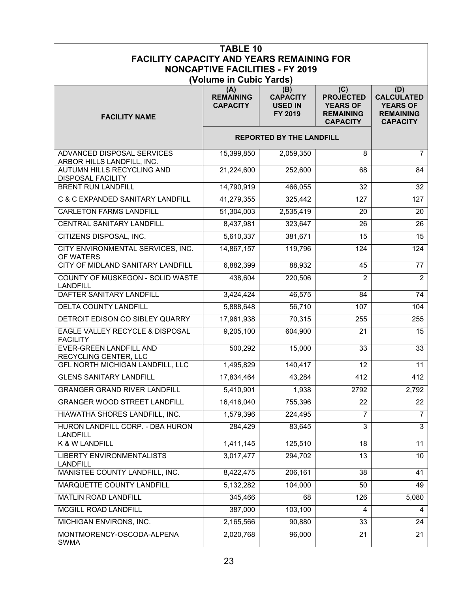| <b>TABLE 10</b><br><b>FACILITY CAPACITY AND YEARS REMAINING FOR</b> |                                            |                                                     |                                                                                   |                                                                                    |  |  |  |
|---------------------------------------------------------------------|--------------------------------------------|-----------------------------------------------------|-----------------------------------------------------------------------------------|------------------------------------------------------------------------------------|--|--|--|
|                                                                     | <b>NONCAPTIVE FACILITIES - FY 2019</b>     |                                                     |                                                                                   |                                                                                    |  |  |  |
| (Volume in Cubic Yards)                                             |                                            |                                                     |                                                                                   |                                                                                    |  |  |  |
| <b>FACILITY NAME</b>                                                | (A)<br><b>REMAINING</b><br><b>CAPACITY</b> | (B)<br><b>CAPACITY</b><br><b>USED IN</b><br>FY 2019 | (C)<br><b>PROJECTED</b><br><b>YEARS OF</b><br><b>REMAINING</b><br><b>CAPACITY</b> | (D)<br><b>CALCULATED</b><br><b>YEARS OF</b><br><b>REMAINING</b><br><b>CAPACITY</b> |  |  |  |
| <b>REPORTED BY THE LANDFILL</b>                                     |                                            |                                                     |                                                                                   |                                                                                    |  |  |  |
| <b>ADVANCED DISPOSAL SERVICES</b><br>ARBOR HILLS LANDFILL, INC.     | 15,399,850                                 | 2,059,350                                           | 8                                                                                 | $\overline{7}$                                                                     |  |  |  |
| AUTUMN HILLS RECYCLING AND<br><b>DISPOSAL FACILITY</b>              | 21,224,600                                 | 252,600                                             | 68                                                                                | 84                                                                                 |  |  |  |
| <b>BRENT RUN LANDFILL</b>                                           | 14,790,919                                 | 466,055                                             | 32                                                                                | 32                                                                                 |  |  |  |
| C & C EXPANDED SANITARY LANDFILL                                    | 41,279,355                                 | 325,442                                             | 127                                                                               | 127                                                                                |  |  |  |
| <b>CARLETON FARMS LANDFILL</b>                                      | 51,304,003                                 | 2,535,419                                           | 20                                                                                | 20                                                                                 |  |  |  |
| CENTRAL SANITARY LANDFILL                                           | 8,437,981                                  | 323,647                                             | 26                                                                                | 26                                                                                 |  |  |  |
| CITIZENS DISPOSAL, INC.                                             | 5,610,337                                  | 381,671                                             | 15                                                                                | 15                                                                                 |  |  |  |
| CITY ENVIRONMENTAL SERVICES, INC.<br>OF WATERS                      | 14,867,157                                 | 119,796                                             | 124                                                                               | 124                                                                                |  |  |  |
| CITY OF MIDLAND SANITARY LANDFILL                                   | 6,882,399                                  | 88,932                                              | 45                                                                                | $\overline{77}$                                                                    |  |  |  |
| COUNTY OF MUSKEGON - SOLID WASTE<br><b>LANDFILL</b>                 | 438,604                                    | 220,506                                             | $\overline{2}$                                                                    | $\overline{2}$                                                                     |  |  |  |
| DAFTER SANITARY LANDFILL                                            | 3,424,424                                  | 46,575                                              | 84                                                                                | $\overline{74}$                                                                    |  |  |  |
| DELTA COUNTY LANDFILL                                               | 5,888,648                                  | 56,710                                              | 107                                                                               | 104                                                                                |  |  |  |
| DETROIT EDISON CO SIBLEY QUARRY                                     | 17,961,938                                 | 70,315                                              | 255                                                                               | 255                                                                                |  |  |  |
| EAGLE VALLEY RECYCLE & DISPOSAL<br><b>FACILITY</b>                  | 9,205,100                                  | 604,900                                             | 21                                                                                | 15                                                                                 |  |  |  |
| <b>EVER-GREEN LANDFILL AND</b><br>RECYCLING CENTER, LLC             | 500,292                                    | 15,000                                              | 33                                                                                | 33                                                                                 |  |  |  |
| <b>GFL NORTH MICHIGAN LANDFILL, LLC</b>                             | 1,495,829                                  | 140,417                                             | 12                                                                                | $\overline{11}$                                                                    |  |  |  |
| <b>GLENS SANITARY LANDFILI</b>                                      | 17,834,464                                 | 43,284                                              | 412                                                                               | 412                                                                                |  |  |  |
| <b>GRANGER GRAND RIVER LANDFILL</b>                                 | 5,410,901                                  | 1,938                                               | 2792                                                                              | 2,792                                                                              |  |  |  |
| <b>GRANGER WOOD STREET LANDFILL</b>                                 | 16,416,040                                 | 755,396                                             | 22                                                                                | 22                                                                                 |  |  |  |
| HIAWATHA SHORES LANDFILL, INC.                                      | 1,579,396                                  | 224,495                                             | $\overline{7}$                                                                    | $\overline{7}$                                                                     |  |  |  |
| HURON LANDFILL CORP. - DBA HURON<br><b>LANDFILL</b>                 | 284,429                                    | 83,645                                              | 3                                                                                 | 3                                                                                  |  |  |  |
| K & W LANDFILL                                                      | 1,411,145                                  | 125,510                                             | 18                                                                                | 11                                                                                 |  |  |  |
| <b>LIBERTY ENVIRONMENTALISTS</b><br><b>LANDFILL</b>                 | 3,017,477                                  | 294,702                                             | 13                                                                                | 10 <sup>1</sup>                                                                    |  |  |  |
| MANISTEE COUNTY LANDFILL, INC.                                      | 8,422,475                                  | 206,161                                             | 38                                                                                | 41                                                                                 |  |  |  |
| MARQUETTE COUNTY LANDFILL                                           | 5,132,282                                  | 104,000                                             | 50                                                                                | 49                                                                                 |  |  |  |
| MATLIN ROAD LANDFILL                                                | 345,466                                    | 68                                                  | 126                                                                               | 5,080                                                                              |  |  |  |
| <b>MCGILL ROAD LANDFILL</b>                                         | 387,000                                    | 103,100                                             | 4                                                                                 | $\overline{4}$                                                                     |  |  |  |
| MICHIGAN ENVIRONS, INC.                                             | 2,165,566                                  | 90,880                                              | 33                                                                                | 24                                                                                 |  |  |  |
| MONTMORENCY-OSCODA-ALPENA<br><b>SWMA</b>                            | 2,020,768                                  | 96,000                                              | 21                                                                                | 21                                                                                 |  |  |  |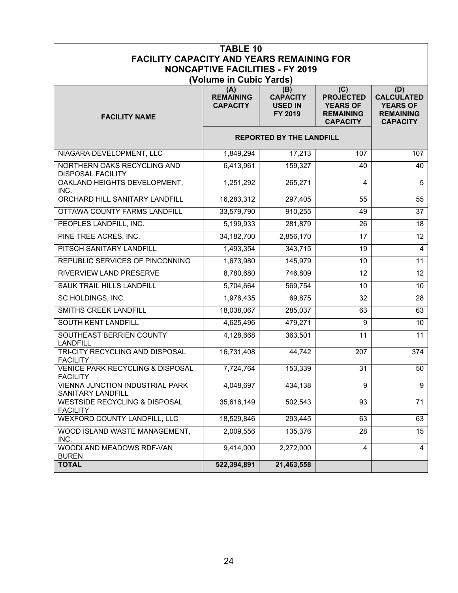|                                                                | <b>TABLE 10</b>                        |                                              |                                                                            |                                                                             |
|----------------------------------------------------------------|----------------------------------------|----------------------------------------------|----------------------------------------------------------------------------|-----------------------------------------------------------------------------|
| <b>FACILITY CAPACITY AND YEARS REMAINING FOR</b>               |                                        |                                              |                                                                            |                                                                             |
|                                                                | <b>NONCAPTIVE FACILITIES - FY 2019</b> |                                              |                                                                            |                                                                             |
|                                                                | (Volume in Cubic Yards)<br>(A)         | (B)                                          | (C)                                                                        | (D)                                                                         |
| <b>FACILITY NAME</b>                                           | <b>REMAINING</b><br><b>CAPACITY</b>    | <b>CAPACITY</b><br><b>USED IN</b><br>FY 2019 | <b>PROJECTED</b><br><b>YEARS OF</b><br><b>REMAINING</b><br><b>CAPACITY</b> | <b>CALCULATED</b><br><b>YEARS OF</b><br><b>REMAINING</b><br><b>CAPACITY</b> |
|                                                                |                                        | <b>REPORTED BY THE LANDFILL</b>              |                                                                            |                                                                             |
| NIAGARA DEVELOPMENT, LLC                                       | 1,849,294                              | 17,213                                       | 107                                                                        | 107                                                                         |
| NORTHERN OAKS RECYCLING AND<br><b>DISPOSAL FACILITY</b>        | 6,413,961                              | 159,327                                      | 40                                                                         | 40                                                                          |
| OAKLAND HEIGHTS DEVELOPMENT,<br>INC.                           | 1,251,292                              | 265,271                                      | 4                                                                          | 5                                                                           |
| ORCHARD HILL SANITARY LANDFILL                                 | 16,283,312                             | 297,405                                      | 55                                                                         | 55                                                                          |
| OTTAWA COUNTY FARMS LANDFILL                                   | 33,579,790                             | 910,255                                      | 49                                                                         | 37                                                                          |
| PEOPLES LANDFILL, INC.                                         | 5,199,933                              | 281,879                                      | 26                                                                         | 18                                                                          |
| PINE TREE ACRES, INC.                                          | 34, 182, 700                           | 2,856,170                                    | 17                                                                         | 12                                                                          |
| PITSCH SANITARY LANDFILL                                       | 1,493,354                              | 343,715                                      | 19                                                                         | $\overline{4}$                                                              |
| REPUBLIC SERVICES OF PINCONNING                                | 1,673,980                              | 145,979                                      | 10                                                                         | 11                                                                          |
| RIVERVIEW LAND PRESERVE                                        | 8,780,680                              | 746,809                                      | 12                                                                         | 12 <sup>°</sup>                                                             |
| SAUK TRAIL HILLS LANDFILL                                      | 5,704,664                              | 569,754                                      | 10                                                                         | 10                                                                          |
| SC HOLDINGS, INC.                                              | 1,976,435                              | 69,875                                       | 32                                                                         | 28                                                                          |
| SMITHS CREEK LANDFILL                                          | 18,038,067                             | 285,037                                      | 63                                                                         | 63                                                                          |
| <b>SOUTH KENT LANDFILL</b>                                     | 4,625,496                              | 479,271                                      | 9                                                                          | 10                                                                          |
| SOUTHEAST BERRIEN COUNTY<br><b>LANDFILL</b>                    | 4,128,668                              | 363,501                                      | 11                                                                         | 11                                                                          |
| TRI-CITY RECYCLING AND DISPOSAL<br><b>FACILITY</b>             | 16,731,408                             | 44,742                                       | 207                                                                        | 374                                                                         |
| <b>VENICE PARK RECYCLING &amp; DISPOSAL</b><br><b>FACILITY</b> | 7,724,764                              | 153,339                                      | 31                                                                         | 50                                                                          |
| VIENNA JUNCTION INDUSTRIAL PARK<br>SANITARY LANDFILL           | 4,048,697                              | 434,138                                      | 9                                                                          | 9                                                                           |
| <b>WESTSIDE RECYCLING &amp; DISPOSAL</b><br><b>FACILITY</b>    | 35,616,149                             | 502,543                                      | 93                                                                         | 71                                                                          |
| <b>WEXFORD COUNTY LANDFILL, LLC</b>                            | 18,529,846                             | 293,445                                      | 63                                                                         | 63                                                                          |
| WOOD ISLAND WASTE MANAGEMENT,<br>INC.                          | 2,009,556                              | 135,376                                      | 28                                                                         | 15                                                                          |
| WOODLAND MEADOWS RDF-VAN<br><b>BUREN</b>                       | 9,414,000                              | 2,272,000                                    | 4                                                                          | $\overline{4}$                                                              |
| <b>TOTAL</b>                                                   | 522,394,891                            | 21,463,558                                   |                                                                            |                                                                             |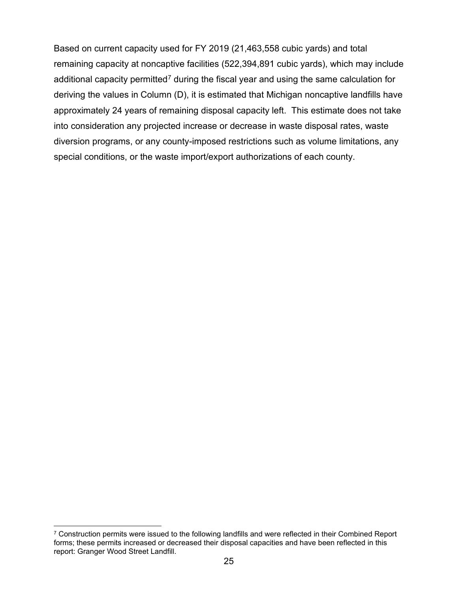Based on current capacity used for FY 2019 (21,463,558 cubic yards) and total remaining capacity at noncaptive facilities (522,394,891 cubic yards), which may include additional capacity permitted<sup>[7](#page-26-0)</sup> during the fiscal year and using the same calculation for deriving the values in Column (D), it is estimated that Michigan noncaptive landfills have approximately 24 years of remaining disposal capacity left. This estimate does not take into consideration any projected increase or decrease in waste disposal rates, waste diversion programs, or any county-imposed restrictions such as volume limitations, any special conditions, or the waste import/export authorizations of each county.

<span id="page-26-0"></span><sup>&</sup>lt;sup>7</sup> Construction permits were issued to the following landfills and were reflected in their Combined Report forms; these permits increased or decreased their disposal capacities and have been reflected in this report: Granger Wood Street Landfill.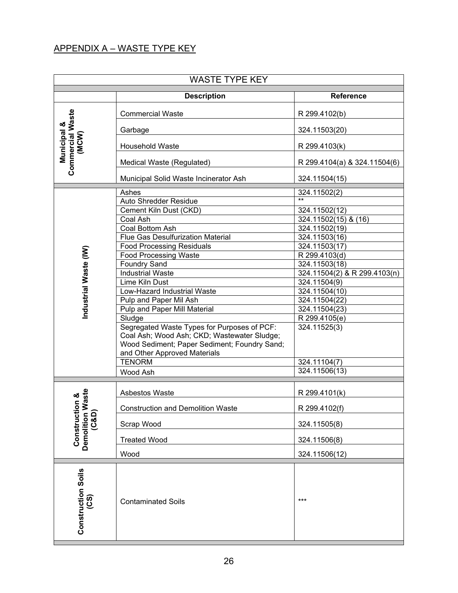#### APPENDIX A – WASTE TYPE KEY

| <b>Description</b><br><b>Reference</b><br>Commercial Waste<br>(MCW)<br><b>Commercial Waste</b><br>R 299.4102(b)<br>Municipal &<br>324.11503(20)<br>Garbage<br><b>Household Waste</b><br>R 299.4103(k)<br>Medical Waste (Regulated)<br>R 299.4104(a) & 324.11504(6)<br>Municipal Solid Waste Incinerator Ash<br>324.11504(15)<br>Ashes<br>324.11502(2)<br>$^{++}$<br><b>Auto Shredder Residue</b><br>Cement Kiln Dust (CKD)<br>$\overline{32}4.11502(12)$<br>Coal Ash<br>324.11502(15) & (16)<br>Coal Bottom Ash<br>324.11502(19)<br><b>Flue Gas Desulfurization Material</b><br>324.11503(16)<br><b>Food Processing Residuals</b><br>324.11503(17)<br>Industrial Waste (IW)<br><b>Food Processing Waste</b><br>R 299.4103(d)<br><b>Foundry Sand</b><br>324.11503(18)<br><b>Industrial Waste</b><br>324.11504(2) & R 299.4103(n)<br>Lime Kiln Dust<br>324.11504(9)<br>Low-Hazard Industrial Waste<br>324.11504(10)<br>Pulp and Paper Mil Ash<br>324.11504(22)<br>Pulp and Paper Mill Material<br>324.11504(23)<br>Sludge<br>R 299.4105(e)<br>Segregated Waste Types for Purposes of PCF:<br>324.11525(3)<br>Coal Ash; Wood Ash; CKD; Wastewater Sludge;<br>Wood Sediment; Paper Sediment; Foundry Sand;<br>and Other Approved Materials<br><b>TENORM</b><br>324.11104(7)<br>324.11506(13)<br>Wood Ash<br>Vaste<br>Asbestos Waste<br>R 299.4101(k)<br>Construction &<br>R 299.4102(f)<br><b>Construction and Demolition Waste</b><br>Demolition V<br>(C&D)<br>Scrap Wood<br>324.11505(8)<br><b>Treated Wood</b><br>324.11506(8)<br>Wood<br>324.11506(12)<br>(35)<br>$***$<br><b>Contaminated Soils</b> |                           | <b>WASTE TYPE KEY</b> |  |  |  |  |
|------------------------------------------------------------------------------------------------------------------------------------------------------------------------------------------------------------------------------------------------------------------------------------------------------------------------------------------------------------------------------------------------------------------------------------------------------------------------------------------------------------------------------------------------------------------------------------------------------------------------------------------------------------------------------------------------------------------------------------------------------------------------------------------------------------------------------------------------------------------------------------------------------------------------------------------------------------------------------------------------------------------------------------------------------------------------------------------------------------------------------------------------------------------------------------------------------------------------------------------------------------------------------------------------------------------------------------------------------------------------------------------------------------------------------------------------------------------------------------------------------------------------------------------------------------------------------------------------------|---------------------------|-----------------------|--|--|--|--|
|                                                                                                                                                                                                                                                                                                                                                                                                                                                                                                                                                                                                                                                                                                                                                                                                                                                                                                                                                                                                                                                                                                                                                                                                                                                                                                                                                                                                                                                                                                                                                                                                      |                           |                       |  |  |  |  |
|                                                                                                                                                                                                                                                                                                                                                                                                                                                                                                                                                                                                                                                                                                                                                                                                                                                                                                                                                                                                                                                                                                                                                                                                                                                                                                                                                                                                                                                                                                                                                                                                      |                           |                       |  |  |  |  |
|                                                                                                                                                                                                                                                                                                                                                                                                                                                                                                                                                                                                                                                                                                                                                                                                                                                                                                                                                                                                                                                                                                                                                                                                                                                                                                                                                                                                                                                                                                                                                                                                      |                           |                       |  |  |  |  |
|                                                                                                                                                                                                                                                                                                                                                                                                                                                                                                                                                                                                                                                                                                                                                                                                                                                                                                                                                                                                                                                                                                                                                                                                                                                                                                                                                                                                                                                                                                                                                                                                      |                           |                       |  |  |  |  |
|                                                                                                                                                                                                                                                                                                                                                                                                                                                                                                                                                                                                                                                                                                                                                                                                                                                                                                                                                                                                                                                                                                                                                                                                                                                                                                                                                                                                                                                                                                                                                                                                      |                           |                       |  |  |  |  |
|                                                                                                                                                                                                                                                                                                                                                                                                                                                                                                                                                                                                                                                                                                                                                                                                                                                                                                                                                                                                                                                                                                                                                                                                                                                                                                                                                                                                                                                                                                                                                                                                      |                           |                       |  |  |  |  |
|                                                                                                                                                                                                                                                                                                                                                                                                                                                                                                                                                                                                                                                                                                                                                                                                                                                                                                                                                                                                                                                                                                                                                                                                                                                                                                                                                                                                                                                                                                                                                                                                      |                           |                       |  |  |  |  |
|                                                                                                                                                                                                                                                                                                                                                                                                                                                                                                                                                                                                                                                                                                                                                                                                                                                                                                                                                                                                                                                                                                                                                                                                                                                                                                                                                                                                                                                                                                                                                                                                      |                           |                       |  |  |  |  |
|                                                                                                                                                                                                                                                                                                                                                                                                                                                                                                                                                                                                                                                                                                                                                                                                                                                                                                                                                                                                                                                                                                                                                                                                                                                                                                                                                                                                                                                                                                                                                                                                      |                           |                       |  |  |  |  |
|                                                                                                                                                                                                                                                                                                                                                                                                                                                                                                                                                                                                                                                                                                                                                                                                                                                                                                                                                                                                                                                                                                                                                                                                                                                                                                                                                                                                                                                                                                                                                                                                      |                           |                       |  |  |  |  |
|                                                                                                                                                                                                                                                                                                                                                                                                                                                                                                                                                                                                                                                                                                                                                                                                                                                                                                                                                                                                                                                                                                                                                                                                                                                                                                                                                                                                                                                                                                                                                                                                      |                           |                       |  |  |  |  |
|                                                                                                                                                                                                                                                                                                                                                                                                                                                                                                                                                                                                                                                                                                                                                                                                                                                                                                                                                                                                                                                                                                                                                                                                                                                                                                                                                                                                                                                                                                                                                                                                      |                           |                       |  |  |  |  |
|                                                                                                                                                                                                                                                                                                                                                                                                                                                                                                                                                                                                                                                                                                                                                                                                                                                                                                                                                                                                                                                                                                                                                                                                                                                                                                                                                                                                                                                                                                                                                                                                      |                           |                       |  |  |  |  |
|                                                                                                                                                                                                                                                                                                                                                                                                                                                                                                                                                                                                                                                                                                                                                                                                                                                                                                                                                                                                                                                                                                                                                                                                                                                                                                                                                                                                                                                                                                                                                                                                      |                           |                       |  |  |  |  |
|                                                                                                                                                                                                                                                                                                                                                                                                                                                                                                                                                                                                                                                                                                                                                                                                                                                                                                                                                                                                                                                                                                                                                                                                                                                                                                                                                                                                                                                                                                                                                                                                      |                           |                       |  |  |  |  |
|                                                                                                                                                                                                                                                                                                                                                                                                                                                                                                                                                                                                                                                                                                                                                                                                                                                                                                                                                                                                                                                                                                                                                                                                                                                                                                                                                                                                                                                                                                                                                                                                      |                           |                       |  |  |  |  |
|                                                                                                                                                                                                                                                                                                                                                                                                                                                                                                                                                                                                                                                                                                                                                                                                                                                                                                                                                                                                                                                                                                                                                                                                                                                                                                                                                                                                                                                                                                                                                                                                      |                           |                       |  |  |  |  |
|                                                                                                                                                                                                                                                                                                                                                                                                                                                                                                                                                                                                                                                                                                                                                                                                                                                                                                                                                                                                                                                                                                                                                                                                                                                                                                                                                                                                                                                                                                                                                                                                      |                           |                       |  |  |  |  |
|                                                                                                                                                                                                                                                                                                                                                                                                                                                                                                                                                                                                                                                                                                                                                                                                                                                                                                                                                                                                                                                                                                                                                                                                                                                                                                                                                                                                                                                                                                                                                                                                      |                           |                       |  |  |  |  |
|                                                                                                                                                                                                                                                                                                                                                                                                                                                                                                                                                                                                                                                                                                                                                                                                                                                                                                                                                                                                                                                                                                                                                                                                                                                                                                                                                                                                                                                                                                                                                                                                      |                           |                       |  |  |  |  |
|                                                                                                                                                                                                                                                                                                                                                                                                                                                                                                                                                                                                                                                                                                                                                                                                                                                                                                                                                                                                                                                                                                                                                                                                                                                                                                                                                                                                                                                                                                                                                                                                      |                           |                       |  |  |  |  |
|                                                                                                                                                                                                                                                                                                                                                                                                                                                                                                                                                                                                                                                                                                                                                                                                                                                                                                                                                                                                                                                                                                                                                                                                                                                                                                                                                                                                                                                                                                                                                                                                      |                           |                       |  |  |  |  |
|                                                                                                                                                                                                                                                                                                                                                                                                                                                                                                                                                                                                                                                                                                                                                                                                                                                                                                                                                                                                                                                                                                                                                                                                                                                                                                                                                                                                                                                                                                                                                                                                      |                           |                       |  |  |  |  |
|                                                                                                                                                                                                                                                                                                                                                                                                                                                                                                                                                                                                                                                                                                                                                                                                                                                                                                                                                                                                                                                                                                                                                                                                                                                                                                                                                                                                                                                                                                                                                                                                      |                           |                       |  |  |  |  |
|                                                                                                                                                                                                                                                                                                                                                                                                                                                                                                                                                                                                                                                                                                                                                                                                                                                                                                                                                                                                                                                                                                                                                                                                                                                                                                                                                                                                                                                                                                                                                                                                      |                           |                       |  |  |  |  |
|                                                                                                                                                                                                                                                                                                                                                                                                                                                                                                                                                                                                                                                                                                                                                                                                                                                                                                                                                                                                                                                                                                                                                                                                                                                                                                                                                                                                                                                                                                                                                                                                      |                           |                       |  |  |  |  |
|                                                                                                                                                                                                                                                                                                                                                                                                                                                                                                                                                                                                                                                                                                                                                                                                                                                                                                                                                                                                                                                                                                                                                                                                                                                                                                                                                                                                                                                                                                                                                                                                      |                           |                       |  |  |  |  |
|                                                                                                                                                                                                                                                                                                                                                                                                                                                                                                                                                                                                                                                                                                                                                                                                                                                                                                                                                                                                                                                                                                                                                                                                                                                                                                                                                                                                                                                                                                                                                                                                      |                           |                       |  |  |  |  |
|                                                                                                                                                                                                                                                                                                                                                                                                                                                                                                                                                                                                                                                                                                                                                                                                                                                                                                                                                                                                                                                                                                                                                                                                                                                                                                                                                                                                                                                                                                                                                                                                      |                           |                       |  |  |  |  |
|                                                                                                                                                                                                                                                                                                                                                                                                                                                                                                                                                                                                                                                                                                                                                                                                                                                                                                                                                                                                                                                                                                                                                                                                                                                                                                                                                                                                                                                                                                                                                                                                      |                           |                       |  |  |  |  |
|                                                                                                                                                                                                                                                                                                                                                                                                                                                                                                                                                                                                                                                                                                                                                                                                                                                                                                                                                                                                                                                                                                                                                                                                                                                                                                                                                                                                                                                                                                                                                                                                      |                           |                       |  |  |  |  |
|                                                                                                                                                                                                                                                                                                                                                                                                                                                                                                                                                                                                                                                                                                                                                                                                                                                                                                                                                                                                                                                                                                                                                                                                                                                                                                                                                                                                                                                                                                                                                                                                      |                           |                       |  |  |  |  |
|                                                                                                                                                                                                                                                                                                                                                                                                                                                                                                                                                                                                                                                                                                                                                                                                                                                                                                                                                                                                                                                                                                                                                                                                                                                                                                                                                                                                                                                                                                                                                                                                      |                           |                       |  |  |  |  |
|                                                                                                                                                                                                                                                                                                                                                                                                                                                                                                                                                                                                                                                                                                                                                                                                                                                                                                                                                                                                                                                                                                                                                                                                                                                                                                                                                                                                                                                                                                                                                                                                      | <b>Construction Soils</b> |                       |  |  |  |  |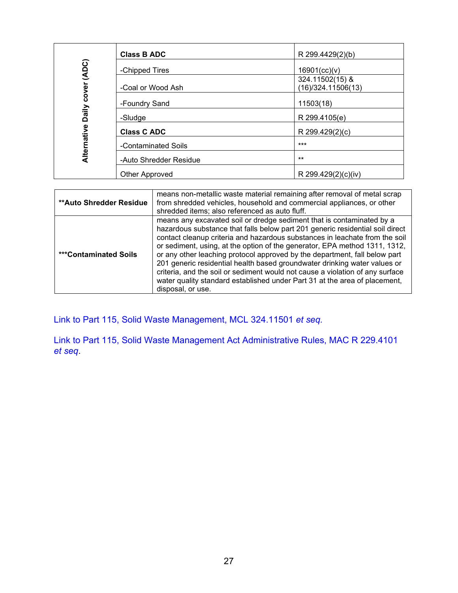|                   | <b>Class B ADC</b>     | R 299.4429(2)(b)                      |  |
|-------------------|------------------------|---------------------------------------|--|
|                   | -Chipped Tires         | 16901(cc)(v)                          |  |
| Daily cover (ADC) | -Coal or Wood Ash      | 324.11502(15) &<br>(16)/324.11506(13) |  |
|                   | -Foundry Sand          | 11503(18)                             |  |
| Alternative       | -Sludge                | R 299.4105(e)                         |  |
|                   | <b>Class C ADC</b>     | R 299.429(2)(c)                       |  |
|                   | -Contaminated Soils    | $***$                                 |  |
|                   | -Auto Shredder Residue | $***$                                 |  |
|                   | Other Approved         | R 299.429(2)(c)(iv)                   |  |

| <b>**Auto Shredder Residue</b> | means non-metallic waste material remaining after removal of metal scrap<br>from shredded vehicles, household and commercial appliances, or other<br>shredded items; also referenced as auto fluff.                                                                                                                                                                                                                                                                                                                                                                                                                                                                |
|--------------------------------|--------------------------------------------------------------------------------------------------------------------------------------------------------------------------------------------------------------------------------------------------------------------------------------------------------------------------------------------------------------------------------------------------------------------------------------------------------------------------------------------------------------------------------------------------------------------------------------------------------------------------------------------------------------------|
| <b>***Contaminated Soils</b>   | means any excavated soil or dredge sediment that is contaminated by a<br>hazardous substance that falls below part 201 generic residential soil direct<br>contact cleanup criteria and hazardous substances in leachate from the soil<br>or sediment, using, at the option of the generator, EPA method 1311, 1312,<br>or any other leaching protocol approved by the department, fall below part<br>201 generic residential health based groundwater drinking water values or<br>criteria, and the soil or sediment would not cause a violation of any surface<br>water quality standard established under Part 31 at the area of placement,<br>disposal, or use. |

[Link to Part 115, Solid Waste Management, MCL 324.11501](http://www.legislature.mi.gov/documents/mcl/pdf/mcl-451-1994-ii-3-115.pdf) *et seq.*

[Link to Part 115, Solid Waste Management Act Administrative Rules, MAC R 229.4101](https://dtmb.state.mi.us/ARS_Public/AdminCode/DownloadAdminCodeFile?FileName=1485_2014-146EQ_AdminCode.pdf)  *[et seq](https://dtmb.state.mi.us/ARS_Public/AdminCode/DownloadAdminCodeFile?FileName=1485_2014-146EQ_AdminCode.pdf)*.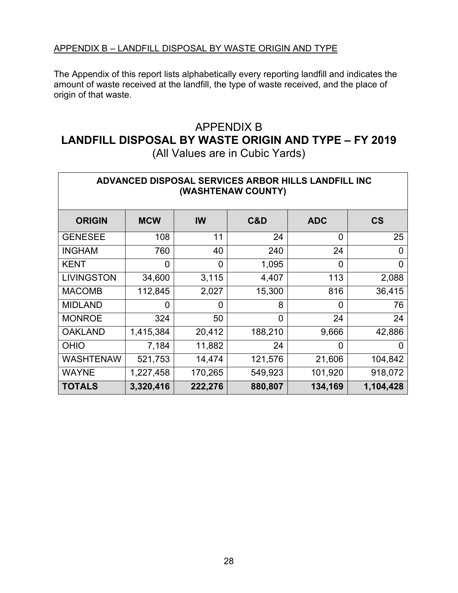The Appendix of this report lists alphabetically every reporting landfill and indicates the amount of waste received at the landfill, the type of waste received, and the place of origin of that waste.

#### APPENDIX B **LANDFILL DISPOSAL BY WASTE ORIGIN AND TYPE – FY 2019** (All Values are in Cubic Yards)

| <b>ADVANCED DISPOSAL SERVICES ARBOR HILLS LANDFILL INC</b><br>(WASHTENAW COUNTY) |                |                |         |                |                          |
|----------------------------------------------------------------------------------|----------------|----------------|---------|----------------|--------------------------|
| <b>ORIGIN</b>                                                                    | <b>MCW</b>     | IW             | C&D     | <b>ADC</b>     | $\mathsf{CS}\phantom{0}$ |
| <b>GENESEE</b>                                                                   | 108            | 11             | 24      | 0              | 25                       |
| <b>INGHAM</b>                                                                    | 760            | 40             | 240     | 24             | 0                        |
| <b>KENT</b>                                                                      | $\overline{0}$ | $\overline{0}$ | 1,095   | $\overline{0}$ | $\overline{0}$           |
| <b>LIVINGSTON</b>                                                                | 34,600         | 3,115          | 4,407   | 113            | 2,088                    |
| <b>MACOMB</b>                                                                    | 112,845        | 2,027          | 15,300  | 816            | 36,415                   |
| <b>MIDLAND</b>                                                                   | $\overline{0}$ | 0              | 8       | $\overline{0}$ | 76                       |
| <b>MONROE</b>                                                                    | 324            | 50             | 0       | 24             | 24                       |
| <b>OAKLAND</b>                                                                   | 1,415,384      | 20,412         | 188,210 | 9,666          | 42,886                   |
| <b>OHIO</b>                                                                      | 7,184          | 11,882         | 24      | $\Omega$       | 0                        |
| <b>WASHTENAW</b>                                                                 | 521,753        | 14,474         | 121,576 | 21,606         | 104,842                  |
| <b>WAYNE</b>                                                                     | 1,227,458      | 170,265        | 549,923 | 101,920        | 918,072                  |
| <b>TOTALS</b>                                                                    | 3,320,416      | 222,276        | 880,807 | 134,169        | 1,104,428                |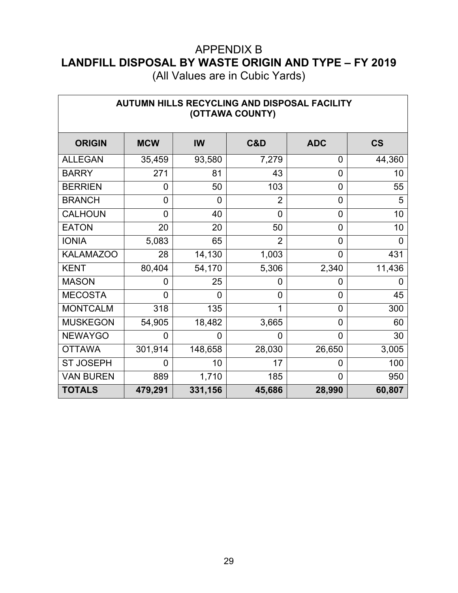(All Values are in Cubic Yards)

 $\overline{\phantom{a}}$ 

| AUTUMN HILLS RECYCLING AND DISPOSAL FACILITY<br>(OTTAWA COUNTY) |            |         |                |                |                          |
|-----------------------------------------------------------------|------------|---------|----------------|----------------|--------------------------|
| <b>ORIGIN</b>                                                   | <b>MCW</b> | IW      | C&D            | <b>ADC</b>     | $\mathsf{CS}\phantom{0}$ |
| <b>ALLEGAN</b>                                                  | 35,459     | 93,580  | 7,279          | 0              | 44,360                   |
| <b>BARRY</b>                                                    | 271        | 81      | 43             | 0              | 10                       |
| <b>BERRIEN</b>                                                  | 0          | 50      | 103            | 0              | 55                       |
| <b>BRANCH</b>                                                   | 0          | 0       | $\overline{2}$ | $\overline{0}$ | 5                        |
| <b>CALHOUN</b>                                                  | 0          | 40      | $\overline{0}$ | 0              | 10                       |
| <b>EATON</b>                                                    | 20         | 20      | 50             | 0              | 10                       |
| <b>IONIA</b>                                                    | 5,083      | 65      | $\overline{2}$ | 0              | 0                        |
| <b>KALAMAZOO</b>                                                | 28         | 14,130  | 1,003          | 0              | 431                      |
| <b>KENT</b>                                                     | 80,404     | 54,170  | 5,306          | 2,340          | 11,436                   |
| <b>MASON</b>                                                    | 0          | 25      | $\overline{0}$ | 0              |                          |
| <b>MECOSTA</b>                                                  | 0          | 0       | $\overline{0}$ | 0              | 45                       |
| <b>MONTCALM</b>                                                 | 318        | 135     | 1              | $\overline{0}$ | 300                      |
| <b>MUSKEGON</b>                                                 | 54,905     | 18,482  | 3,665          | 0              | 60                       |
| <b>NEWAYGO</b>                                                  | 0          | 0       | $\overline{0}$ | 0              | 30                       |
| <b>OTTAWA</b>                                                   | 301,914    | 148,658 | 28,030         | 26,650         | 3,005                    |
| <b>ST JOSEPH</b>                                                | 0          | 10      | 17             | 0              | 100                      |
| <b>VAN BUREN</b>                                                | 889        | 1,710   | 185            | 0              | 950                      |
| <b>TOTALS</b>                                                   | 479,291    | 331,156 | 45,686         | 28,990         | 60,807                   |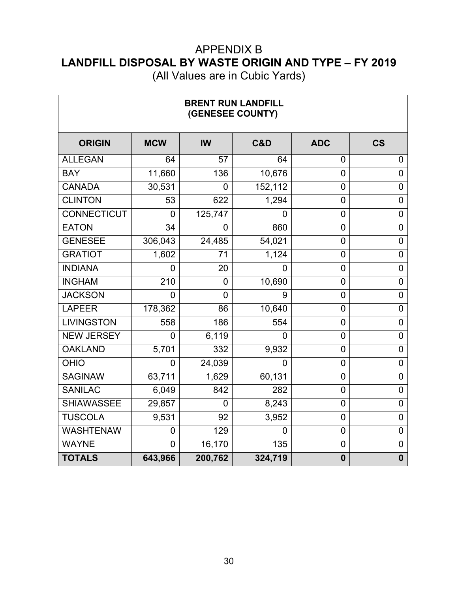(All Values are in Cubic Yards)

ヿ

 $\sqrt{ }$ 

| <b>BRENT RUN LANDFILL</b><br>(GENESEE COUNTY) |                |                |                |                |                          |
|-----------------------------------------------|----------------|----------------|----------------|----------------|--------------------------|
| <b>ORIGIN</b>                                 | <b>MCW</b>     | <b>IW</b>      | C&D            | <b>ADC</b>     | $\mathsf{CS}\phantom{0}$ |
| <b>ALLEGAN</b>                                | 64             | 57             | 64             | $\overline{0}$ | 0                        |
| <b>BAY</b>                                    | 11,660         | 136            | 10,676         | $\mathbf 0$    | $\mathbf 0$              |
| <b>CANADA</b>                                 | 30,531         | 0              | 152,112        | 0              | 0                        |
| <b>CLINTON</b>                                | 53             | 622            | 1,294          | $\overline{0}$ | $\mathbf 0$              |
| <b>CONNECTICUT</b>                            | 0              | 125,747        | 0              | $\mathbf 0$    | $\mathbf 0$              |
| <b>EATON</b>                                  | 34             | 0              | 860            | $\overline{0}$ | $\mathbf 0$              |
| <b>GENESEE</b>                                | 306,043        | 24,485         | 54,021         | $\mathbf 0$    | $\boldsymbol{0}$         |
| <b>GRATIOT</b>                                | 1,602          | 71             | 1,124          | 0              | $\mathbf 0$              |
| <b>INDIANA</b>                                | 0              | 20             | 0              | $\overline{0}$ | $\mathbf 0$              |
| <b>INGHAM</b>                                 | 210            | $\mathbf 0$    | 10,690         | 0              | $\mathbf 0$              |
| <b>JACKSON</b>                                | 0              | 0              | 9              | $\overline{0}$ | 0                        |
| <b>LAPEER</b>                                 | 178,362        | 86             | 10,640         | 0              | $\mathbf 0$              |
| <b>LIVINGSTON</b>                             | 558            | 186            | 554            | $\overline{0}$ | $\mathbf 0$              |
| <b>NEW JERSEY</b>                             | $\overline{0}$ | 6,119          | $\overline{0}$ | $\overline{0}$ | $\overline{0}$           |
| <b>OAKLAND</b>                                | 5,701          | 332            | 9,932          | $\mathbf 0$    | $\mathbf 0$              |
| <b>OHIO</b>                                   | 0              | 24,039         | $\overline{0}$ | $\overline{0}$ | $\mathbf 0$              |
| <b>SAGINAW</b>                                | 63,711         | 1,629          | 60,131         | $\overline{0}$ | $\overline{0}$           |
| <b>SANILAC</b>                                | 6,049          | 842            | 282            | $\overline{0}$ | $\mathbf 0$              |
| <b>SHIAWASSEE</b>                             | 29,857         | $\overline{0}$ | 8,243          | $\overline{0}$ | $\overline{0}$           |
| <b>TUSCOLA</b>                                | 9,531          | 92             | 3,952          | 0              | $\overline{0}$           |
| <b>WASHTENAW</b>                              | 0              | 129            | 0              | $\mathbf 0$    | $\mathbf 0$              |
| <b>WAYNE</b>                                  | 0              | 16,170         | 135            | 0              | $\mathbf 0$              |
| <b>TOTALS</b>                                 | 643,966        | 200,762        | 324,719        | $\mathbf 0$    | $\mathbf 0$              |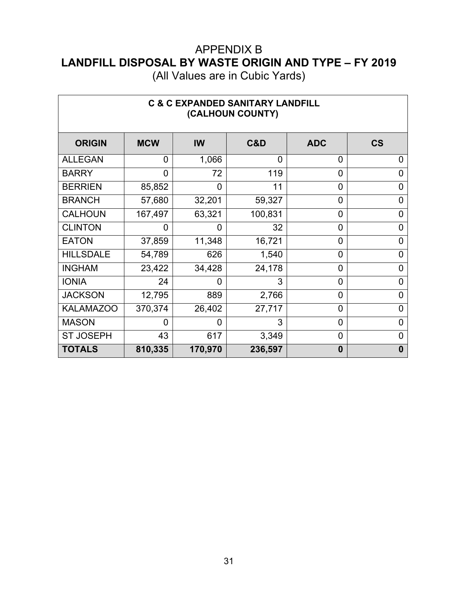(All Values are in Cubic Yards)

 $\overline{\phantom{a}}$ 

 $\Gamma$ 

| <b>C &amp; C EXPANDED SANITARY LANDFILL</b><br>(CALHOUN COUNTY) |            |                |          |                |                          |
|-----------------------------------------------------------------|------------|----------------|----------|----------------|--------------------------|
| <b>ORIGIN</b>                                                   | <b>MCW</b> | IW             | C&D      | <b>ADC</b>     | $\mathsf{CS}\phantom{0}$ |
| <b>ALLEGAN</b>                                                  | 0          | 1,066          | $\Omega$ | $\overline{0}$ | 0                        |
| <b>BARRY</b>                                                    | 0          | 72             | 119      | $\overline{0}$ | 0                        |
| <b>BERRIEN</b>                                                  | 85,852     | $\overline{0}$ | 11       | $\overline{0}$ | 0                        |
| <b>BRANCH</b>                                                   | 57,680     | 32,201         | 59,327   | $\overline{0}$ | 0                        |
| <b>CALHOUN</b>                                                  | 167,497    | 63,321         | 100,831  | $\overline{0}$ | 0                        |
| <b>CLINTON</b>                                                  | ი          | $\overline{0}$ | 32       | $\overline{0}$ | 0                        |
| <b>EATON</b>                                                    | 37,859     | 11,348         | 16,721   | $\overline{0}$ | 0                        |
| <b>HILLSDALE</b>                                                | 54,789     | 626            | 1,540    | 0              | 0                        |
| <b>INGHAM</b>                                                   | 23,422     | 34,428         | 24,178   | $\overline{0}$ | 0                        |
| <b>IONIA</b>                                                    | 24         | 0              | 3        | $\overline{0}$ | 0                        |
| <b>JACKSON</b>                                                  | 12,795     | 889            | 2,766    | $\overline{0}$ | 0                        |
| <b>KALAMAZOO</b>                                                | 370,374    | 26,402         | 27,717   | 0              | 0                        |
| <b>MASON</b>                                                    | 0          | 0              | 3        | 0              | 0                        |
| <b>ST JOSEPH</b>                                                | 43         | 617            | 3,349    | 0              | 0                        |
| <b>TOTALS</b>                                                   | 810,335    | 170,970        | 236,597  | $\bf{0}$       | 0                        |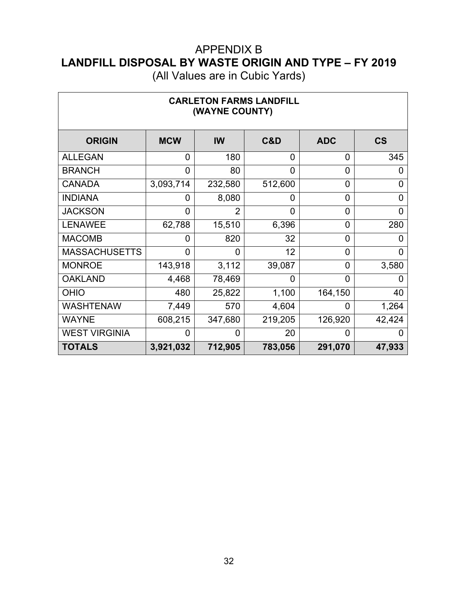(All Values are in Cubic Yards)

 $\Gamma$ 

 $\overline{\phantom{a}}$ 

| <b>CARLETON FARMS LANDFILL</b><br>(WAYNE COUNTY) |            |         |         |                |                          |  |  |  |
|--------------------------------------------------|------------|---------|---------|----------------|--------------------------|--|--|--|
| <b>ORIGIN</b>                                    | <b>MCW</b> | IW      | C&D     | <b>ADC</b>     | $\mathsf{CS}\phantom{0}$ |  |  |  |
| <b>ALLEGAN</b>                                   | 0          | 180     | 0       | 0              | 345                      |  |  |  |
| <b>BRANCH</b>                                    | 0          | 80      | 0       | 0              | 0                        |  |  |  |
| <b>CANADA</b>                                    | 3,093,714  | 232,580 | 512,600 | 0              | 0                        |  |  |  |
| <b>INDIANA</b>                                   | 0          | 8,080   | 0       | $\overline{0}$ | 0                        |  |  |  |
| <b>JACKSON</b>                                   | 0          | 2       | 0       | 0              | 0                        |  |  |  |
| <b>LENAWEE</b>                                   | 62,788     | 15,510  | 6,396   | 0              | 280                      |  |  |  |
| <b>MACOMB</b>                                    | 0          | 820     | 32      | 0              | 0                        |  |  |  |
| <b>MASSACHUSETTS</b>                             | 0          | 0       | 12      | 0              | 0                        |  |  |  |
| <b>MONROE</b>                                    | 143,918    | 3,112   | 39,087  | 0              | 3,580                    |  |  |  |
| <b>OAKLAND</b>                                   | 4,468      | 78,469  | 0       | 0              |                          |  |  |  |
| <b>OHIO</b>                                      | 480        | 25,822  | 1,100   | 164,150        | 40                       |  |  |  |
| <b>WASHTENAW</b>                                 | 7,449      | 570     | 4,604   | 0              | 1,264                    |  |  |  |
| <b>WAYNE</b>                                     | 608,215    | 347,680 | 219,205 | 126,920        | 42,424                   |  |  |  |
| <b>WEST VIRGINIA</b>                             | 0          | 0       | 20      | 0              |                          |  |  |  |
| <b>TOTALS</b>                                    | 3,921,032  | 712,905 | 783,056 | 291,070        | 47,933                   |  |  |  |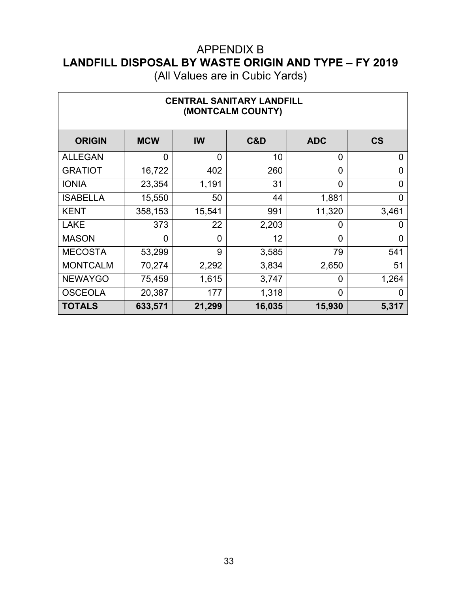(All Values are in Cubic Yards)

 $\mathbf{r}$ 

| <b>CENTRAL SANITARY LANDFILL</b><br>(MONTCALM COUNTY) |            |                |        |                |                          |  |
|-------------------------------------------------------|------------|----------------|--------|----------------|--------------------------|--|
| <b>ORIGIN</b>                                         | <b>MCW</b> | IW             | C&D    | <b>ADC</b>     | $\mathsf{CS}\phantom{0}$ |  |
| <b>ALLEGAN</b>                                        | 0          | $\overline{0}$ | 10     | 0              | 0                        |  |
| <b>GRATIOT</b>                                        | 16,722     | 402            | 260    | 0              | 0                        |  |
| <b>IONIA</b>                                          | 23,354     | 1,191          | 31     | $\overline{0}$ | 0                        |  |
| <b>ISABELLA</b>                                       | 15,550     | 50             | 44     | 1,881          | 0                        |  |
| <b>KENT</b>                                           | 358,153    | 15,541         | 991    | 11,320         | 3,461                    |  |
| <b>LAKE</b>                                           | 373        | 22             | 2,203  | $\overline{0}$ | 0                        |  |
| <b>MASON</b>                                          | $\Omega$   | $\overline{0}$ | 12     | $\Omega$       | 0                        |  |
| <b>MECOSTA</b>                                        | 53,299     | 9              | 3,585  | 79             | 541                      |  |
| <b>MONTCALM</b>                                       | 70,274     | 2,292          | 3,834  | 2,650          | 51                       |  |
| <b>NEWAYGO</b>                                        | 75,459     | 1,615          | 3,747  | 0              | 1,264                    |  |
| <b>OSCEOLA</b>                                        | 20,387     | 177            | 1,318  | $\overline{0}$ | 0                        |  |
| <b>TOTALS</b>                                         | 633,571    | 21,299         | 16,035 | 15,930         | 5,317                    |  |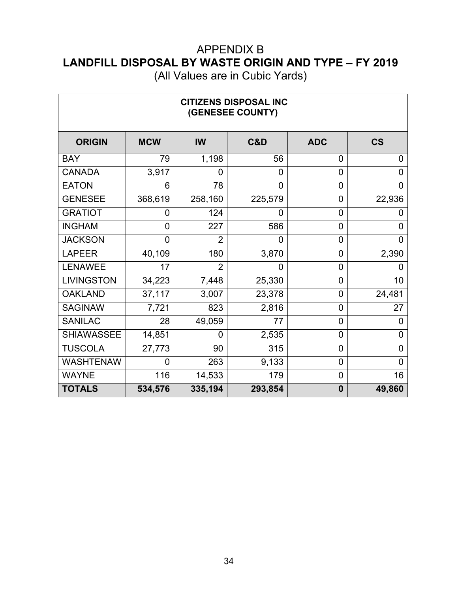(All Values are in Cubic Yards)

 $\overline{\phantom{a}}$ 

| <b>CITIZENS DISPOSAL INC</b><br>(GENESEE COUNTY) |            |                |         |                |           |  |
|--------------------------------------------------|------------|----------------|---------|----------------|-----------|--|
| <b>ORIGIN</b>                                    | <b>MCW</b> | <b>IW</b>      | C&D     | <b>ADC</b>     | <b>CS</b> |  |
| <b>BAY</b>                                       | 79         | 1,198          | 56      | $\overline{0}$ | 0         |  |
| <b>CANADA</b>                                    | 3,917      | 0              | 0       | $\overline{0}$ | 0         |  |
| <b>EATON</b>                                     | 6          | 78             | 0       | 0              | 0         |  |
| <b>GENESEE</b>                                   | 368,619    | 258,160        | 225,579 | $\overline{0}$ | 22,936    |  |
| <b>GRATIOT</b>                                   | 0          | 124            | 0       | $\overline{0}$ | 0         |  |
| <b>INGHAM</b>                                    | 0          | 227            | 586     | 0              | 0         |  |
| <b>JACKSON</b>                                   | 0          | 2              | 0       | $\overline{0}$ | 0         |  |
| <b>LAPEER</b>                                    | 40,109     | 180            | 3,870   | $\mathbf 0$    | 2,390     |  |
| <b>LENAWEE</b>                                   | 17         | $\overline{2}$ | 0       | $\overline{0}$ | 0         |  |
| <b>LIVINGSTON</b>                                | 34,223     | 7,448          | 25,330  | $\overline{0}$ | 10        |  |
| <b>OAKLAND</b>                                   | 37,117     | 3,007          | 23,378  | $\mathbf 0$    | 24,481    |  |
| <b>SAGINAW</b>                                   | 7,721      | 823            | 2,816   | $\overline{0}$ | 27        |  |
| <b>SANILAC</b>                                   | 28         | 49,059         | 77      | $\overline{0}$ | 0         |  |
| <b>SHIAWASSEE</b>                                | 14,851     | 0              | 2,535   | $\overline{0}$ | 0         |  |
| <b>TUSCOLA</b>                                   | 27,773     | 90             | 315     | $\overline{0}$ | 0         |  |
| <b>WASHTENAW</b>                                 | 0          | 263            | 9,133   | $\overline{0}$ | 0         |  |
| <b>WAYNE</b>                                     | 116        | 14,533         | 179     | $\overline{0}$ | 16        |  |
| <b>TOTALS</b>                                    | 534,576    | 335,194        | 293,854 | $\bf{0}$       | 49,860    |  |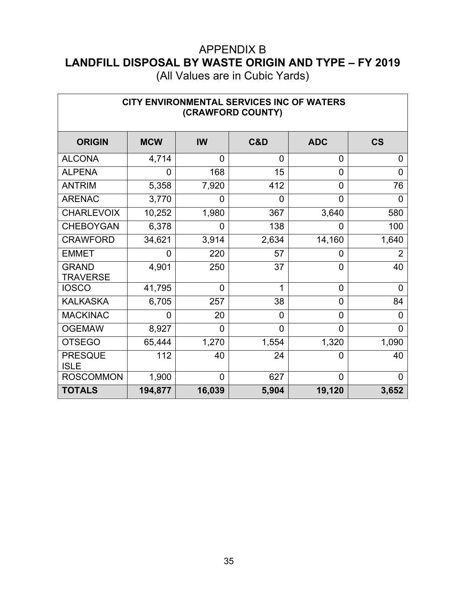(All Values are in Cubic Yards)

| CITY ENVIRONMENTAL SERVICES INC OF WATERS<br>(CRAWFORD COUNTY) |            |                |                |                |                |  |
|----------------------------------------------------------------|------------|----------------|----------------|----------------|----------------|--|
| <b>ORIGIN</b>                                                  | <b>MCW</b> | <b>IW</b>      | C&D            | <b>ADC</b>     | <b>CS</b>      |  |
| <b>ALCONA</b>                                                  | 4,714      | 0              | 0              | 0              | 0              |  |
| <b>ALPENA</b>                                                  | 0          | 168            | 15             | $\overline{0}$ | $\Omega$       |  |
| <b>ANTRIM</b>                                                  | 5,358      | 7,920          | 412            | 0              | 76             |  |
| <b>ARENAC</b>                                                  | 3,770      | 0              | 0              | 0              | 0              |  |
| <b>CHARLEVOIX</b>                                              | 10,252     | 1,980          | 367            | 3,640          | 580            |  |
| <b>CHEBOYGAN</b>                                               | 6,378      | 0              | 138            | 0              | 100            |  |
| <b>CRAWFORD</b>                                                | 34,621     | 3,914          | 2,634          | 14,160         | 1,640          |  |
| <b>EMMET</b>                                                   | 0          | 220            | 57             | 0              | 2              |  |
| <b>GRAND</b><br><b>TRAVERSE</b>                                | 4,901      | 250            | 37             | 0              | 40             |  |
| <b>IOSCO</b>                                                   | 41,795     | $\overline{0}$ | 1              | $\overline{0}$ | $\overline{0}$ |  |
| <b>KALKASKA</b>                                                | 6,705      | 257            | 38             | $\overline{0}$ | 84             |  |
| <b>MACKINAC</b>                                                | 0          | 20             | 0              | $\overline{0}$ | 0              |  |
| <b>OGEMAW</b>                                                  | 8,927      | $\overline{0}$ | $\overline{0}$ | $\overline{0}$ | $\overline{0}$ |  |
| <b>OTSEGO</b>                                                  | 65,444     | 1,270          | 1,554          | 1,320          | 1,090          |  |
| <b>PRESQUE</b><br><b>ISLE</b>                                  | 112        | 40             | 24             | 0              | 40             |  |
| <b>ROSCOMMON</b>                                               | 1,900      | $\overline{0}$ | 627            | $\overline{0}$ | 0              |  |
| <b>TOTALS</b>                                                  | 194,877    | 16,039         | 5,904          | 19,120         | 3,652          |  |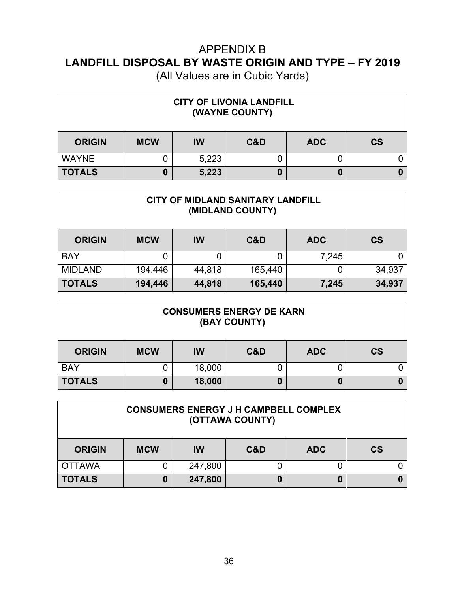| <b>CITY OF LIVONIA LANDFILL</b><br>(WAYNE COUNTY) |            |           |     |            |           |
|---------------------------------------------------|------------|-----------|-----|------------|-----------|
| <b>ORIGIN</b>                                     | <b>MCW</b> | <b>IW</b> | C&D | <b>ADC</b> | <b>CS</b> |
| <b>WAYNE</b>                                      |            | 5,223     |     |            |           |
| <b>TOTALS</b>                                     | 0          | 5,223     |     | 0          |           |

| CITY OF MIDLAND SANITARY LANDFILL<br>(MIDLAND COUNTY) |            |        |         |            |           |
|-------------------------------------------------------|------------|--------|---------|------------|-----------|
| <b>ORIGIN</b>                                         | <b>MCW</b> | IW     | C&D     | <b>ADC</b> | <b>CS</b> |
| <b>BAY</b>                                            |            | 0      |         | 7,245      |           |
| <b>MIDLAND</b>                                        | 194,446    | 44,818 | 165,440 | 0          | 34,937    |
| <b>TOTALS</b>                                         | 194,446    | 44,818 | 165,440 | 7,245      | 34,937    |

| <b>CONSUMERS ENERGY DE KARN</b><br>(BAY COUNTY) |            |        |     |            |                          |
|-------------------------------------------------|------------|--------|-----|------------|--------------------------|
| <b>ORIGIN</b>                                   | <b>MCW</b> | IW     | C&D | <b>ADC</b> | $\mathsf{CS}\phantom{0}$ |
| <b>BAY</b>                                      |            | 18,000 |     |            |                          |
| <b>TOTALS</b>                                   |            | 18,000 |     | 0          |                          |

| <b>CONSUMERS ENERGY J H CAMPBELL COMPLEX</b><br>(OTTAWA COUNTY) |            |           |     |            |                          |
|-----------------------------------------------------------------|------------|-----------|-----|------------|--------------------------|
| <b>ORIGIN</b>                                                   | <b>MCW</b> | <b>IW</b> | C&D | <b>ADC</b> | $\mathsf{CS}\phantom{0}$ |
| <b>OTTAWA</b>                                                   |            | 247,800   |     |            |                          |
| <b>TOTALS</b>                                                   |            | 247,800   |     |            |                          |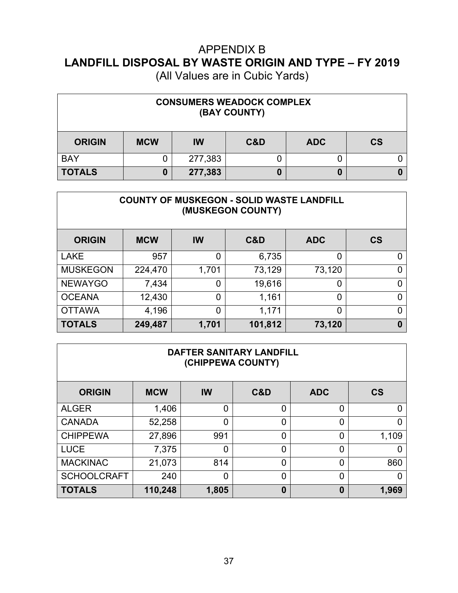(All Values are in Cubic Yards)

| <b>CONSUMERS WEADOCK COMPLEX</b><br>(BAY COUNTY) |            |         |     |            |                        |
|--------------------------------------------------|------------|---------|-----|------------|------------------------|
| <b>ORIGIN</b>                                    | <b>MCW</b> | IW      | C&D | <b>ADC</b> | $\mathbf{c}\mathbf{s}$ |
| <b>BAY</b>                                       |            | 277,383 |     |            |                        |
| <b>TOTALS</b>                                    | 0          | 277,383 |     | 0          |                        |

#### **COUNTY OF MUSKEGON - SOLID WASTE LANDFILL (MUSKEGON COUNTY)**

| <b>ORIGIN</b>   | <b>MCW</b> | IW    | C&D     | <b>ADC</b> | <b>CS</b> |
|-----------------|------------|-------|---------|------------|-----------|
| <b>LAKE</b>     | 957        | 0     | 6,735   | 0          |           |
| <b>MUSKEGON</b> | 224,470    | 1,701 | 73,129  | 73,120     |           |
| <b>NEWAYGO</b>  | 7,434      | 0     | 19,616  | 0          |           |
| <b>OCEANA</b>   | 12,430     | 0     | 1,161   | 0          |           |
| <b>OTTAWA</b>   | 4,196      | 0     | 1,171   | 0          |           |
| <b>TOTALS</b>   | 249,487    | 1,701 | 101,812 | 73,120     | 0         |

#### **DAFTER SANITARY LANDFILL (CHIPPEWA COUNTY)**

| <b>ORIGIN</b>      | <b>MCW</b> | IW    | C&D            | <b>ADC</b> | <b>CS</b> |
|--------------------|------------|-------|----------------|------------|-----------|
| <b>ALGER</b>       | 1,406      | 0     | 0              |            |           |
| <b>CANADA</b>      | 52,258     | Ο     | 0              | 0          |           |
| <b>CHIPPEWA</b>    | 27,896     | 991   | 0              | 0          | 1,109     |
| <b>LUCE</b>        | 7,375      | 0     | 0              |            |           |
| <b>MACKINAC</b>    | 21,073     | 814   | 0              | 0          | 860       |
| <b>SCHOOLCRAFT</b> | 240        | 0     | $\overline{0}$ | 0          |           |
| <b>TOTALS</b>      | 110,248    | 1,805 | 0              | 0          | 1,969     |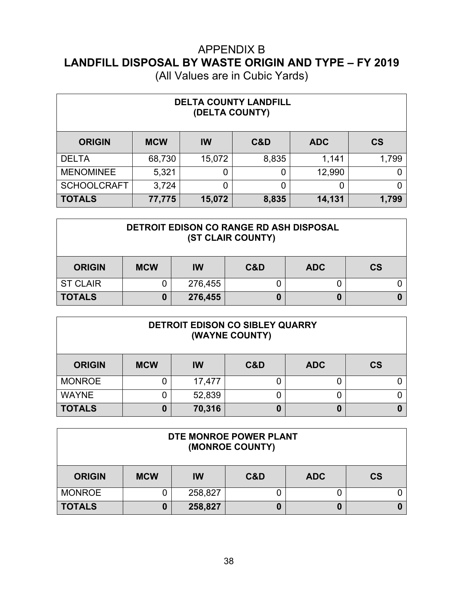| (All Values are in Cubic Yards) |  |  |
|---------------------------------|--|--|
|---------------------------------|--|--|

| <b>DELTA COUNTY LANDFILL</b><br>(DELTA COUNTY) |            |        |       |            |           |  |
|------------------------------------------------|------------|--------|-------|------------|-----------|--|
| <b>ORIGIN</b>                                  | <b>MCW</b> | IW     | C&D   | <b>ADC</b> | <b>CS</b> |  |
| <b>DELTA</b>                                   | 68,730     | 15,072 | 8,835 | 1,141      | 1,799     |  |
| <b>MENOMINEE</b>                               | 5,321      | 0      | 0     | 12,990     |           |  |
| <b>SCHOOLCRAFT</b>                             | 3,724      | 0      | 0     | 0          | 0         |  |
| <b>TOTALS</b>                                  | 77,775     | 15,072 | 8,835 | 14,131     | 1,799     |  |

#### **DETROIT EDISON CO RANGE RD ASH DISPOSAL (ST CLAIR COUNTY)**

| <b>ORIGIN</b>   | <b>MCW</b> | IW      | C&D | <b>ADC</b> | $\mathsf{CS}\phantom{0}$ |
|-----------------|------------|---------|-----|------------|--------------------------|
| <b>ST CLAIR</b> |            | 276,455 |     |            |                          |
| <b>TOTALS</b>   |            | 276,455 |     | O          |                          |

| DETROIT EDISON CO SIBLEY QUARRY<br>(WAYNE COUNTY) |            |        |     |            |           |  |
|---------------------------------------------------|------------|--------|-----|------------|-----------|--|
| <b>ORIGIN</b>                                     | <b>MCW</b> | IW     | C&D | <b>ADC</b> | <b>CS</b> |  |
| <b>MONROE</b>                                     |            | 17,477 |     |            |           |  |
| <b>WAYNE</b>                                      |            | 52,839 |     |            |           |  |
| <b>TOTALS</b>                                     | 0          | 70,316 |     | 0          |           |  |

| DTE MONROE POWER PLANT<br>(MONROE COUNTY) |            |         |     |            |           |  |
|-------------------------------------------|------------|---------|-----|------------|-----------|--|
| <b>ORIGIN</b>                             | <b>MCW</b> | IW      | C&D | <b>ADC</b> | <b>CS</b> |  |
| <b>MONROE</b>                             |            | 258,827 |     |            |           |  |
| <b>TOTALS</b>                             |            | 258,827 |     | 0          |           |  |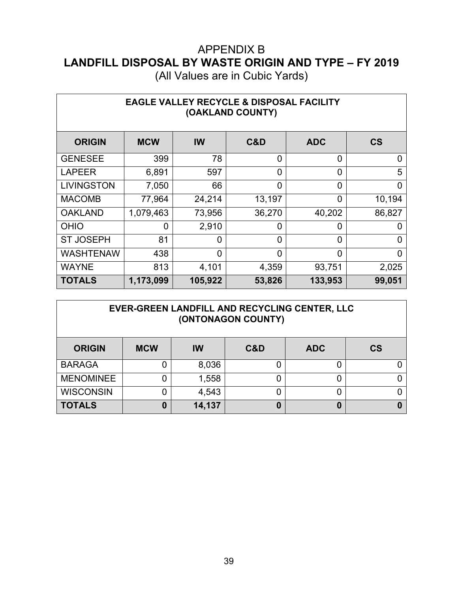| (All Values are in Cubic Yards) |  |  |
|---------------------------------|--|--|
|---------------------------------|--|--|

| <b>EAGLE VALLEY RECYCLE &amp; DISPOSAL FACILITY</b><br>(OAKLAND COUNTY) |                |          |                |                |           |  |  |
|-------------------------------------------------------------------------|----------------|----------|----------------|----------------|-----------|--|--|
| <b>ORIGIN</b>                                                           | <b>MCW</b>     | IW       | C&D            | <b>ADC</b>     | <b>CS</b> |  |  |
| <b>GENESEE</b>                                                          | 399            | 78       | $\overline{0}$ | $\overline{0}$ | 0         |  |  |
| <b>LAPEER</b>                                                           | 6,891          | 597      | $\overline{0}$ | $\overline{0}$ | 5         |  |  |
| <b>LIVINGSTON</b>                                                       | 7,050          | 66       | $\overline{0}$ | $\overline{0}$ | 0         |  |  |
| <b>MACOMB</b>                                                           | 77,964         | 24,214   | 13,197         | $\Omega$       | 10,194    |  |  |
| <b>OAKLAND</b>                                                          | 1,079,463      | 73,956   | 36,270         | 40,202         | 86,827    |  |  |
| <b>OHIO</b>                                                             | $\overline{0}$ | 2,910    | $\overline{0}$ | 0              | 0         |  |  |
| <b>ST JOSEPH</b>                                                        | 81             | 0        | $\overline{0}$ | 0              | 0         |  |  |
| <b>WASHTENAW</b>                                                        | 438            | $\Omega$ | $\Omega$       | $\overline{0}$ | 0         |  |  |
| <b>WAYNE</b>                                                            | 813            | 4,101    | 4,359          | 93,751         | 2,025     |  |  |
| <b>TOTALS</b>                                                           | 1,173,099      | 105,922  | 53,826         | 133,953        | 99,051    |  |  |

#### **EVER-GREEN LANDFILL AND RECYCLING CENTER, LLC (ONTONAGON COUNTY)**

| <b>ORIGIN</b>    | <b>MCW</b> | IW     | <b>C&amp;D</b> | <b>ADC</b> | <b>CS</b> |
|------------------|------------|--------|----------------|------------|-----------|
| <b>BARAGA</b>    |            | 8,036  |                |            |           |
| <b>MENOMINEE</b> |            | 1,558  |                |            |           |
| <b>WISCONSIN</b> |            | 4,543  |                |            |           |
| <b>TOTALS</b>    |            | 14,137 |                | 0          |           |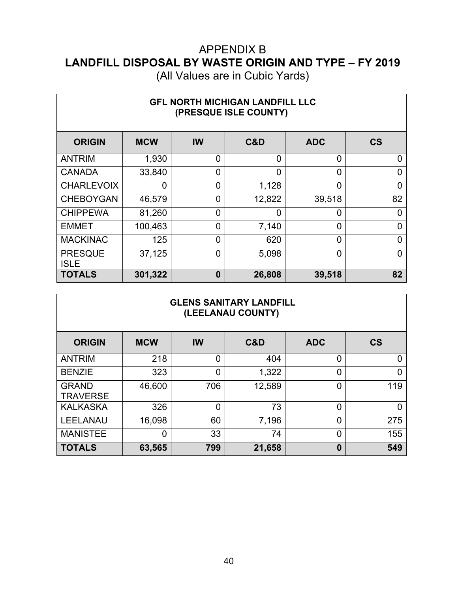(All Values are in Cubic Yards)

| <b>GFL NORTH MICHIGAN LANDFILL LLC</b><br>(PRESQUE ISLE COUNTY) |            |                  |        |                |                          |  |  |
|-----------------------------------------------------------------|------------|------------------|--------|----------------|--------------------------|--|--|
| <b>ORIGIN</b>                                                   | <b>MCW</b> | <b>IW</b>        | C&D    | <b>ADC</b>     | $\mathsf{CS}\phantom{0}$ |  |  |
| <b>ANTRIM</b>                                                   | 1,930      | $\overline{0}$   | 0      | 0              | 0                        |  |  |
| <b>CANADA</b>                                                   | 33,840     | $\overline{0}$   | 0      | $\overline{0}$ | 0                        |  |  |
| <b>CHARLEVOIX</b>                                               | 0          | $\mathbf 0$      | 1,128  | $\overline{0}$ | 0                        |  |  |
| <b>CHEBOYGAN</b>                                                | 46,579     | $\overline{0}$   | 12,822 | 39,518         | 82                       |  |  |
| <b>CHIPPEWA</b>                                                 | 81,260     | $\overline{0}$   | 0      | 0              | 0                        |  |  |
| <b>EMMET</b>                                                    | 100,463    | $\overline{0}$   | 7,140  | $\overline{0}$ | $\overline{0}$           |  |  |
| <b>MACKINAC</b>                                                 | 125        | $\overline{0}$   | 620    | 0              | 0                        |  |  |
| <b>PRESQUE</b><br><b>ISLE</b>                                   | 37,125     | $\overline{0}$   | 5,098  | 0              | 0                        |  |  |
| <b>TOTALS</b>                                                   | 301,322    | $\boldsymbol{0}$ | 26,808 | 39,518         | 82                       |  |  |

#### **GLENS SANITARY LANDFILL (LEELANAU COUNTY)**

| <b>ORIGIN</b>                   | <b>MCW</b> | IW             | C&D    | <b>ADC</b> | <b>CS</b> |
|---------------------------------|------------|----------------|--------|------------|-----------|
| <b>ANTRIM</b>                   | 218        | 0              | 404    | 0          | 0         |
| <b>BENZIE</b>                   | 323        | 0              | 1,322  | 0          | 0         |
| <b>GRAND</b><br><b>TRAVERSE</b> | 46,600     | 706            | 12,589 | 0          | 119       |
| <b>KALKASKA</b>                 | 326        | $\overline{0}$ | 73     | 0          | 0         |
| <b>LEELANAU</b>                 | 16,098     | 60             | 7,196  | 0          | 275       |
| <b>MANISTEE</b>                 | 0          | 33             | 74     | 0          | 155       |
| <b>TOTALS</b>                   | 63,565     | 799            | 21,658 | $\bf{0}$   | 549       |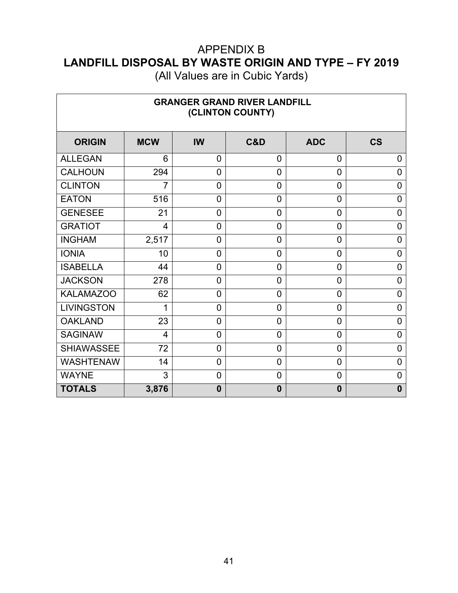(All Values are in Cubic Yards)

٦

 $\Gamma$ 

| <b>GRANGER GRAND RIVER LANDFILL</b><br>(CLINTON COUNTY) |                |                |                |                |                |  |  |
|---------------------------------------------------------|----------------|----------------|----------------|----------------|----------------|--|--|
| <b>ORIGIN</b>                                           | <b>MCW</b>     | IW             | C&D            | <b>ADC</b>     | <b>CS</b>      |  |  |
| <b>ALLEGAN</b>                                          | 6              | $\overline{0}$ | 0              | 0              | 0              |  |  |
| <b>CALHOUN</b>                                          | 294            | $\overline{0}$ | $\overline{0}$ | $\overline{0}$ | 0              |  |  |
| <b>CLINTON</b>                                          | $\overline{7}$ | $\overline{0}$ | 0              | $\overline{0}$ | 0              |  |  |
| <b>EATON</b>                                            | 516            | $\overline{0}$ | 0              | $\overline{0}$ | 0              |  |  |
| <b>GENESEE</b>                                          | 21             | $\overline{0}$ | $\overline{0}$ | $\overline{0}$ | 0              |  |  |
| <b>GRATIOT</b>                                          | $\overline{4}$ | $\overline{0}$ | 0              | $\overline{0}$ | 0              |  |  |
| <b>INGHAM</b>                                           | 2,517          | $\overline{0}$ | $\overline{0}$ | $\overline{0}$ | $\overline{0}$ |  |  |
| <b>IONIA</b>                                            | 10             | $\overline{0}$ | $\overline{0}$ | $\overline{0}$ | $\overline{0}$ |  |  |
| <b>ISABELLA</b>                                         | 44             | $\overline{0}$ | $\overline{0}$ | $\overline{0}$ | 0              |  |  |
| <b>JACKSON</b>                                          | 278            | $\overline{0}$ | 0              | $\overline{0}$ | $\mathbf 0$    |  |  |
| <b>KALAMAZOO</b>                                        | 62             | $\overline{0}$ | 0              | $\overline{0}$ | 0              |  |  |
| <b>LIVINGSTON</b>                                       | 1              | $\overline{0}$ | 0              | $\overline{0}$ | 0              |  |  |
| <b>OAKLAND</b>                                          | 23             | $\overline{0}$ | $\overline{0}$ | $\overline{0}$ | 0              |  |  |
| <b>SAGINAW</b>                                          | 4              | $\overline{0}$ | $\overline{0}$ | $\overline{0}$ | $\overline{0}$ |  |  |
| <b>SHIAWASSEE</b>                                       | 72             | $\overline{0}$ | 0              | $\overline{0}$ | 0              |  |  |
| <b>WASHTENAW</b>                                        | 14             | $\overline{0}$ | $\overline{0}$ | $\overline{0}$ | $\overline{0}$ |  |  |
| <b>WAYNE</b>                                            | 3              | $\overline{0}$ | $\overline{0}$ | $\overline{0}$ | $\overline{0}$ |  |  |
| <b>TOTALS</b>                                           | 3,876          | $\mathbf{0}$   | $\bf{0}$       | $\bf{0}$       | $\mathbf{0}$   |  |  |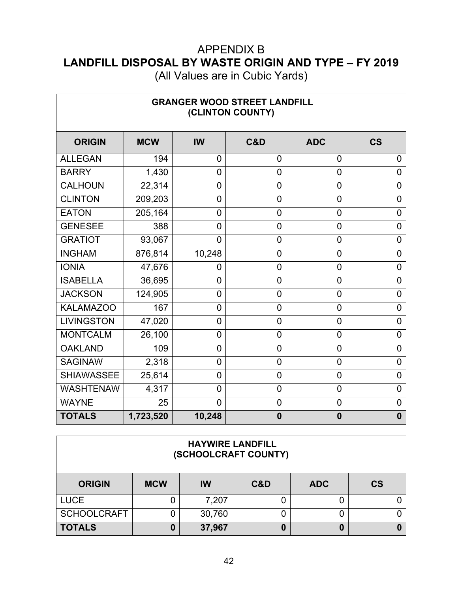(All Values are in Cubic Yards)

┑

 $\Box$ 

| <b>GRANGER WOOD STREET LANDFILL</b><br>(CLINTON COUNTY) |            |                |                |                |                |  |
|---------------------------------------------------------|------------|----------------|----------------|----------------|----------------|--|
| <b>ORIGIN</b>                                           | <b>MCW</b> | IW             | C&D            | <b>ADC</b>     | <b>CS</b>      |  |
| <b>ALLEGAN</b>                                          | 194        | $\overline{0}$ | 0              | 0              | 0              |  |
| <b>BARRY</b>                                            | 1,430      | $\mathbf 0$    | $\overline{0}$ | $\mathbf 0$    | 0              |  |
| <b>CALHOUN</b>                                          | 22,314     | 0              | $\overline{0}$ | $\overline{0}$ | 0              |  |
| <b>CLINTON</b>                                          | 209,203    | $\overline{0}$ | $\overline{0}$ | $\overline{0}$ | $\overline{0}$ |  |
| <b>EATON</b>                                            | 205,164    | $\overline{0}$ | $\overline{0}$ | $\overline{0}$ | $\overline{0}$ |  |
| <b>GENESEE</b>                                          | 388        | $\overline{0}$ | $\overline{0}$ | $\overline{0}$ | $\overline{0}$ |  |
| <b>GRATIOT</b>                                          | 93,067     | $\overline{0}$ | 0              | $\mathbf 0$    | 0              |  |
| <b>INGHAM</b>                                           | 876,814    | 10,248         | $\mathbf 0$    | $\mathbf 0$    | 0              |  |
| <b>IONIA</b>                                            | 47,676     | 0              | 0              | 0              | 0              |  |
| <b>ISABELLA</b>                                         | 36,695     | $\overline{0}$ | $\overline{0}$ | $\overline{0}$ | 0              |  |
| <b>JACKSON</b>                                          | 124,905    | $\overline{0}$ | $\overline{0}$ | $\overline{0}$ | $\overline{0}$ |  |
| <b>KALAMAZOO</b>                                        | 167        | 0              | 0              | 0              | 0              |  |
| <b>LIVINGSTON</b>                                       | 47,020     | 0              | $\overline{0}$ | $\mathbf 0$    | 0              |  |
| <b>MONTCALM</b>                                         | 26,100     | $\overline{0}$ | $\overline{0}$ | $\overline{0}$ | 0              |  |
| <b>OAKLAND</b>                                          | 109        | $\overline{0}$ | $\overline{0}$ | 0              | $\mathbf 0$    |  |
| <b>SAGINAW</b>                                          | 2,318      | 0              | 0              | $\overline{0}$ | 0              |  |
| <b>SHIAWASSEE</b>                                       | 25,614     | $\overline{0}$ | $\mathbf 0$    | $\mathbf 0$    | 0              |  |
| <b>WASHTENAW</b>                                        | 4,317      | $\overline{0}$ | $\overline{0}$ | $\overline{0}$ | $\overline{0}$ |  |
| <b>WAYNE</b>                                            | 25         | $\overline{0}$ | $\overline{0}$ | $\mathbf 0$    | $\overline{0}$ |  |
| <b>TOTALS</b>                                           | 1,723,520  | 10,248         | $\bf{0}$       | $\mathbf 0$    | $\mathbf{0}$   |  |

#### **HAYWIRE LANDFILL (SCHOOLCRAFT COUNTY)**

| <b>ORIGIN</b> | <b>MCW</b> | IW     | C&D | <b>ADC</b> | <b>CS</b> |
|---------------|------------|--------|-----|------------|-----------|
| <b>LUCE</b>   |            | 7,207  |     |            |           |
| SCHOOLCRAFT   |            | 30,760 |     |            |           |
| <b>TOTALS</b> |            | 37,967 |     |            |           |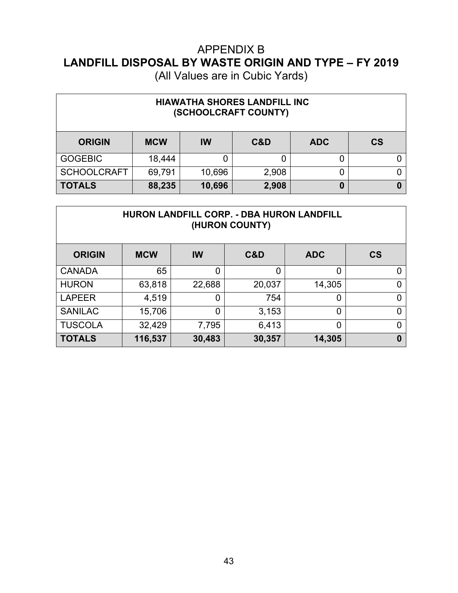| <b>HIAWATHA SHORES LANDFILL INC</b><br>(SCHOOLCRAFT COUNTY) |            |           |       |            |           |  |  |  |
|-------------------------------------------------------------|------------|-----------|-------|------------|-----------|--|--|--|
| <b>ORIGIN</b>                                               | <b>MCW</b> | <b>IW</b> | C&D   | <b>ADC</b> | <b>CS</b> |  |  |  |
| <b>GOGEBIC</b>                                              | 18,444     | 0         |       |            |           |  |  |  |
| <b>SCHOOLCRAFT</b>                                          | 69,791     | 10,696    | 2,908 |            |           |  |  |  |
| <b>TOTALS</b>                                               | 88,235     | 10,696    | 2,908 | 0          |           |  |  |  |

| <b>HURON LANDFILL CORP. - DBA HURON LANDFILL</b><br>(HURON COUNTY) |            |           |        |            |           |  |  |  |
|--------------------------------------------------------------------|------------|-----------|--------|------------|-----------|--|--|--|
| <b>ORIGIN</b>                                                      | <b>MCW</b> | <b>IW</b> | C&D    | <b>ADC</b> | <b>CS</b> |  |  |  |
| <b>CANADA</b>                                                      | 65         | 0         | 0      | 0          | 0         |  |  |  |
| <b>HURON</b>                                                       | 63,818     | 22,688    | 20,037 | 14,305     | 0         |  |  |  |
| <b>LAPEER</b>                                                      | 4,519      | 0         | 754    | 0          | 0         |  |  |  |
| <b>SANILAC</b>                                                     | 15,706     | 0         | 3,153  | 0          | 0         |  |  |  |
| <b>TUSCOLA</b>                                                     | 32,429     | 7,795     | 6,413  | 0          | 0         |  |  |  |
| <b>TOTALS</b>                                                      | 116,537    | 30,483    | 30,357 | 14,305     | 0         |  |  |  |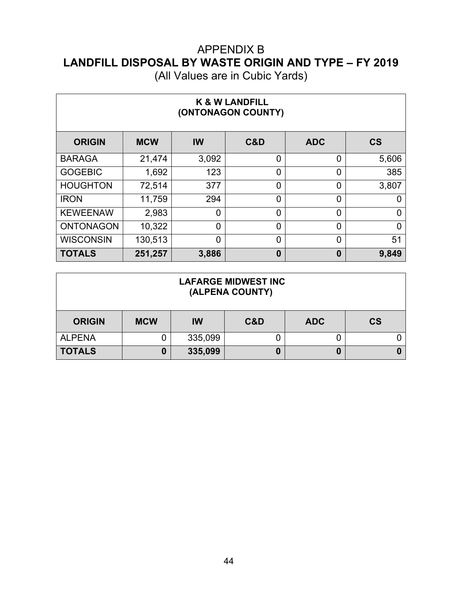| <b>K &amp; W LANDFILL</b><br>(ONTONAGON COUNTY) |            |                |                |                |           |  |  |  |  |
|-------------------------------------------------|------------|----------------|----------------|----------------|-----------|--|--|--|--|
| <b>ORIGIN</b>                                   | <b>MCW</b> | IW             | C&D            | <b>ADC</b>     | <b>CS</b> |  |  |  |  |
| <b>BARAGA</b>                                   | 21,474     | 3,092          | 0              | 0              | 5,606     |  |  |  |  |
| <b>GOGEBIC</b>                                  | 1,692      | 123            | 0              | 0              | 385       |  |  |  |  |
| <b>HOUGHTON</b>                                 | 72,514     | 377            | 0              | $\overline{0}$ | 3,807     |  |  |  |  |
| <b>IRON</b>                                     | 11,759     | 294            | $\overline{0}$ | $\overline{0}$ | 0         |  |  |  |  |
| <b>KEWEENAW</b>                                 | 2,983      | $\overline{0}$ | $\overline{0}$ | $\overline{0}$ | 0         |  |  |  |  |
| <b>ONTONAGON</b>                                | 10,322     | $\overline{0}$ | $\overline{0}$ | $\overline{0}$ | 0         |  |  |  |  |
| <b>WISCONSIN</b>                                | 130,513    | $\overline{0}$ | 0              | $\overline{0}$ | 51        |  |  |  |  |
| <b>TOTALS</b>                                   | 251,257    | 3,886          | $\bf{0}$       | $\bf{0}$       | 9,849     |  |  |  |  |

| <b>LAFARGE MIDWEST INC</b><br>(ALPENA COUNTY) |            |         |     |            |           |  |  |
|-----------------------------------------------|------------|---------|-----|------------|-----------|--|--|
| <b>ORIGIN</b>                                 | <b>MCW</b> | IW      | C&D | <b>ADC</b> | <b>CS</b> |  |  |
| <b>ALPENA</b>                                 |            | 335,099 |     |            |           |  |  |
| <b>TOTALS</b>                                 |            | 335,099 |     | 0          |           |  |  |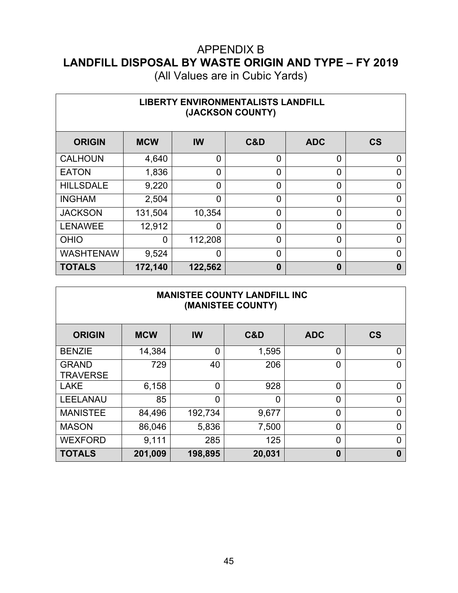(All Values are in Cubic Yards)

| <b>LIBERTY ENVIRONMENTALISTS LANDFILL</b><br>(JACKSON COUNTY) |            |                |                |                |                          |  |  |  |  |
|---------------------------------------------------------------|------------|----------------|----------------|----------------|--------------------------|--|--|--|--|
| <b>ORIGIN</b>                                                 | <b>MCW</b> | IW             | C&D            | <b>ADC</b>     | $\mathsf{CS}\phantom{0}$ |  |  |  |  |
| <b>CALHOUN</b>                                                | 4,640      | $\overline{0}$ | 0              | 0              | 0                        |  |  |  |  |
| <b>EATON</b>                                                  | 1,836      | $\overline{0}$ | $\overline{0}$ | $\overline{0}$ | 0                        |  |  |  |  |
| <b>HILLSDALE</b>                                              | 9,220      | 0              | $\Omega$       | 0              | 0                        |  |  |  |  |
| <b>INGHAM</b>                                                 | 2,504      | $\overline{0}$ | $\Omega$       | 0              | 0                        |  |  |  |  |
| <b>JACKSON</b>                                                | 131,504    | 10,354         | $\overline{0}$ | $\overline{0}$ | 0                        |  |  |  |  |
| <b>LENAWEE</b>                                                | 12,912     | $\overline{0}$ | $\overline{0}$ | $\overline{0}$ | 0                        |  |  |  |  |
| <b>OHIO</b>                                                   | 0          | 112,208        | $\overline{0}$ | $\overline{0}$ | 0                        |  |  |  |  |
| <b>WASHTENAW</b>                                              | 9,524      | $\overline{0}$ | $\overline{0}$ | $\overline{0}$ | 0                        |  |  |  |  |
| <b>TOTALS</b>                                                 | 172,140    | 122,562        | $\bf{0}$       | $\bf{0}$       | 0                        |  |  |  |  |

|                          |            |           | <b>MANISTEE COUNTY LANDFILL INC</b><br>(MANISTEE COUNTY) |                |                |
|--------------------------|------------|-----------|----------------------------------------------------------|----------------|----------------|
| <b>ORIGIN</b>            | <b>MCW</b> | <b>IW</b> | C&D                                                      | <b>ADC</b>     | <b>CS</b>      |
| <b>BENZIE</b>            | 14,384     | 0         | 1,595                                                    | 0              | 0              |
| <b>GRAND</b><br>TRAVERSE | 729        | 40        | 206                                                      | 0              | $\overline{0}$ |
| LAKE                     | 6,158      | 0         | 928                                                      | 0              | $\overline{0}$ |
| LEELANAU                 | 85         | 0         | 0                                                        | 0              | $\mathbf 0$    |
| <b>MANISTEE</b>          | 84,496     | 192,734   | 9,677                                                    | 0              | $\mathbf 0$    |
| MASON                    | 86,046     | 5,836     | 7,500                                                    | $\overline{0}$ | $\overline{0}$ |
| WEXFORD                  | 9,111      | 285       | 125                                                      | 0              | 0              |

**TOTALS 201,009 198,895 20,031 0 0**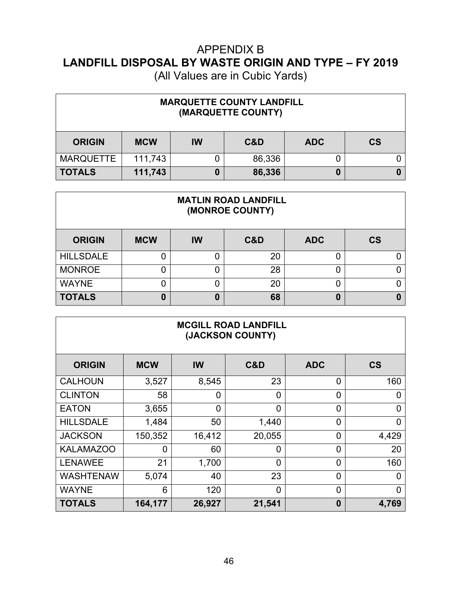| <b>MARQUETTE COUNTY LANDFILL</b><br>(MARQUETTE COUNTY) |            |           |        |            |           |  |  |
|--------------------------------------------------------|------------|-----------|--------|------------|-----------|--|--|
| <b>ORIGIN</b>                                          | <b>MCW</b> | <b>IW</b> | C&D    | <b>ADC</b> | <b>CS</b> |  |  |
| <b>MARQUETTE</b>                                       | 111,743    | 0         | 86,336 | U          |           |  |  |
| <b>TOTALS</b>                                          | 111,743    | 0         | 86,336 | 0          |           |  |  |

| <b>MATLIN ROAD LANDFILL</b><br>(MONROE COUNTY) |            |    |     |            |           |  |  |  |
|------------------------------------------------|------------|----|-----|------------|-----------|--|--|--|
| <b>ORIGIN</b>                                  | <b>MCW</b> | IW | C&D | <b>ADC</b> | <b>CS</b> |  |  |  |
| <b>HILLSDALE</b>                               |            | 0  | 20  | 0          |           |  |  |  |
| <b>MONROE</b>                                  |            | ი  | 28  | 0          |           |  |  |  |
| <b>WAYNE</b>                                   |            | 0  | 20  | 0          |           |  |  |  |
| <b>TOTALS</b>                                  | 0          | 0  | 68  | 0          |           |  |  |  |

| <b>MCGILL ROAD LANDFILL</b><br>(JACKSON COUNTY) |                |        |                |                |           |  |  |  |  |
|-------------------------------------------------|----------------|--------|----------------|----------------|-----------|--|--|--|--|
| <b>ORIGIN</b>                                   | <b>MCW</b>     | IW     | C&D            | <b>ADC</b>     | <b>CS</b> |  |  |  |  |
| <b>CALHOUN</b>                                  | 3,527          | 8,545  | 23             | 0              | 160       |  |  |  |  |
| <b>CLINTON</b>                                  | 58             | 0      | $\overline{0}$ | 0              | 0         |  |  |  |  |
| <b>EATON</b>                                    | 3,655          | 0      | $\Omega$       | 0              | 0         |  |  |  |  |
| <b>HILLSDALE</b>                                | 1,484          | 50     | 1,440          | 0              | $\Omega$  |  |  |  |  |
| <b>JACKSON</b>                                  | 150,352        | 16,412 | 20,055         | 0              | 4,429     |  |  |  |  |
| <b>KALAMAZOO</b>                                | $\overline{0}$ | 60     | $\overline{0}$ | $\overline{0}$ | 20        |  |  |  |  |
| <b>LENAWEE</b>                                  | 21             | 1,700  | $\overline{0}$ | 0              | 160       |  |  |  |  |
| <b>WASHTENAW</b>                                | 5,074          | 40     | 23             | $\overline{0}$ | 0         |  |  |  |  |
| <b>WAYNE</b>                                    | 6              | 120    | $\Omega$       | $\overline{0}$ | $\Omega$  |  |  |  |  |
| <b>TOTALS</b>                                   | 164,177        | 26,927 | 21,541         | 0              | 4,769     |  |  |  |  |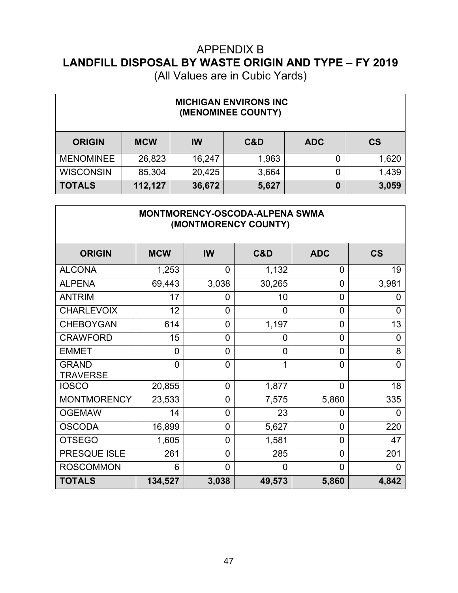(All Values are in Cubic Yards)

| <b>MICHIGAN ENVIRONS INC</b><br>(MENOMINEE COUNTY) |            |        |       |            |           |  |  |  |
|----------------------------------------------------|------------|--------|-------|------------|-----------|--|--|--|
| <b>ORIGIN</b>                                      | <b>MCW</b> | IW     | C&D   | <b>ADC</b> | <b>CS</b> |  |  |  |
| <b>MENOMINEE</b>                                   | 26,823     | 16,247 | 1,963 | 0          | 1,620     |  |  |  |
| <b>WISCONSIN</b>                                   | 85,304     | 20,425 | 3,664 | 0          | 1,439     |  |  |  |
| <b>TOTALS</b>                                      | 112,127    | 36,672 | 5,627 | 0          | 3,059     |  |  |  |

### **MONTMORENCY-OSCODA-ALPENA SWMA (MONTMORENCY COUNTY)**

| <b>ORIGIN</b>                   | <b>MCW</b>     | IW             | C&D            | <b>ADC</b>     | $\mathsf{CS}\phantom{0}$ |
|---------------------------------|----------------|----------------|----------------|----------------|--------------------------|
| <b>ALCONA</b>                   | 1,253          | $\overline{0}$ | 1,132          | $\overline{0}$ | 19                       |
| <b>ALPENA</b>                   | 69,443         | 3,038          | 30,265         | $\overline{0}$ | 3,981                    |
| <b>ANTRIM</b>                   | 17             | $\overline{0}$ | 10             | $\overline{0}$ | 0                        |
| <b>CHARLEVOIX</b>               | 12             | $\overline{0}$ | 0              | 0              | 0                        |
| <b>CHEBOYGAN</b>                | 614            | 0              | 1,197          | $\overline{0}$ | 13                       |
| <b>CRAWFORD</b>                 | 15             | $\overline{0}$ | 0              | $\overline{0}$ | 0                        |
| <b>EMMET</b>                    | 0              | $\overline{0}$ | $\overline{0}$ | $\overline{0}$ | 8                        |
| <b>GRAND</b><br><b>TRAVERSE</b> | $\overline{0}$ | $\overline{0}$ | 1              | $\overline{0}$ | 0                        |
| <b>IOSCO</b>                    | 20,855         | $\overline{0}$ | 1,877          | $\overline{0}$ | 18                       |
| <b>MONTMORENCY</b>              | 23,533         | $\overline{0}$ | 7,575          | 5,860          | 335                      |
| <b>OGEMAW</b>                   | 14             | $\overline{0}$ | 23             | $\overline{0}$ | $\overline{0}$           |
| <b>OSCODA</b>                   | 16,899         | $\overline{0}$ | 5,627          | $\overline{0}$ | 220                      |
| <b>OTSEGO</b>                   | 1,605          | $\overline{0}$ | 1,581          | $\overline{0}$ | 47                       |
| PRESQUE ISLE                    | 261            | $\overline{0}$ | 285            | $\Omega$       | 201                      |
| <b>ROSCOMMON</b>                | 6              | $\overline{0}$ | $\Omega$       | $\Omega$       | O                        |
| <b>TOTALS</b>                   | 134,527        | 3,038          | 49,573         | 5,860          | 4,842                    |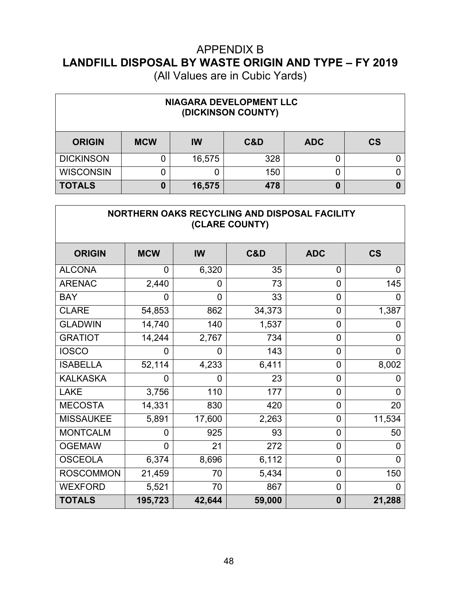(All Values are in Cubic Yards)

| NIAGARA DEVELOPMENT LLC<br>(DICKINSON COUNTY) |            |           |     |            |           |  |  |
|-----------------------------------------------|------------|-----------|-----|------------|-----------|--|--|
| <b>ORIGIN</b>                                 | <b>MCW</b> | <b>IW</b> | C&D | <b>ADC</b> | <b>CS</b> |  |  |
| <b>DICKINSON</b>                              |            | 16,575    | 328 | 0          |           |  |  |
| <b>WISCONSIN</b>                              |            |           | 150 | 0          |           |  |  |
| <b>TOTALS</b>                                 | 0          | 16,575    | 478 | 0          |           |  |  |

 $\Gamma$ 

| NORTHERN OAKS RECYCLING AND DISPOSAL FACILITY<br>(CLARE COUNTY) |                |        |        |                |                          |  |  |  |
|-----------------------------------------------------------------|----------------|--------|--------|----------------|--------------------------|--|--|--|
| <b>ORIGIN</b>                                                   | <b>MCW</b>     | IW     | C&D    | <b>ADC</b>     | $\mathsf{CS}\phantom{0}$ |  |  |  |
| <b>ALCONA</b>                                                   | 0              | 6,320  | 35     | 0              | 0                        |  |  |  |
| <b>ARENAC</b>                                                   | 2,440          | 0      | 73     | $\overline{0}$ | 145                      |  |  |  |
| <b>BAY</b>                                                      | 0              | 0      | 33     | 0              | 0                        |  |  |  |
| <b>CLARE</b>                                                    | 54,853         | 862    | 34,373 | $\overline{0}$ | 1,387                    |  |  |  |
| <b>GLADWIN</b>                                                  | 14,740         | 140    | 1,537  | $\overline{0}$ | 0                        |  |  |  |
| <b>GRATIOT</b>                                                  | 14,244         | 2,767  | 734    | $\overline{0}$ | 0                        |  |  |  |
| <b>IOSCO</b>                                                    | 0              | 0      | 143    | $\overline{0}$ | $\overline{0}$           |  |  |  |
| <b>ISABELLA</b>                                                 | 52,114         | 4,233  | 6,411  | 0              | 8,002                    |  |  |  |
| <b>KALKASKA</b>                                                 | 0              | 0      | 23     | $\overline{0}$ | O                        |  |  |  |
| <b>LAKE</b>                                                     | 3,756          | 110    | 177    | $\overline{0}$ | 0                        |  |  |  |
| <b>MECOSTA</b>                                                  | 14,331         | 830    | 420    | 0              | 20                       |  |  |  |
| <b>MISSAUKEE</b>                                                | 5,891          | 17,600 | 2,263  | 0              | 11,534                   |  |  |  |
| <b>MONTCALM</b>                                                 | 0              | 925    | 93     | 0              | 50                       |  |  |  |
| <b>OGEMAW</b>                                                   | $\overline{0}$ | 21     | 272    | $\mathbf 0$    | 0                        |  |  |  |
| <b>OSCEOLA</b>                                                  | 6,374          | 8,696  | 6,112  | $\overline{0}$ | 0                        |  |  |  |
| <b>ROSCOMMON</b>                                                | 21,459         | 70     | 5,434  | 0              | 150                      |  |  |  |
| <b>WEXFORD</b>                                                  | 5,521          | 70     | 867    | $\mathbf 0$    | 0                        |  |  |  |
| <b>TOTALS</b>                                                   | 195,723        | 42,644 | 59,000 | $\bf{0}$       | 21,288                   |  |  |  |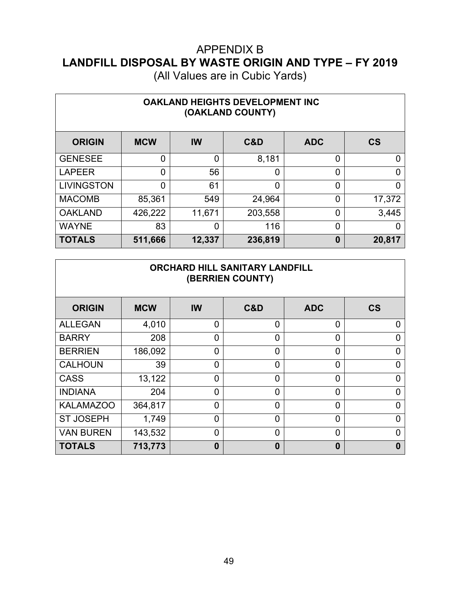| <b>OAKLAND HEIGHTS DEVELOPMENT INC</b><br>(OAKLAND COUNTY) |            |                |         |            |           |  |  |  |
|------------------------------------------------------------|------------|----------------|---------|------------|-----------|--|--|--|
| <b>ORIGIN</b>                                              | <b>MCW</b> | <b>IW</b>      | C&D     | <b>ADC</b> | <b>CS</b> |  |  |  |
| <b>GENESEE</b>                                             | 0          | $\overline{0}$ | 8,181   | 0          | 0         |  |  |  |
| <b>LAPEER</b>                                              | 0          | 56             |         | 0          | ი         |  |  |  |
| <b>LIVINGSTON</b>                                          | 0          | 61             | በ       | 0          | ი         |  |  |  |
| <b>MACOMB</b>                                              | 85,361     | 549            | 24,964  | 0          | 17,372    |  |  |  |
| <b>OAKLAND</b>                                             | 426,222    | 11,671         | 203,558 | 0          | 3,445     |  |  |  |
| <b>WAYNE</b>                                               | 83         | $\overline{0}$ | 116     | 0          | O         |  |  |  |
| <b>TOTALS</b>                                              | 511,666    | 12,337         | 236,819 | 0          | 20,817    |  |  |  |

| <b>ORCHARD HILL SANITARY LANDFILL</b><br>(BERRIEN COUNTY) |            |                |          |                |           |  |  |  |
|-----------------------------------------------------------|------------|----------------|----------|----------------|-----------|--|--|--|
| <b>ORIGIN</b>                                             | <b>MCW</b> | IW             | C&D      | <b>ADC</b>     | <b>CS</b> |  |  |  |
| <b>ALLEGAN</b>                                            | 4,010      | $\overline{0}$ | $\Omega$ | 0              | ი         |  |  |  |
| <b>BARRY</b>                                              | 208        | $\overline{0}$ | $\Omega$ | 0              | 0         |  |  |  |
| <b>BERRIEN</b>                                            | 186,092    | $\overline{0}$ | $\Omega$ | 0              | ი         |  |  |  |
| <b>CALHOUN</b>                                            | 39         | $\overline{0}$ | $\Omega$ | 0              | ი         |  |  |  |
| <b>CASS</b>                                               | 13,122     | $\overline{0}$ | 0        | 0              | 0         |  |  |  |
| <b>INDIANA</b>                                            | 204        | $\overline{0}$ | $\Omega$ | 0              | 0         |  |  |  |
| <b>KALAMAZOO</b>                                          | 364,817    | $\overline{0}$ | $\Omega$ | $\overline{0}$ | ი         |  |  |  |
| <b>ST JOSEPH</b>                                          | 1,749      | $\overline{0}$ | $\Omega$ | 0              | 0         |  |  |  |
| <b>VAN BUREN</b>                                          | 143,532    | $\overline{0}$ | $\Omega$ | 0              | 0         |  |  |  |
| <b>TOTALS</b>                                             | 713,773    | $\bf{0}$       | $\bf{0}$ | 0              | 0         |  |  |  |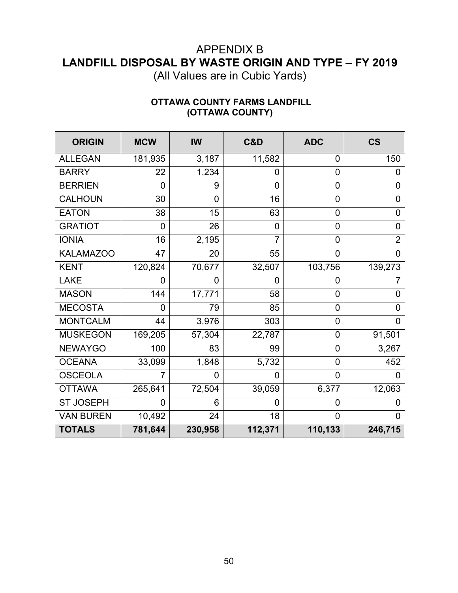(All Values are in Cubic Yards)

| <b>OTTAWA COUNTY FARMS LANDFILL</b><br>(OTTAWA COUNTY) |                |         |                |                |                |  |  |  |
|--------------------------------------------------------|----------------|---------|----------------|----------------|----------------|--|--|--|
| <b>ORIGIN</b>                                          | <b>MCW</b>     | IW      | C&D            | <b>ADC</b>     | <b>CS</b>      |  |  |  |
| <b>ALLEGAN</b>                                         | 181,935        | 3,187   | 11,582         | 0              | 150            |  |  |  |
| <b>BARRY</b>                                           | 22             | 1,234   | 0              | 0              | $\overline{0}$ |  |  |  |
| <b>BERRIEN</b>                                         | 0              | 9       | $\overline{0}$ | 0              | $\overline{0}$ |  |  |  |
| <b>CALHOUN</b>                                         | 30             | 0       | 16             | $\overline{0}$ | $\overline{0}$ |  |  |  |
| <b>EATON</b>                                           | 38             | 15      | 63             | $\overline{0}$ | $\overline{0}$ |  |  |  |
| <b>GRATIOT</b>                                         | 0              | 26      | 0              | 0              | 0              |  |  |  |
| <b>IONIA</b>                                           | 16             | 2,195   | $\overline{7}$ | 0              | $\overline{2}$ |  |  |  |
| <b>KALAMAZOO</b>                                       | 47             | 20      | 55             | $\overline{0}$ | $\Omega$       |  |  |  |
| <b>KENT</b>                                            | 120,824        | 70,677  | 32,507         | 103,756        | 139,273        |  |  |  |
| <b>LAKE</b>                                            | 0              | 0       | $\overline{0}$ | 0              |                |  |  |  |
| <b>MASON</b>                                           | 144            | 17,771  | 58             | $\overline{0}$ | $\overline{0}$ |  |  |  |
| <b>MECOSTA</b>                                         | $\overline{0}$ | 79      | 85             | 0              | $\overline{0}$ |  |  |  |
| <b>MONTCALM</b>                                        | 44             | 3,976   | 303            | $\overline{0}$ | $\overline{0}$ |  |  |  |
| <b>MUSKEGON</b>                                        | 169,205        | 57,304  | 22,787         | 0              | 91,501         |  |  |  |
| <b>NEWAYGO</b>                                         | 100            | 83      | 99             | 0              | 3,267          |  |  |  |
| <b>OCEANA</b>                                          | 33,099         | 1,848   | 5,732          | 0              | 452            |  |  |  |
| <b>OSCEOLA</b>                                         | 7              | 0       | 0              | $\overline{0}$ | O              |  |  |  |
| <b>OTTAWA</b>                                          | 265,641        | 72,504  | 39,059         | 6,377          | 12,063         |  |  |  |
| <b>ST JOSEPH</b>                                       | 0              | 6       | 0              | 0              | O              |  |  |  |
| <b>VAN BUREN</b>                                       | 10,492         | 24      | 18             | $\overline{0}$ | $\Omega$       |  |  |  |
| <b>TOTALS</b>                                          | 781,644        | 230,958 | 112,371        | 110,133        | 246,715        |  |  |  |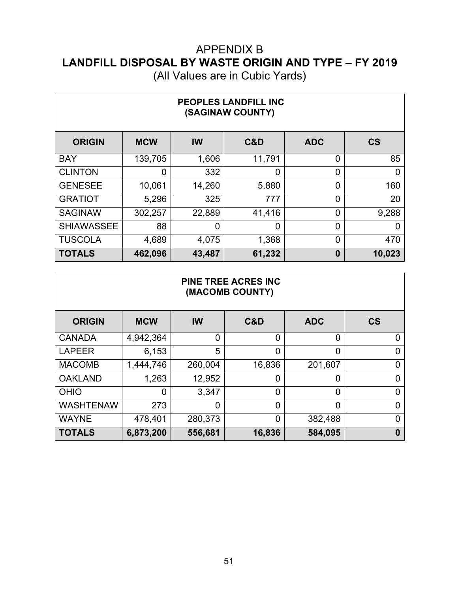| PEOPLES LANDFILL INC<br>(SAGINAW COUNTY) |            |                |        |            |           |  |  |  |
|------------------------------------------|------------|----------------|--------|------------|-----------|--|--|--|
| <b>ORIGIN</b>                            | <b>MCW</b> | <b>IW</b>      | C&D    | <b>ADC</b> | <b>CS</b> |  |  |  |
| <b>BAY</b>                               | 139,705    | 1,606          | 11,791 | 0          | 85        |  |  |  |
| <b>CLINTON</b>                           | 0          | 332            | 0      | 0          | 0         |  |  |  |
| <b>GENESEE</b>                           | 10,061     | 14,260         | 5,880  | 0          | 160       |  |  |  |
| <b>GRATIOT</b>                           | 5,296      | 325            | 777    | 0          | 20        |  |  |  |
| <b>SAGINAW</b>                           | 302,257    | 22,889         | 41,416 | 0          | 9,288     |  |  |  |
| <b>SHIAWASSEE</b>                        | 88         | $\overline{0}$ | 0      | 0          | 0         |  |  |  |
| <b>TUSCOLA</b>                           | 4,689      | 4,075          | 1,368  | 0          | 470       |  |  |  |
| <b>TOTALS</b>                            | 462,096    | 43,487         | 61,232 | $\bf{0}$   | 10,023    |  |  |  |

| <b>PINE TREE ACRES INC</b><br>(MACOMB COUNTY) |            |                |        |                |                          |  |  |  |  |
|-----------------------------------------------|------------|----------------|--------|----------------|--------------------------|--|--|--|--|
| <b>ORIGIN</b>                                 | <b>MCW</b> | <b>IW</b>      | C&D    | <b>ADC</b>     | $\mathsf{CS}\phantom{0}$ |  |  |  |  |
| <b>CANADA</b>                                 | 4,942,364  | 0              | 0      | $\overline{0}$ | $\Omega$                 |  |  |  |  |
| <b>LAPEER</b>                                 | 6,153      | 5              | 0      | 0              | 0                        |  |  |  |  |
| <b>MACOMB</b>                                 | 1,444,746  | 260,004        | 16,836 | 201,607        | $\overline{0}$           |  |  |  |  |
| <b>OAKLAND</b>                                | 1,263      | 12,952         | 0      | 0              | $\overline{0}$           |  |  |  |  |
| <b>OHIO</b>                                   | 0          | 3,347          | 0      | 0              | $\overline{0}$           |  |  |  |  |
| <b>WASHTENAW</b>                              | 273        | $\overline{0}$ | 0      | $\overline{0}$ | $\Omega$                 |  |  |  |  |
| <b>WAYNE</b>                                  | 478,401    | 280,373        | 0      | 382,488        | $\Omega$                 |  |  |  |  |
| <b>TOTALS</b>                                 | 6,873,200  | 556,681        | 16,836 | 584,095        | $\bf{0}$                 |  |  |  |  |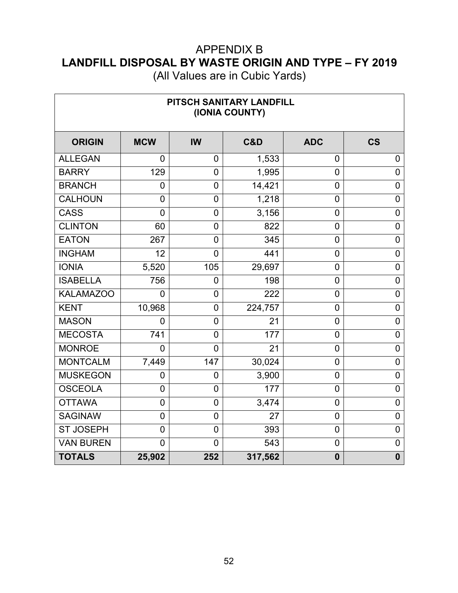| PITSCH SANITARY LANDFILL<br>(IONIA COUNTY) |                |                |         |                |                  |  |  |  |
|--------------------------------------------|----------------|----------------|---------|----------------|------------------|--|--|--|
| <b>ORIGIN</b>                              | <b>MCW</b>     | <b>IW</b>      | C&D     | <b>ADC</b>     | <b>CS</b>        |  |  |  |
| <b>ALLEGAN</b>                             | 0              | 0              | 1,533   | 0              | $\overline{0}$   |  |  |  |
| <b>BARRY</b>                               | 129            | $\overline{0}$ | 1,995   | $\overline{0}$ | $\overline{0}$   |  |  |  |
| <b>BRANCH</b>                              | $\overline{0}$ | $\overline{0}$ | 14,421  | $\overline{0}$ | $\overline{0}$   |  |  |  |
| <b>CALHOUN</b>                             | $\overline{0}$ | 0              | 1,218   | $\mathbf 0$    | $\mathbf 0$      |  |  |  |
| <b>CASS</b>                                | $\overline{0}$ | $\mathbf 0$    | 3,156   | $\mathbf 0$    | $\boldsymbol{0}$ |  |  |  |
| <b>CLINTON</b>                             | 60             | 0              | 822     | $\overline{0}$ | $\mathbf 0$      |  |  |  |
| <b>EATON</b>                               | 267            | 0              | 345     | $\mathbf 0$    | $\mathbf 0$      |  |  |  |
| <b>INGHAM</b>                              | 12             | 0              | 441     | $\mathbf 0$    | $\mathbf 0$      |  |  |  |
| <b>IONIA</b>                               | 5,520          | 105            | 29,697  | $\mathbf 0$    | $\mathbf 0$      |  |  |  |
| <b>ISABELLA</b>                            | 756            | 0              | 198     | $\mathbf 0$    | $\overline{0}$   |  |  |  |
| <b>KALAMAZOO</b>                           | $\overline{0}$ | $\overline{0}$ | 222     | $\mathbf 0$    | $\mathbf 0$      |  |  |  |
| <b>KENT</b>                                | 10,968         | 0              | 224,757 | 0              | $\mathbf 0$      |  |  |  |
| <b>MASON</b>                               | 0              | $\mathbf 0$    | 21      | $\mathbf 0$    | $\mathbf 0$      |  |  |  |
| <b>MECOSTA</b>                             | 741            | 0              | 177     | $\mathbf 0$    | $\overline{0}$   |  |  |  |
| <b>MONROE</b>                              | $\overline{0}$ | 0              | 21      | $\mathbf 0$    | $\mathbf 0$      |  |  |  |
| <b>MONTCALM</b>                            | 7,449          | 147            | 30,024  | $\mathbf 0$    | $\mathbf 0$      |  |  |  |
| <b>MUSKEGON</b>                            | $\mathbf 0$    | 0              | 3,900   | $\mathbf 0$    | $\mathbf 0$      |  |  |  |
| <b>OSCEOLA</b>                             | $\overline{0}$ | $\mathbf 0$    | 177     | $\mathbf 0$    | $\mathbf 0$      |  |  |  |
| <b>OTTAWA</b>                              | $\overline{0}$ | 0              | 3,474   | $\mathbf 0$    | $\pmb{0}$        |  |  |  |
| <b>SAGINAW</b>                             | $\overline{0}$ | 0              | 27      | $\mathbf 0$    | $\mathbf 0$      |  |  |  |
| <b>ST JOSEPH</b>                           | $\overline{0}$ | 0              | 393     | $\mathbf 0$    | $\boldsymbol{0}$ |  |  |  |
| <b>VAN BUREN</b>                           | $\overline{0}$ | 0              | 543     | $\mathbf 0$    | $\mathbf 0$      |  |  |  |
| <b>TOTALS</b>                              | 25,902         | 252            | 317,562 | $\mathbf 0$    | $\mathbf 0$      |  |  |  |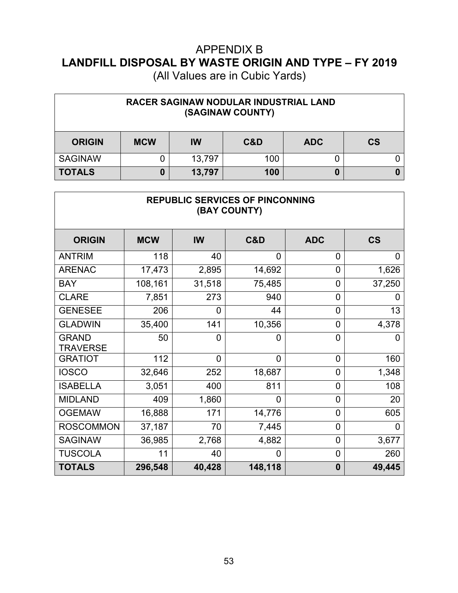| RACER SAGINAW NODULAR INDUSTRIAL LAND<br>(SAGINAW COUNTY) |            |           |     |            |           |  |  |
|-----------------------------------------------------------|------------|-----------|-----|------------|-----------|--|--|
| <b>ORIGIN</b>                                             | <b>MCW</b> | <b>IW</b> | C&D | <b>ADC</b> | <b>CS</b> |  |  |
| <b>SAGINAW</b>                                            |            | 13,797    | 100 |            |           |  |  |
| <b>TOTALS</b>                                             |            | 13,797    | 100 | 0          |           |  |  |

| <b>REPUBLIC SERVICES OF PINCONNING</b><br>(BAY COUNTY) |            |                |                |                |                          |  |  |  |
|--------------------------------------------------------|------------|----------------|----------------|----------------|--------------------------|--|--|--|
| <b>ORIGIN</b>                                          | <b>MCW</b> | IW             | C&D            | <b>ADC</b>     | $\mathsf{CS}\phantom{0}$ |  |  |  |
| <b>ANTRIM</b>                                          | 118        | 40             | 0              | 0              | 0                        |  |  |  |
| <b>ARENAC</b>                                          | 17,473     | 2,895          | 14,692         | 0              | 1,626                    |  |  |  |
| <b>BAY</b>                                             | 108,161    | 31,518         | 75,485         | 0              | 37,250                   |  |  |  |
| <b>CLARE</b>                                           | 7,851      | 273            | 940            | 0              |                          |  |  |  |
| <b>GENESEE</b>                                         | 206        | $\Omega$       | 44             | $\overline{0}$ | 13                       |  |  |  |
| <b>GLADWIN</b>                                         | 35,400     | 141            | 10,356         | 0              | 4,378                    |  |  |  |
| <b>GRAND</b><br><b>TRAVERSE</b>                        | 50         | $\overline{0}$ | 0              | $\overline{0}$ | O                        |  |  |  |
| <b>GRATIOT</b>                                         | 112        | $\overline{0}$ | $\overline{0}$ | 0              | 160                      |  |  |  |
| <b>IOSCO</b>                                           | 32,646     | 252            | 18,687         | 0              | 1,348                    |  |  |  |
| <b>ISABELLA</b>                                        | 3,051      | 400            | 811            | 0              | 108                      |  |  |  |
| <b>MIDLAND</b>                                         | 409        | 1,860          | $\overline{0}$ | $\overline{0}$ | 20                       |  |  |  |
| <b>OGEMAW</b>                                          | 16,888     | 171            | 14,776         | 0              | 605                      |  |  |  |
| <b>ROSCOMMON</b>                                       | 37,187     | 70             | 7,445          | 0              | 0                        |  |  |  |
| <b>SAGINAW</b>                                         | 36,985     | 2,768          | 4,882          | 0              | 3,677                    |  |  |  |
| <b>TUSCOLA</b>                                         | 11         | 40             | 0              | 0              | 260                      |  |  |  |
| <b>TOTALS</b>                                          | 296,548    | 40,428         | 148,118        | $\bf{0}$       | 49,445                   |  |  |  |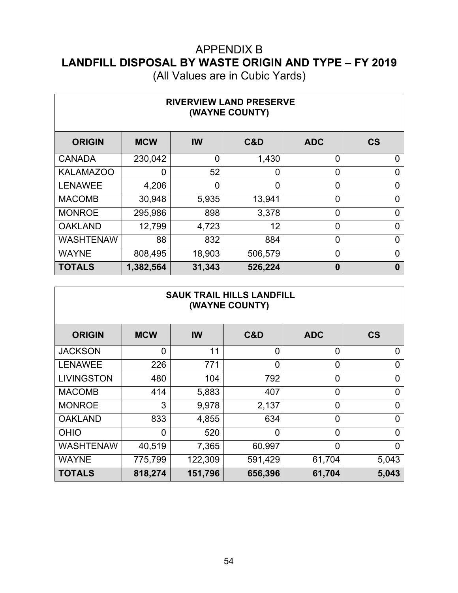| <b>RIVERVIEW LAND PRESERVE</b><br>(WAYNE COUNTY) |            |        |                |                |                          |  |  |  |  |
|--------------------------------------------------|------------|--------|----------------|----------------|--------------------------|--|--|--|--|
| <b>ORIGIN</b>                                    | <b>MCW</b> | IW     | C&D            | <b>ADC</b>     | $\mathsf{CS}\phantom{0}$ |  |  |  |  |
| <b>CANADA</b>                                    | 230,042    | 0      | 1,430          | 0              | 0                        |  |  |  |  |
| <b>KALAMAZOO</b>                                 | 0          | 52     | $\overline{0}$ | $\overline{0}$ | 0                        |  |  |  |  |
| <b>LENAWEE</b>                                   | 4,206      | 0      | 0              | $\overline{0}$ | 0                        |  |  |  |  |
| <b>MACOMB</b>                                    | 30,948     | 5,935  | 13,941         | $\overline{0}$ | $\Omega$                 |  |  |  |  |
| <b>MONROE</b>                                    | 295,986    | 898    | 3,378          | $\overline{0}$ | $\Omega$                 |  |  |  |  |
| <b>OAKLAND</b>                                   | 12,799     | 4,723  | 12             | $\overline{0}$ | $\Omega$                 |  |  |  |  |
| <b>WASHTENAW</b>                                 | 88         | 832    | 884            | 0              | $\overline{0}$           |  |  |  |  |
| <b>WAYNE</b>                                     | 808,495    | 18,903 | 506,579        | 0              | $\Omega$                 |  |  |  |  |
| <b>TOTALS</b>                                    | 1,382,564  | 31,343 | 526,224        | $\bf{0}$       | $\bf{0}$                 |  |  |  |  |

| <b>SAUK TRAIL HILLS LANDFILL</b><br>(WAYNE COUNTY) |            |           |                |                |                          |  |  |  |
|----------------------------------------------------|------------|-----------|----------------|----------------|--------------------------|--|--|--|
| <b>ORIGIN</b>                                      | <b>MCW</b> | <b>IW</b> | C&D            | <b>ADC</b>     | $\mathsf{CS}\phantom{0}$ |  |  |  |
| <b>JACKSON</b>                                     | 0          | 11        | $\Omega$       | 0              | $\Omega$                 |  |  |  |
| <b>LENAWEE</b>                                     | 226        | 771       | $\overline{0}$ | 0              | 0                        |  |  |  |
| <b>LIVINGSTON</b>                                  | 480        | 104       | 792            | 0              | 0                        |  |  |  |
| <b>MACOMB</b>                                      | 414        | 5,883     | 407            | 0              | 0                        |  |  |  |
| <b>MONROE</b>                                      | 3          | 9,978     | 2,137          | 0              | $\overline{0}$           |  |  |  |
| <b>OAKLAND</b>                                     | 833        | 4,855     | 634            | 0              | $\overline{0}$           |  |  |  |
| <b>OHIO</b>                                        | 0          | 520       | $\Omega$       | $\overline{0}$ | $\Omega$                 |  |  |  |
| <b>WASHTENAW</b>                                   | 40,519     | 7,365     | 60,997         | $\overline{0}$ | 0                        |  |  |  |
| <b>WAYNE</b>                                       | 775,799    | 122,309   | 591,429        | 61,704         | 5,043                    |  |  |  |
| <b>TOTALS</b>                                      | 818,274    | 151,796   | 656,396        | 61,704         | 5,043                    |  |  |  |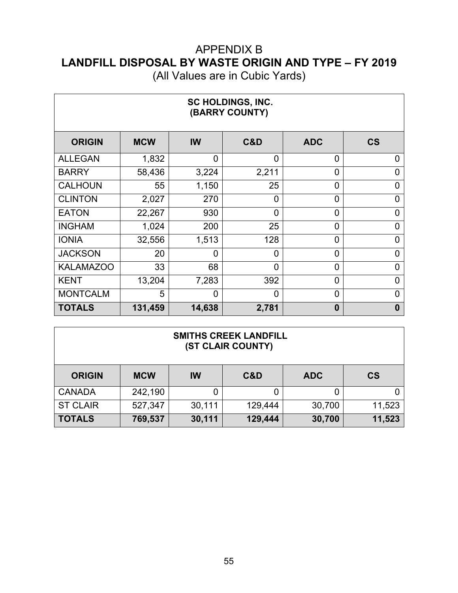| SC HOLDINGS, INC.<br>(BARRY COUNTY) |            |                |                |                |                          |  |  |  |
|-------------------------------------|------------|----------------|----------------|----------------|--------------------------|--|--|--|
| <b>ORIGIN</b>                       | <b>MCW</b> | IW             | C&D            | <b>ADC</b>     | $\mathsf{CS}\phantom{0}$ |  |  |  |
| <b>ALLEGAN</b>                      | 1,832      | $\overline{0}$ | $\Omega$       | 0              | $\overline{0}$           |  |  |  |
| <b>BARRY</b>                        | 58,436     | 3,224          | 2,211          | $\overline{0}$ | 0                        |  |  |  |
| <b>CALHOUN</b>                      | 55         | 1,150          | 25             | $\overline{0}$ | 0                        |  |  |  |
| <b>CLINTON</b>                      | 2,027      | 270            | $\Omega$       | $\overline{0}$ | 0                        |  |  |  |
| <b>EATON</b>                        | 22,267     | 930            | $\overline{0}$ | $\overline{0}$ | $\overline{0}$           |  |  |  |
| <b>INGHAM</b>                       | 1,024      | 200            | 25             | $\overline{0}$ | 0                        |  |  |  |
| <b>IONIA</b>                        | 32,556     | 1,513          | 128            | $\overline{0}$ | 0                        |  |  |  |
| <b>JACKSON</b>                      | 20         | $\overline{0}$ | 0              | $\overline{0}$ | 0                        |  |  |  |
| <b>KALAMAZOO</b>                    | 33         | 68             | $\Omega$       | $\overline{0}$ | 0                        |  |  |  |
| <b>KENT</b>                         | 13,204     | 7,283          | 392            | $\overline{0}$ | 0                        |  |  |  |
| <b>MONTCALM</b>                     | 5          | $\overline{0}$ | 0              | $\overline{0}$ | $\Omega$                 |  |  |  |
| <b>TOTALS</b>                       | 131,459    | 14,638         | 2,781          | $\bf{0}$       | $\bf{0}$                 |  |  |  |

| <b>SMITHS CREEK LANDFILL</b><br>(ST CLAIR COUNTY) |            |        |         |            |           |  |  |
|---------------------------------------------------|------------|--------|---------|------------|-----------|--|--|
| <b>ORIGIN</b>                                     | <b>MCW</b> | IW     | C&D     | <b>ADC</b> | <b>CS</b> |  |  |
| <b>CANADA</b>                                     | 242,190    | 0      |         | 0          |           |  |  |
| <b>ST CLAIR</b>                                   | 527,347    | 30,111 | 129,444 | 30,700     | 11,523    |  |  |
| <b>TOTALS</b>                                     | 769,537    | 30,111 | 129,444 | 30,700     | 11,523    |  |  |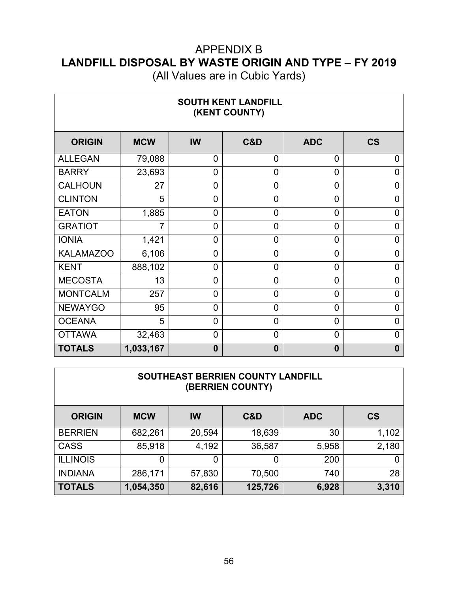| <b>SOUTH KENT LANDFILL</b><br>(KENT COUNTY) |            |                |                |                |                |  |  |  |
|---------------------------------------------|------------|----------------|----------------|----------------|----------------|--|--|--|
| <b>ORIGIN</b>                               | <b>MCW</b> | IW             | C&D            | <b>ADC</b>     | <b>CS</b>      |  |  |  |
| <b>ALLEGAN</b>                              | 79,088     | $\overline{0}$ | 0              | 0              | 0              |  |  |  |
| <b>BARRY</b>                                | 23,693     | $\overline{0}$ | $\overline{0}$ | 0              | 0              |  |  |  |
| <b>CALHOUN</b>                              | 27         | $\mathbf 0$    | $\overline{0}$ | 0              | 0              |  |  |  |
| <b>CLINTON</b>                              | 5          | $\mathbf 0$    | $\overline{0}$ | 0              | 0              |  |  |  |
| <b>EATON</b>                                | 1,885      | $\overline{0}$ | 0              | $\overline{0}$ | 0              |  |  |  |
| <b>GRATIOT</b>                              | 7          | $\overline{0}$ | 0              | $\overline{0}$ | 0              |  |  |  |
| <b>IONIA</b>                                | 1,421      | 0              | 0              | $\overline{0}$ | 0              |  |  |  |
| <b>KALAMAZOO</b>                            | 6,106      | $\overline{0}$ | $\Omega$       | 0              | $\overline{0}$ |  |  |  |
| <b>KENT</b>                                 | 888,102    | $\overline{0}$ | $\Omega$       | 0              | $\overline{0}$ |  |  |  |
| <b>MECOSTA</b>                              | 13         | $\overline{0}$ | 0              | 0              | 0              |  |  |  |
| <b>MONTCALM</b>                             | 257        | $\overline{0}$ | 0              | 0              | 0              |  |  |  |
| <b>NEWAYGO</b>                              | 95         | $\overline{0}$ | 0              | 0              | 0              |  |  |  |
| <b>OCEANA</b>                               | 5          | $\overline{0}$ | $\overline{0}$ | 0              | 0              |  |  |  |
| <b>OTTAWA</b>                               | 32,463     | $\overline{0}$ | $\overline{0}$ | 0              | 0              |  |  |  |
| <b>TOTALS</b>                               | 1,033,167  | $\bf{0}$       | $\bf{0}$       | 0              | 0              |  |  |  |

| SOUTHEAST BERRIEN COUNTY LANDFILL<br>(BERRIEN COUNTY) |            |        |         |            |           |  |  |  |
|-------------------------------------------------------|------------|--------|---------|------------|-----------|--|--|--|
| <b>ORIGIN</b>                                         | <b>MCW</b> | IW     | C&D     | <b>ADC</b> | <b>CS</b> |  |  |  |
| <b>BERRIEN</b>                                        | 682,261    | 20,594 | 18,639  | 30         | 1,102     |  |  |  |
| <b>CASS</b>                                           | 85,918     | 4,192  | 36,587  | 5,958      | 2,180     |  |  |  |
| <b>ILLINOIS</b>                                       | 0          | 0      | 0       | 200        | 0         |  |  |  |
| <b>INDIANA</b>                                        | 286,171    | 57,830 | 70,500  | 740        | 28        |  |  |  |
| <b>TOTALS</b>                                         | 1,054,350  | 82,616 | 125,726 | 6,928      | 3,310     |  |  |  |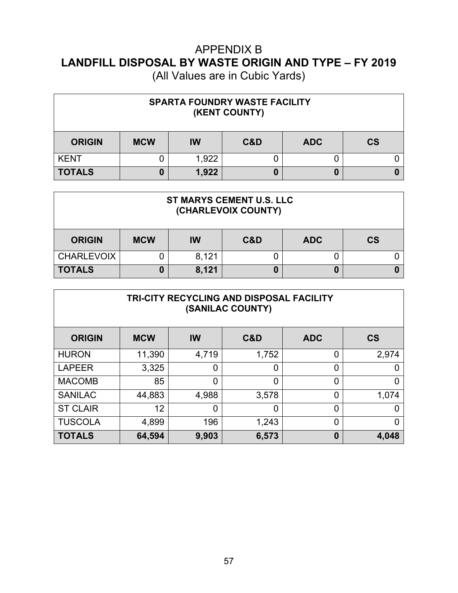| <b>SPARTA FOUNDRY WASTE FACILITY</b><br>(KENT COUNTY) |            |           |     |            |               |  |  |  |
|-------------------------------------------------------|------------|-----------|-----|------------|---------------|--|--|--|
| <b>ORIGIN</b>                                         | <b>MCW</b> | <b>IW</b> | C&D | <b>ADC</b> | $\mathsf{CS}$ |  |  |  |
| <b>KENT</b>                                           |            | 1,922     |     |            |               |  |  |  |
| <b>TOTALS</b>                                         |            | 1,922     |     | 0          |               |  |  |  |

| <b>ST MARYS CEMENT U.S. LLC</b><br>(CHARLEVOIX COUNTY) |            |           |     |            |               |  |  |
|--------------------------------------------------------|------------|-----------|-----|------------|---------------|--|--|
| <b>ORIGIN</b>                                          | <b>MCW</b> | <b>IW</b> | C&D | <b>ADC</b> | $\mathsf{CS}$ |  |  |
| <b>CHARLEVOIX</b>                                      |            | 8,121     |     |            |               |  |  |
| <b>TOTALS</b>                                          |            | 8,121     |     |            |               |  |  |

| TRI-CITY RECYCLING AND DISPOSAL FACILITY<br>(SANILAC COUNTY) |            |                |       |            |                          |  |  |  |
|--------------------------------------------------------------|------------|----------------|-------|------------|--------------------------|--|--|--|
| <b>ORIGIN</b>                                                | <b>MCW</b> | <b>IW</b>      | C&D   | <b>ADC</b> | $\mathsf{CS}\phantom{0}$ |  |  |  |
| <b>HURON</b>                                                 | 11,390     | 4,719          | 1,752 | 0          | 2,974                    |  |  |  |
| <b>LAPEER</b>                                                | 3,325      | $\overline{0}$ | 0     | 0          | 0                        |  |  |  |
| <b>MACOMB</b>                                                | 85         | $\overline{0}$ | 0     | 0          | 0                        |  |  |  |
| <b>SANILAC</b>                                               | 44,883     | 4,988          | 3,578 | 0          | 1,074                    |  |  |  |
| <b>ST CLAIR</b>                                              | 12         | 0              | 0     | 0          | 0                        |  |  |  |
| <b>TUSCOLA</b>                                               | 4,899      | 196            | 1,243 | 0          | 0                        |  |  |  |
| <b>TOTALS</b>                                                | 64,594     | 9,903          | 6,573 | 0          | 4,048                    |  |  |  |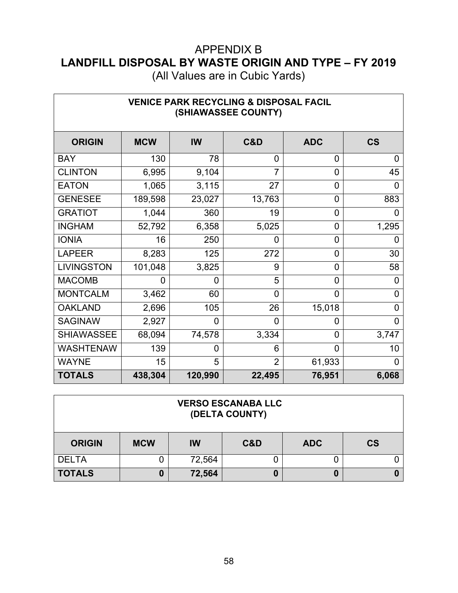(All Values are in Cubic Yards)

٦

 $\Gamma$ 

| <b>VENICE PARK RECYCLING &amp; DISPOSAL FACIL</b><br>(SHIAWASSEE COUNTY) |            |                |                |                |                          |  |  |  |
|--------------------------------------------------------------------------|------------|----------------|----------------|----------------|--------------------------|--|--|--|
| <b>ORIGIN</b>                                                            | <b>MCW</b> | IW             | C&D            | <b>ADC</b>     | $\mathsf{CS}\phantom{0}$ |  |  |  |
| <b>BAY</b>                                                               | 130        | 78             | $\overline{0}$ | 0              | $\mathbf 0$              |  |  |  |
| <b>CLINTON</b>                                                           | 6,995      | 9,104          | $\overline{7}$ | $\overline{0}$ | 45                       |  |  |  |
| <b>EATON</b>                                                             | 1,065      | 3,115          | 27             | 0              | $\mathbf 0$              |  |  |  |
| <b>GENESEE</b>                                                           | 189,598    | 23,027         | 13,763         | 0              | 883                      |  |  |  |
| <b>GRATIOT</b>                                                           | 1,044      | 360            | 19             | 0              | 0                        |  |  |  |
| <b>INGHAM</b>                                                            | 52,792     | 6,358          | 5,025          | 0              | 1,295                    |  |  |  |
| <b>IONIA</b>                                                             | 16         | 250            | 0              | 0              | 0                        |  |  |  |
| <b>LAPEER</b>                                                            | 8,283      | 125            | 272            | 0              | 30                       |  |  |  |
| <b>LIVINGSTON</b>                                                        | 101,048    | 3,825          | 9              | 0              | 58                       |  |  |  |
| <b>MACOMB</b>                                                            | 0          | 0              | 5              | 0              | $\overline{0}$           |  |  |  |
| <b>MONTCALM</b>                                                          | 3,462      | 60             | $\overline{0}$ | 0              | $\mathbf 0$              |  |  |  |
| <b>OAKLAND</b>                                                           | 2,696      | 105            | 26             | 15,018         | 0                        |  |  |  |
| <b>SAGINAW</b>                                                           | 2,927      | $\overline{0}$ | $\overline{0}$ | 0              | $\overline{0}$           |  |  |  |
| <b>SHIAWASSEE</b>                                                        | 68,094     | 74,578         | 3,334          | $\overline{0}$ | 3,747                    |  |  |  |
| <b>WASHTENAW</b>                                                         | 139        | 0              | 6              | 0              | 10                       |  |  |  |
| <b>WAYNE</b>                                                             | 15         | 5              | $\overline{2}$ | 61,933         | $\Omega$                 |  |  |  |
| <b>TOTALS</b>                                                            | 438,304    | 120,990        | 22,495         | 76,951         | 6,068                    |  |  |  |

#### **VERSO ESCANABA LLC (DELTA COUNTY)**

| <b>ORIGIN</b> | <b>MCW</b> | IW     | C&D | <b>ADC</b> | <b>CS</b> |
|---------------|------------|--------|-----|------------|-----------|
| <b>DELTA</b>  |            | 72,564 |     |            |           |
| <b>TOTALS</b> |            | 72,564 |     | O          |           |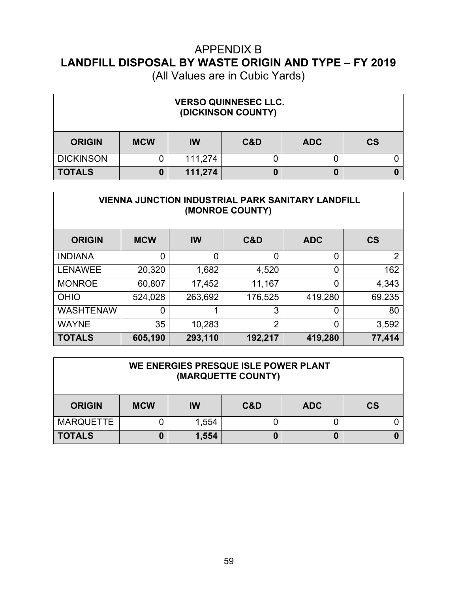| <b>VERSO QUINNESEC LLC.</b><br>(DICKINSON COUNTY) |            |           |     |            |           |  |  |  |
|---------------------------------------------------|------------|-----------|-----|------------|-----------|--|--|--|
| <b>ORIGIN</b>                                     | <b>MCW</b> | <b>IW</b> | C&D | <b>ADC</b> | <b>CS</b> |  |  |  |
| <b>DICKINSON</b>                                  |            | 111,274   |     | U          |           |  |  |  |
| <b>TOTALS</b>                                     |            | 111,274   |     | 0          |           |  |  |  |

| <b>VIENNA JUNCTION INDUSTRIAL PARK SANITARY LANDFILL</b><br>(MONROE COUNTY) |            |           |                |                |                |  |  |  |  |
|-----------------------------------------------------------------------------|------------|-----------|----------------|----------------|----------------|--|--|--|--|
| <b>ORIGIN</b>                                                               | <b>MCW</b> | <b>IW</b> | C&D            | <b>ADC</b>     | <b>CS</b>      |  |  |  |  |
| <b>INDIANA</b>                                                              | ∩          | 0         | 0              | 0              | $\overline{2}$ |  |  |  |  |
| <b>LENAWEE</b>                                                              | 20,320     | 1,682     | 4,520          | $\overline{0}$ | 162            |  |  |  |  |
| <b>MONROE</b>                                                               | 60,807     | 17,452    | 11,167         | $\overline{0}$ | 4,343          |  |  |  |  |
| <b>OHIO</b>                                                                 | 524,028    | 263,692   | 176,525        | 419,280        | 69,235         |  |  |  |  |
| <b>WASHTENAW</b>                                                            | 0          | 1         | 3              | 0              | 80             |  |  |  |  |
| <b>WAYNE</b>                                                                | 35         | 10,283    | $\overline{2}$ | $\overline{0}$ | 3,592          |  |  |  |  |
| <b>TOTALS</b>                                                               | 605,190    | 293,110   | 192,217        | 419,280        | 77,414         |  |  |  |  |

| WE ENERGIES PRESQUE ISLE POWER PLANT<br>(MARQUETTE COUNTY) |            |       |     |            |           |  |  |
|------------------------------------------------------------|------------|-------|-----|------------|-----------|--|--|
| <b>ORIGIN</b>                                              | <b>MCW</b> | IW    | C&D | <b>ADC</b> | <b>CS</b> |  |  |
| <b>MARQUETTE</b>                                           |            | 1,554 |     |            |           |  |  |
| <b>TOTALS</b>                                              |            | 1,554 |     | 0          |           |  |  |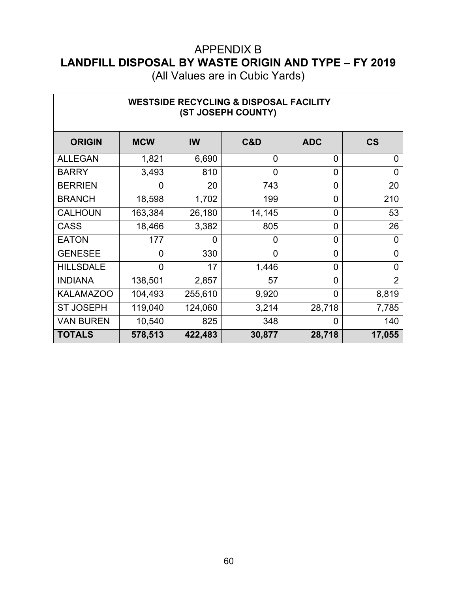(All Values are in Cubic Yards)

| <b>WESTSIDE RECYCLING &amp; DISPOSAL FACILITY</b><br>(ST JOSEPH COUNTY) |                |         |                |                |                          |  |  |  |
|-------------------------------------------------------------------------|----------------|---------|----------------|----------------|--------------------------|--|--|--|
| <b>ORIGIN</b>                                                           | <b>MCW</b>     | IW      | C&D            | <b>ADC</b>     | $\mathsf{CS}\phantom{0}$ |  |  |  |
| <b>ALLEGAN</b>                                                          | 1,821          | 6,690   | $\overline{0}$ | 0              | $\overline{0}$           |  |  |  |
| <b>BARRY</b>                                                            | 3,493          | 810     | $\overline{0}$ | 0              | $\overline{0}$           |  |  |  |
| <b>BERRIEN</b>                                                          | 0              | 20      | 743            | 0              | 20                       |  |  |  |
| <b>BRANCH</b>                                                           | 18,598         | 1,702   | 199            | $\overline{0}$ | 210                      |  |  |  |
| <b>CALHOUN</b>                                                          | 163,384        | 26,180  | 14,145         | 0              | 53                       |  |  |  |
| <b>CASS</b>                                                             | 18,466         | 3,382   | 805            | $\overline{0}$ | 26                       |  |  |  |
| <b>EATON</b>                                                            | 177            | 0       | $\overline{0}$ | 0              | $\overline{0}$           |  |  |  |
| <b>GENESEE</b>                                                          | $\overline{0}$ | 330     | $\overline{0}$ | $\overline{0}$ | $\overline{0}$           |  |  |  |
| <b>HILLSDALE</b>                                                        | 0              | 17      | 1,446          | 0              | $\overline{0}$           |  |  |  |
| <b>INDIANA</b>                                                          | 138,501        | 2,857   | 57             | 0              | $\overline{2}$           |  |  |  |
| <b>KALAMAZOO</b>                                                        | 104,493        | 255,610 | 9,920          | $\overline{0}$ | 8,819                    |  |  |  |
| <b>ST JOSEPH</b>                                                        | 119,040        | 124,060 | 3,214          | 28,718         | 7,785                    |  |  |  |
| <b>VAN BUREN</b>                                                        | 10,540         | 825     | 348            | 0              | 140                      |  |  |  |
| <b>TOTALS</b>                                                           | 578,513        | 422,483 | 30,877         | 28,718         | 17,055                   |  |  |  |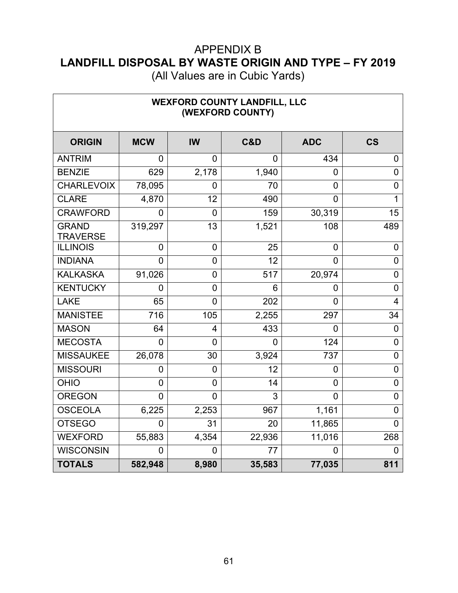(All Values are in Cubic Yards)

٦

 $\Gamma$ 

| <b>WEXFORD COUNTY LANDFILL, LLC</b><br>(WEXFORD COUNTY) |            |                  |                |                |                |
|---------------------------------------------------------|------------|------------------|----------------|----------------|----------------|
| <b>ORIGIN</b>                                           | <b>MCW</b> | <b>IW</b>        | C&D            | <b>ADC</b>     | <b>CS</b>      |
| <b>ANTRIM</b>                                           | 0          | $\Omega$         | $\Omega$       | 434            | $\overline{0}$ |
| <b>BENZIE</b>                                           | 629        | 2,178            | 1,940          | 0              | $\mathbf 0$    |
| <b>CHARLEVOIX</b>                                       | 78,095     | $\overline{0}$   | 70             | 0              | $\overline{0}$ |
| <b>CLARE</b>                                            | 4,870      | 12               | 490            | 0              |                |
| <b>CRAWFORD</b>                                         | 0          | $\overline{0}$   | 159            | 30,319         | 15             |
| <b>GRAND</b><br><b>TRAVERSE</b>                         | 319,297    | 13               | 1,521          | 108            | 489            |
| <b>ILLINOIS</b>                                         | 0          | $\mathbf 0$      | 25             | $\mathbf 0$    | $\overline{0}$ |
| <b>INDIANA</b>                                          | 0          | $\mathbf 0$      | 12             | $\overline{0}$ | 0              |
| <b>KALKASKA</b>                                         | 91,026     | $\mathbf 0$      | 517            | 20,974         | $\mathbf 0$    |
| <b>KENTUCKY</b>                                         | 0          | $\mathbf 0$      | 6              | 0              | $\mathbf 0$    |
| <b>LAKE</b>                                             | 65         | $\overline{0}$   | 202            | $\overline{0}$ | $\overline{4}$ |
| <b>MANISTEE</b>                                         | 716        | 105              | 2,255          | 297            | 34             |
| <b>MASON</b>                                            | 64         | 4                | 433            | 0              | 0              |
| <b>MECOSTA</b>                                          | 0          | $\overline{0}$   | $\overline{0}$ | 124            | $\mathbf 0$    |
| <b>MISSAUKEE</b>                                        | 26,078     | 30               | 3,924          | 737            | $\mathbf 0$    |
| <b>MISSOURI</b>                                         | 0          | $\boldsymbol{0}$ | 12             | $\overline{0}$ | $\overline{0}$ |
| <b>OHIO</b>                                             | 0          | $\overline{0}$   | 14             | 0              | $\overline{0}$ |
| <b>OREGON</b>                                           | 0          | $\mathbf 0$      | 3              | $\mathbf 0$    | $\overline{0}$ |
| <b>OSCEOLA</b>                                          | 6,225      | 2,253            | 967            | 1,161          | $\overline{0}$ |
| <b>OTSEGO</b>                                           | 0          | 31               | 20             | 11,865         | $\overline{0}$ |
| <b>WEXFORD</b>                                          | 55,883     | 4,354            | 22,936         | 11,016         | 268            |
| <b>WISCONSIN</b>                                        | 0          | $\overline{0}$   | 77             | 0              | 0              |
| <b>TOTALS</b>                                           | 582,948    | 8,980            | 35,583         | 77,035         | 811            |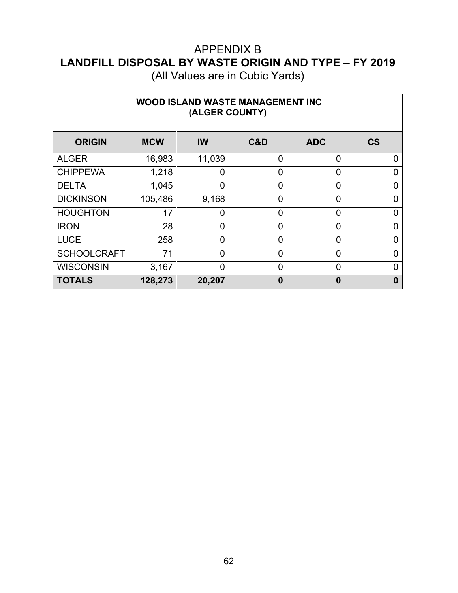| (All Values are in Cubic Yards) |  |  |
|---------------------------------|--|--|
|---------------------------------|--|--|

| <b>WOOD ISLAND WASTE MANAGEMENT INC</b><br>(ALGER COUNTY) |            |                |                |                |                          |
|-----------------------------------------------------------|------------|----------------|----------------|----------------|--------------------------|
| <b>ORIGIN</b>                                             | <b>MCW</b> | IW             | C&D            | <b>ADC</b>     | $\mathsf{CS}\phantom{0}$ |
| <b>ALGER</b>                                              | 16,983     | 11,039         | 0              | $\overline{0}$ | 0                        |
| <b>CHIPPEWA</b>                                           | 1,218      | 0              | 0              | $\Omega$       | 0                        |
| <b>DELTA</b>                                              | 1,045      | 0              | $\overline{0}$ | 0              | 0                        |
| <b>DICKINSON</b>                                          | 105,486    | 9,168          | 0              | $\Omega$       | 0                        |
| <b>HOUGHTON</b>                                           | 17         | 0              | 0              | 0              | $\Omega$                 |
| <b>IRON</b>                                               | 28         | $\overline{0}$ | $\overline{0}$ | $\Omega$       | $\Omega$                 |
| <b>LUCE</b>                                               | 258        | 0              | 0              | $\Omega$       | 0                        |
| <b>SCHOOLCRAFT</b>                                        | 71         | $\overline{0}$ | $\overline{0}$ | 0              | ი                        |
| <b>WISCONSIN</b>                                          | 3,167      | 0              | $\overline{0}$ | $\Omega$       | 0                        |
| <b>TOTALS</b>                                             | 128,273    | 20,207         | $\bf{0}$       | $\bf{0}$       | $\mathbf{0}$             |